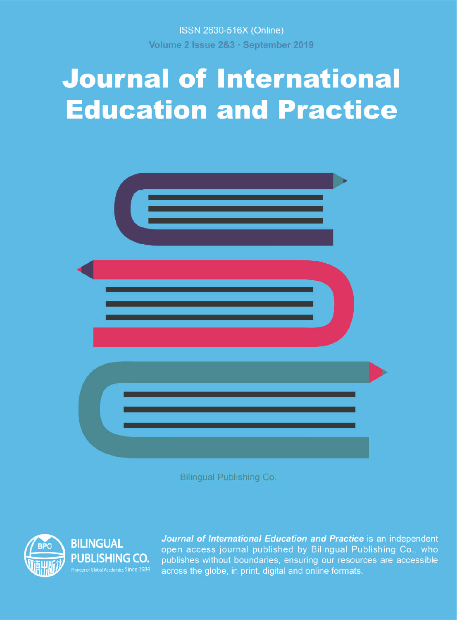ISSN 2630-516X (Online) Volume 2 Issue 2&3 · September 2019

# **Journal of International Education and Practice**



Bilingual Publishing Co.



**BILINGUAL PUBLISHING CO.** er of Global Academics Since 1984 Journal of International Education and Practice is an independent open access journal published by Bilingual Publishing Co., who publishes without boundaries, ensuring our resources are accessible across the globe, in print, digital and online formats.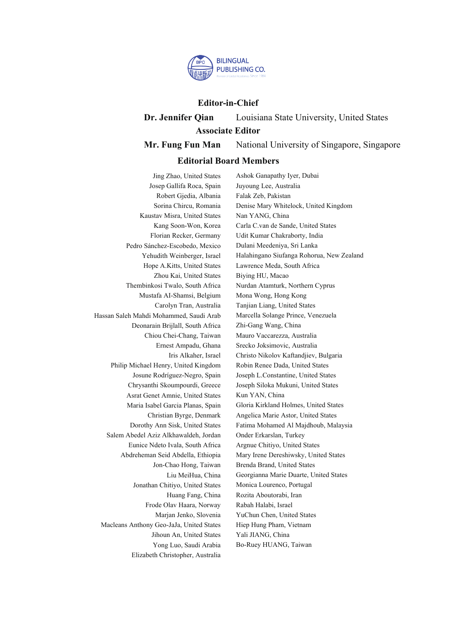

#### **Editor-in-Chief**

**Dr. Jennifer Qian** Louisiana State University, United States **Associate Editor**

**Mr. Fung Fun Man** National University of Singapore, Singapore

#### **Editorial Board Members**

Jing Zhao, United States Josep Gallifa Roca, Spain Robert Gjedia, Albania Sorina Chircu, Romania Kaustav Misra, United States Kang Soon-Won, Korea Florian Recker, Germany Pedro Sánchez-Escobedo, Mexico Yehudith Weinberger, Israel Hope A.Kitts, United States Zhou Kai, United States Thembinkosi Twalo, South Africa Mustafa AI-Shamsi, Belgium Carolyn Tran, Australia Hassan Saleh Mahdi Mohammed, Saudi Arab Deonarain Brijlall, South Africa Chiou Chei-Chang, Taiwan Ernest Ampadu, Ghana Iris Alkaher, Israel Philip Michael Henry, United Kingdom Josune Rodríguez-Negro, Spain Chrysanthi Skoumpourdi, Greece Asrat Genet Amnie, United States Maria Isabel Garcia Planas, Spain Christian Byrge, Denmark Dorothy Ann Sisk, United States Salem Abedel Aziz Alkhawaldeh, Jordan Eunice Ndeto Ivala, South Africa Abdreheman Seid Abdella, Ethiopia Jon-Chao Hong, Taiwan Liu MeiHua, China Jonathan Chitiyo, United States Huang Fang, China Frode Olav Haara, Norway Marjan Jenko, Slovenia Macleans Anthony Geo-JaJa, United States Jihoun An, United States Yong Luo, Saudi Arabia Elizabeth Christopher, Australia

Ashok Ganapathy Iyer, Dubai Juyoung Lee, Australia Falak Zeb, Pakistan Denise Mary Whitelock, United Kingdom Nan YANG, China Carla C.van de Sande, United States Udit Kumar Chakraborty, India Dulani Meedeniya, Sri Lanka Halahingano Siufanga Rohorua, New Zealand Lawrence Meda, South Africa Biying HU, Macao Nurdan Atamturk, Northern Cyprus Mona Wong, Hong Kong Tanjian Liang, United States Marcella Solange Prince, Venezuela Zhi-Gang Wang, China Mauro Vaccarezza, Australia Srecko Joksimovic, Australia Christo Nikolov Kaftandjiev, Bulgaria Robin Renee Dada, United States Joseph L.Constantine, United States Joseph Siloka Mukuni, United States Kun YAN, China Gloria Kirkland Holmes, United States Angelica Marie Astor, United States Fatima Mohamed Al Majdhoub, Malaysia Onder Erkarslan, Turkey Argnue Chitiyo, United States Mary Irene Dereshiwsky, United States Brenda Brand, United States Georgianna Marie Duarte, United States Monica Lourenco, Portugal Rozita Aboutorabi, Iran Rabah Halabi, Israel YuChun Chen, United States Hiep Hung Pham, Vietnam Yali JIANG, China Bo-Ruey HUANG, Taiwan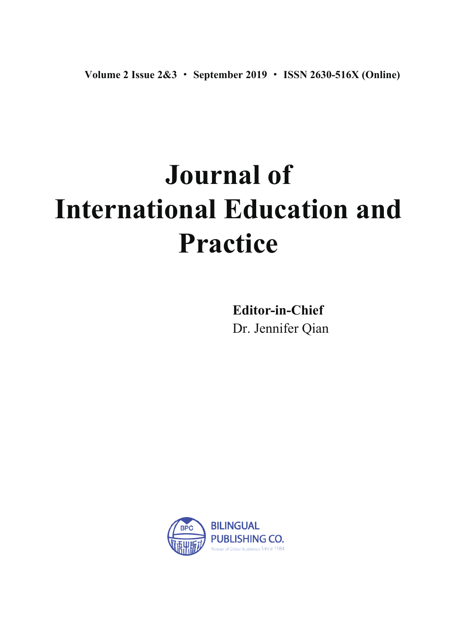# **Journal of International Education and Practice**

Dr. Jennifer Qian **Editor-in-Chief**

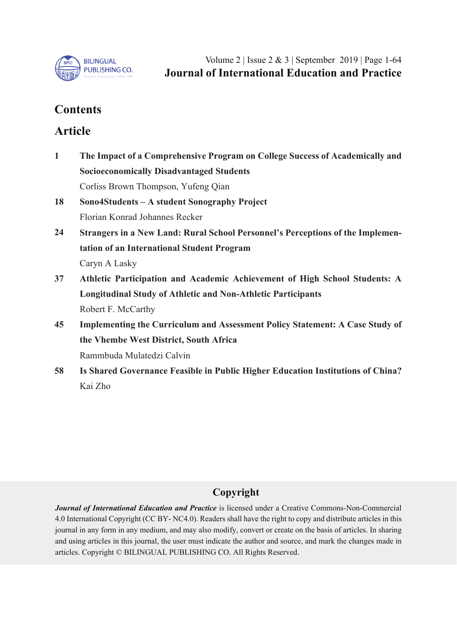

Volume 2 | Issue 2&3 | September 2019 | Page 1-64 **Journal of International Education and Practice**

# **Contents**

## **Article**

- **The Impact of a Comprehensive Program on College Success of Academically and Socioeconomically Disadvantaged Students** Corliss Brown Thompson, Yufeng Qian **Sono4Students – A student Sonography Project** Florian Konrad Johannes Recker **Strangers in a New Land: Rural School Personnel's Perceptions of the Implementation of an International Student Program** Caryn A Lasky **Athletic Participation and Academic Achievement of High School Students: A Longitudinal Study of Athletic and Non-Athletic Participants** Robert F. McCarthy **Implementing the Curriculum and Assessment Policy Statement: A Case Study of the Vhembe West District, South Africa** Rammbuda Mulatedzi Calvin **1 18 24 37 45**
- **Is Shared Governance Feasible in Public Higher Education Institutions of China?** Kai Zho **58**

## **Copyright**

*Journal of International Education and Practice* is licensed under a Creative Commons-Non-Commercial 4.0 International Copyright (CC BY- NC4.0). Readers shall have the right to copy and distribute articles in this journal in any form in any medium, and may also modify, convert or create on the basis of articles. In sharing and using articles in this journal, the user must indicate the author and source, and mark the changes made in articles. Copyright © BILINGUAL PUBLISHING CO. All Rights Reserved.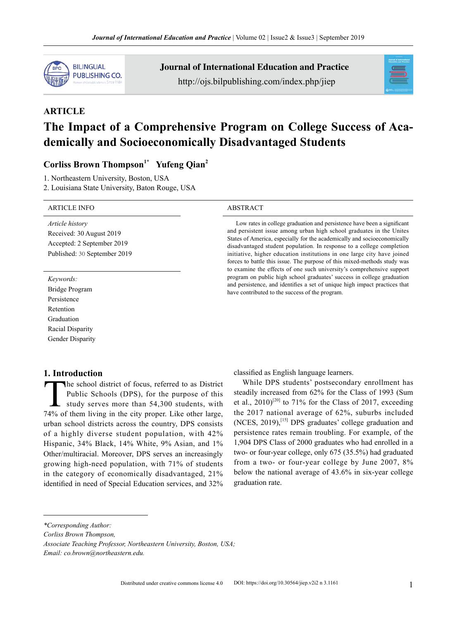

Journal of International Education and Practice http://ojs.bilpublishing.com/index.php/jiep



# **ARTICLE The Impact of a Comprehensive Program on College Success of Academically and Socioeconomically Disadvantaged Students**

### **Corliss Brown Thompson1\* Yufeng Qian2**

1. Northeastern University, Boston, USA

2. Louisiana State University, Baton Rouge, USA

#### ARTICLE INFO ABSTRACT

*Article history* Received: 30 August 2019 Accepted: 2 September 2019 Published: 30 September 2019

*Keywords:*

Bridge Program Persistence Retention Graduation Racial Disparity Gender Disparity

#### **1. Introduction**

The school district of focus, referred to as District<br>Public Schools (DPS), for the purpose of this<br>study serves more than 54,300 students, with<br>74% of them living in the city proper Like other large Public Schools (DPS), for the purpose of this study serves more than 54,300 students, with 74% of them living in the city proper. Like other large, urban school districts across the country, DPS consists of a highly diverse student population, with 42% Hispanic, 34% Black, 14% White, 9% Asian, and 1% Other/multiracial. Moreover, DPS serves an increasingly growing high-need population, with 71% of students in the category of economically disadvantaged, 21% identified in need of Special Education services, and 32%

Low rates in college graduation and persistence have been a significant and persistent issue among urban high school graduates in the Unites States of America, especially for the academically and socioeconomically disadvantaged student population. In response to a college completion initiative, higher education institutions in one large city have joined forces to battle this issue. The purpose of this mixed-methods study was to examine the effects of one such university's comprehensive support program on public high school graduates' success in college graduation and persistence, and identifies a set of unique high impact practices that have contributed to the success of the program.

classified as English language learners.

While DPS students' postsecondary enrollment has steadily increased from 62% for the Class of 1993 (Sum et al.,  $2010$ <sup>[20]</sup> to 71% for the Class of 2017, exceeding the 2017 national average of 62%, suburbs included  $(NCES, 2019)$ ,<sup>[15]</sup> DPS graduates' college graduation and persistence rates remain troubling. For example, of the 1,904 DPS Class of 2000 graduates who had enrolled in a two- or four-year college, only 675 (35.5%) had graduated from a two- or four-year college by June 2007, 8% below the national average of 43.6% in six-year college graduation rate.

*Corliss Brown Thompson,*

*Email: co.brown@northeastern.edu.*

*<sup>\*</sup>Corresponding Author:*

*Associate Teaching Professor, Northeastern University, Boston, USA;*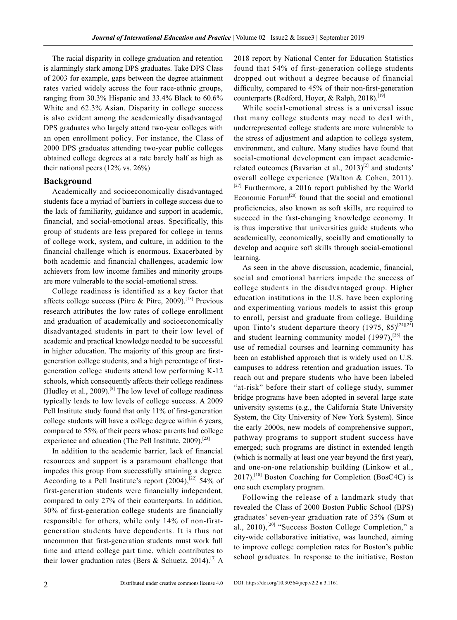The racial disparity in college graduation and retention is alarmingly stark among DPS graduates. Take DPS Class of 2003 for example, gaps between the degree attainment rates varied widely across the four race-ethnic groups, ranging from 30.3% Hispanic and 33.4% Black to 60.6% White and 62.3% Asian. Disparity in college success is also evident among the academically disadvantaged DPS graduates who largely attend two-year colleges with an open enrollment policy. For instance, the Class of 2000 DPS graduates attending two-year public colleges obtained college degrees at a rate barely half as high as their national peers (12% vs. 26%)

#### **Background**

Academically and socioeconomically disadvantaged students face a myriad of barriers in college success due to the lack of familiarity, guidance and support in academic, financial, and social-emotional areas. Specifically, this group of students are less prepared for college in terms of college work, system, and culture, in addition to the financial challenge which is enormous. Exacerbated by both academic and financial challenges, academic low achievers from low income families and minority groups are more vulnerable to the social-emotional stress.

College readiness is identified as a key factor that affects college success (Pitre & Pitre, 2009).<sup>[18]</sup> Previous research attributes the low rates of college enrollment and graduation of academically and socioeconomically disadvantaged students in part to their low level of academic and practical knowledge needed to be successful in higher education. The majority of this group are firstgeneration college students, and a high percentage of firstgeneration college students attend low performing K-12 schools, which consequently affects their college readiness (Hudley et al., 2009).<sup>[8]</sup> The low level of college readiness typically leads to low levels of college success. A 2009 Pell Institute study found that only 11% of first-generation college students will have a college degree within 6 years, compared to 55% of their peers whose parents had college experience and education (The Pell Institute, 2009).<sup>[23]</sup>

In addition to the academic barrier, lack of financial resources and support is a paramount challenge that impedes this group from successfully attaining a degree. According to a Pell Institute's report  $(2004)$ ,<sup>[22]</sup> 54% of first-generation students were financially independent, compared to only 27% of their counterparts. In addition, 30% of first-generation college students are financially responsible for others, while only 14% of non-firstgeneration students have dependents. It is thus not uncommon that first-generation students must work full time and attend college part time, which contributes to their lower graduation rates (Bers & Schuetz, 2014).<sup>[3]</sup> A 2018 report by National Center for Education Statistics found that 54% of first-generation college students dropped out without a degree because of financial difficulty, compared to 45% of their non-first-generation counterparts (Redford, Hoyer, & Ralph, 2018).<sup>[19]</sup>

While social-emotional stress is a universal issue that many college students may need to deal with, underrepresented college students are more vulnerable to the stress of adjustment and adaption to college system, environment, and culture. Many studies have found that social-emotional development can impact academicrelated outcomes (Bavarian et al.,  $2013$ <sup>[2]</sup> and students' overall college experience (Walton & Cohen, 2011).  $[27]$  Furthermore, a 2016 report published by the World Economic Forum[28] found that the social and emotional proficiencies, also known as soft skills, are required to succeed in the fast-changing knowledge economy. It is thus imperative that universities guide students who academically, economically, socially and emotionally to develop and acquire soft skills through social-emotional learning.

As seen in the above discussion, academic, financial, social and emotional barriers impede the success of college students in the disadvantaged group. Higher education institutions in the U.S. have been exploring and experimenting various models to assist this group to enroll, persist and graduate from college. Building upon Tinto's student departure theory (1975, 85)<sup>[24][25]</sup> and student learning community model  $(1997)$ ,<sup>[26]</sup> the use of remedial courses and learning community has been an established approach that is widely used on U.S. campuses to address retention and graduation issues. To reach out and prepare students who have been labeled "at-risk" before their start of college study, summer bridge programs have been adopted in several large state university systems (e.g., the California State University System, the City University of New York System). Since the early 2000s, new models of comprehensive support, pathway programs to support student success have emerged; such programs are distinct in extended length (which is normally at least one year beyond the first year), and one-on-one relationship building (Linkow et al.,  $2017$ .<sup>[10]</sup> Boston Coaching for Completion (BosC4C) is one such exemplary program.

Following the release of a landmark study that revealed the Class of 2000 Boston Public School (BPS) graduates' seven-year graduation rate of 35% (Sum et al., 2010),<sup>[20]</sup> "Success Boston College Completion," a city-wide collaborative initiative, was launched, aiming to improve college completion rates for Boston's public school graduates. In response to the initiative, Boston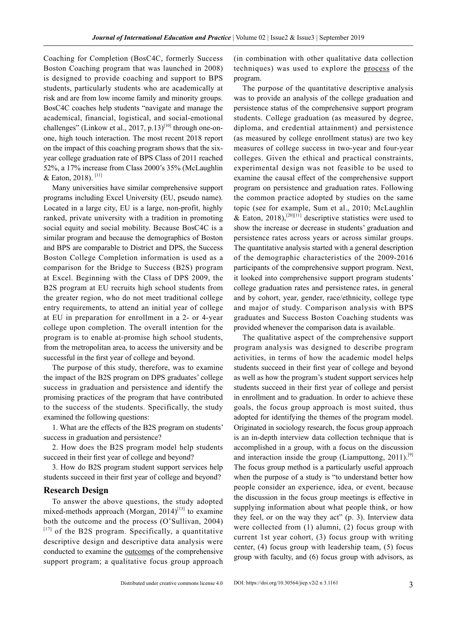Coaching for Completion (BosC4C, formerly Success Boston Coaching program that was launched in 2008) is designed to provide coaching and support to BPS students, particularly students who are academically at risk and are from low income family and minority groups. BosC4C coaches help students "navigate and manage the academical, financial, logistical, and social-emotional challenges" (Linkow et al., 2017, p.13)<sup>[10]</sup> through one-onone, high touch interaction. The most recent 2018 report on the impact of this coaching program shows that the sixyear college graduation rate of BPS Class of 2011 reached 52%, a 17% increase from Class 2000's 35% (McLaughlin & Eaton, 2018).<sup>[11]</sup>

Many universities have similar comprehensive support programs including Excel University (EU, pseudo name). Located in a large city, EU is a large, non-profit, highly ranked, private university with a tradition in promoting social equity and social mobility. Because BosC4C is a similar program and because the demographics of Boston and BPS are comparable to District and DPS, the Success Boston College Completion information is used as a comparison for the Bridge to Success (B2S) program at Excel. Beginning with the Class of DPS 2009, the B2S program at EU recruits high school students from the greater region, who do not meet traditional college entry requirements, to attend an initial year of college at EU in preparation for enrollment in a 2- or 4-year college upon completion. The overall intention for the program is to enable at-promise high school students, from the metropolitan area, to access the university and be successful in the first year of college and beyond.

The purpose of this study, therefore, was to examine the impact of the B2S program on DPS graduates' college success in graduation and persistence and identify the promising practices of the program that have contributed to the success of the students. Specifically, the study examined the following questions:

1. What are the effects of the B2S program on students' success in graduation and persistence?

2. How does the B2S program model help students succeed in their first year of college and beyond?

3. How do B2S program student support services help students succeed in their first year of college and beyond?

#### **Research Design**

To answer the above questions, the study adopted mixed-methods approach (Morgan,  $2014$ )<sup>[13]</sup> to examine both the outcome and the process (O'Sullivan, 2004)  $[17]$  of the B2S program. Specifically, a quantitative descriptive design and descriptive data analysis were conducted to examine the <u>outcomes</u> of the comprehensive support program; a qualitative focus group approach

(in combination with other qualitative data collection techniques) was used to explore the process of the program.

The purpose of the quantitative descriptive analysis was to provide an analysis of the college graduation and persistence status of the comprehensive support program students. College graduation (as measured by degree, diploma, and credential attainment) and persistence (as measured by college enrollment status) are two key measures of college success in two-year and four-year colleges. Given the ethical and practical constraints, experimental design was not feasible to be used to examine the causal effect of the comprehensive support program on persistence and graduation rates. Following the common practice adopted by studies on the same topic (see for example, Sum et al., 2010; McLaughlin & Eaton, 2018),<sup>[20][11]</sup> descriptive statistics were used to show the increase or decrease in students' graduation and persistence rates across years or across similar groups. The quantitative analysis started with a general description of the demographic characteristics of the 2009-2016 participants of the comprehensive support program. Next, it looked into comprehensive support program students' college graduation rates and persistence rates, in general and by cohort, year, gender, race/ethnicity, college type and major of study. Comparison analysis with BPS graduates and Success Boston Coaching students was provided whenever the comparison data is available.

The qualitative aspect of the comprehensive support program analysis was designed to describe program activities, in terms of how the academic model helps students succeed in their first year of college and beyond as well as how the program's student support services help students succeed in their first year of college and persist in enrollment and to graduation. In order to achieve these goals, the focus group approach is most suited, thus adopted for identifying the themes of the program model. Originated in sociology research, the focus group approach is an in-depth interview data collection technique that is accomplished in a group, with a focus on the discussion and interaction inside the group (Liamputtong, 2011).<sup>[9]</sup> The focus group method is a particularly useful approach when the purpose of a study is "to understand better how people consider an experience, idea, or event, because the discussion in the focus group meetings is effective in supplying information about what people think, or how they feel, or on the way they act" (p. 3). Interview data were collected from (1) alumni, (2) focus group with current 1st year cohort, (3) focus group with writing center, (4) focus group with leadership team, (5) focus group with faculty, and (6) focus group with advisors, as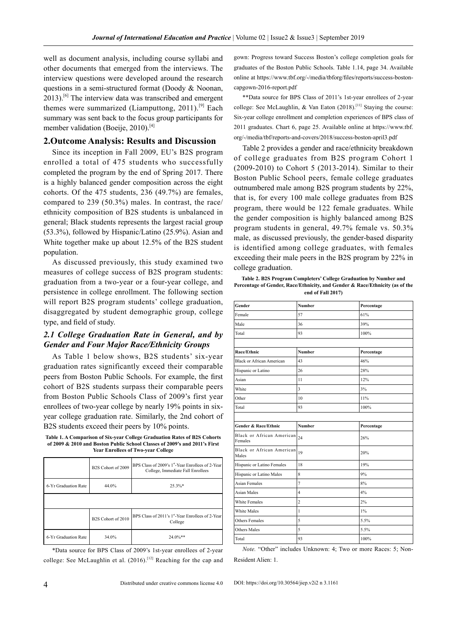well as document analysis, including course syllabi and other documents that emerged from the interviews. The interview questions were developed around the research questions in a semi-structured format (Doody & Noonan,  $2013$ .<sup>[6]</sup> The interview data was transcribed and emergent themes were summarized (Liamputtong, 2011).<sup>[9]</sup> Each summary was sent back to the focus group participants for member validation (Boeije,  $2010$ ).<sup>[4]</sup>

#### **2.Outcome Analysis: Results and Discussion**

Since its inception in Fall 2009, EU's B2S program enrolled a total of 475 students who successfully completed the program by the end of Spring 2017. There is a highly balanced gender composition across the eight cohorts. Of the 475 students, 236 (49.7%) are females, compared to 239 (50.3%) males. In contrast, the race/ ethnicity composition of B2S students is unbalanced in general; Black students represents the largest racial group (53.3%), followed by Hispanic/Latino (25.9%). Asian and White together make up about 12.5% of the B2S student population.

As discussed previously, this study examined two measures of college success of B2S program students: graduation from a two-year or a four-year college, and persistence in college enrollment. The following section will report B2S program students' college graduation, disaggregated by student demographic group, college type, and field of study.

#### *2.1 College Graduation Rate in General, and by Gender and Four Major Race/Ethnicity Groups*

As Table 1 below shows, B2S students' six-year graduation rates significantly exceed their comparable peers from Boston Public Schools. For example, the first cohort of B2S students surpass their comparable peers from Boston Public Schools Class of 2009's first year enrollees of two-year college by nearly 19% points in sixyear college graduation rate. Similarly, the 2nd cohort of B2S students exceed their peers by 10% points.

| Table 1. A Comparison of Six-vear College Graduation Rates of B2S Cohorts  |
|----------------------------------------------------------------------------|
| of 2009 & 2010 and Boston Public School Classes of 2009's and 2011's First |
| <b>Year Enrollees of Two-vear College</b>                                  |

|                      | B2S Cohort of 2009 | BPS Class of 2009's 1st-Year Enrollees of 2-Year<br>College, Immediate Fall Enrollees |
|----------------------|--------------------|---------------------------------------------------------------------------------------|
| 6-Yr Graduation Rate | 44.0%              | $25.3\%*$                                                                             |
|                      |                    |                                                                                       |
|                      | B2S Cohort of 2010 | BPS Class of 2011's 1 <sup>st</sup> -Year Enrollees of 2-Year<br>College              |
| 6-Yr Graduation Rate | 34.0%              | $24.0\%**$                                                                            |

\*Data source for BPS Class of 2009's 1st-year enrollees of 2-year college: See McLaughlin et al. (2016).<sup>[12]</sup> Reaching for the cap and

gown: Progress toward Success Boston's college completion goals for graduates of the Boston Public Schools. Table 1.14, page 34. Available online at https://www.tbf.org/-/media/tbforg/files/reports/success-bostoncapgown-2016-report.pdf

\*\*Data source for BPS Class of 2011's 1st-year enrollees of 2-year college: See McLaughlin, & Van Eaton (2018).[11] Staying the course: Six-year college enrollment and completion experiences of BPS class of 2011 graduates. Chart 6, page 25. Available online at https://www.tbf. org/-/media/tbf/reports-and-covers/2018/success-boston-april3.pdf

Table 2 provides a gender and race/ethnicity breakdown of college graduates from B2S program Cohort 1 (2009-2010) to Cohort 5 (2013-2014). Similar to their Boston Public School peers, female college graduates outnumbered male among B2S program students by 22%, that is, for every 100 male college graduates from B2S program, there would be 122 female graduates. While the gender composition is highly balanced among B2S program students in general, 49.7% female vs. 50.3% male, as discussed previously, the gender-based disparity is identified among college graduates, with females exceeding their male peers in the B2S program by 22% in college graduation.

**Table 2. B2S Program Completers' College Graduation by Number and Percentage of Gender, Race/Ethnicity, and Gender & Race/Ethnicity (as of the end of Fall 2017)**

| Gender                               | <b>Number</b>           | Percentage |
|--------------------------------------|-------------------------|------------|
| Female                               | 57                      | 61%        |
| Male                                 | 36                      | 39%        |
| Total                                | 93                      | 100%       |
|                                      |                         |            |
| Race/Ethnic                          | <b>Number</b>           | Percentage |
| <b>Black or African American</b>     | 43                      | 46%        |
| Hispanic or Latino                   | 26                      | 28%        |
| Asian                                | 11                      | 12%        |
| White                                | $\overline{\mathbf{3}}$ | 3%         |
| Other                                | 10                      | 11%        |
| Total                                | 93                      | 100%       |
|                                      |                         |            |
| <b>Gender &amp; Race/Ethnic</b>      | <b>Number</b>           | Percentage |
| Black or African American<br>Females | 24                      | 26%        |
| Black or African American<br>Males   | 19                      | 20%        |
| Hispanic or Latino Females           | 18                      | 19%        |
| Hispanic or Latino Males             | 8                       | 9%         |
| <b>Asian Females</b>                 | $\overline{7}$          | 8%         |
| <b>Asian Males</b>                   | 4                       | 4%         |
| White Females                        | $\overline{c}$          | 2%         |
| White Males                          | 1                       | $1\%$      |
| Others Females                       | 5                       | 5.5%       |
| Others Males                         | 5                       | 5.5%       |
|                                      |                         |            |

*Note.* "Other" includes Unknown: 4; Two or more Races: 5; Non-Resident Alien: 1.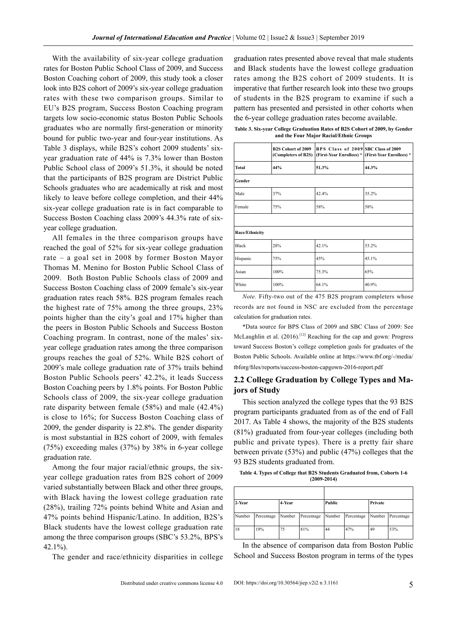With the availability of six-year college graduation rates for Boston Public School Class of 2009, and Success Boston Coaching cohort of 2009, this study took a closer look into B2S cohort of 2009's six-year college graduation rates with these two comparison groups. Similar to EU's B2S program, Success Boston Coaching program targets low socio-economic status Boston Public Schools graduates who are normally first-generation or minority bound for public two-year and four-year institutions. As Table 3 displays, while B2S's cohort 2009 students' sixyear graduation rate of 44% is 7.3% lower than Boston Public School class of 2009's 51.3%, it should be noted that the participants of B2S program are District Public Schools graduates who are academically at risk and most likely to leave before college completion, and their 44% six-year college graduation rate is in fact comparable to Success Boston Coaching class 2009's 44.3% rate of sixyear college graduation.

All females in the three comparison groups have reached the goal of 52% for six-year college graduation rate – a goal set in 2008 by former Boston Mayor Thomas M. Menino for Boston Public School Class of 2009. Both Boston Public Schools class of 2009 and Success Boston Coaching class of 2009 female's six-year graduation rates reach 58%. B2S program females reach the highest rate of 75% among the three groups, 23% points higher than the city's goal and 17% higher than the peers in Boston Public Schools and Success Boston Coaching program. In contrast, none of the males' sixyear college graduation rates among the three comparison groups reaches the goal of 52%. While B2S cohort of 2009's male college graduation rate of 37% trails behind Boston Public Schools peers' 42.2%, it leads Success Boston Coaching peers by 1.8% points. For Boston Public Schools class of 2009, the six-year college graduation rate disparity between female (58%) and male (42.4%) is close to 16%; for Success Boston Coaching class of 2009, the gender disparity is 22.8%. The gender disparity is most substantial in B2S cohort of 2009, with females (75%) exceeding males (37%) by 38% in 6-year college graduation rate.

Among the four major racial/ethnic groups, the sixyear college graduation rates from B2S cohort of 2009 varied substantially between Black and other three groups, with Black having the lowest college graduation rate (28%), trailing 72% points behind White and Asian and 47% points behind Hispanic/Latino. In addition, B2S's Black students have the lowest college graduation rate among the three comparison groups (SBC's 53.2%, BPS's 42.1%).

The gender and race/ethnicity disparities in college

graduation rates presented above reveal that male students and Black students have the lowest college graduation rates among the B2S cohort of 2009 students. It is imperative that further research look into these two groups of students in the B2S program to examine if such a pattern has presented and persisted in other cohorts when the 6-year college graduation rates become available.

**Table 3. Six-year College Graduation Rates of B2S Cohort of 2009, by Gender and the Four Major Racial/Ethnic Groups** 

| <b>B2S Cohort of 2009</b><br>(Completers of B2S) |              | BPS Class of 2009 SBC Class of 2009 | (First-Year Enrollees) * (First-Year Enrollees) * |  |
|--------------------------------------------------|--------------|-------------------------------------|---------------------------------------------------|--|
| <b>Total</b>                                     | 44%          | 51.3%                               | 44.3%                                             |  |
| Gender                                           |              |                                     |                                                   |  |
| Male                                             | 37%<br>42.4% |                                     | 35.2%                                             |  |
| Female<br>75%                                    |              | 58%                                 | 58%                                               |  |
|                                                  |              |                                     |                                                   |  |
| Race/Ethnicity                                   |              |                                     |                                                   |  |
| <b>Black</b>                                     | 28%          | 42.1%                               | 53.2%                                             |  |
| Hispanic                                         | 75%          | 45%                                 | 45.1%                                             |  |
| Asian                                            | 100%         | 65%<br>75.3%                        |                                                   |  |
| White                                            | 100%         | 64.1%                               | 40.9%                                             |  |

*Note.* Fifty-two out of the 475 B2S program completers whose records are not found in NSC are excluded from the percentage calculation for graduation rates.

\*Data source for BPS Class of 2009 and SBC Class of 2009: See McLaughlin et al. (2016).<sup>[12]</sup> Reaching for the cap and gown: Progress toward Success Boston's college completion goals for graduates of the Boston Public Schools. Available online at https://www.tbf.org/-/media/ tbforg/files/reports/success-boston-capgown-2016-report.pdf

#### **2.2 College Graduation by College Types and Majors of Study**

This section analyzed the college types that the 93 B2S program participants graduated from as of the end of Fall 2017. As Table 4 shows, the majority of the B2S students (81%) graduated from four-year colleges (including both public and private types). There is a pretty fair share between private (53%) and public (47%) colleges that the 93 B2S students graduated from.

**Table 4. Types of College that B2S Students Graduated from, Cohorts 1-6 (2009-2014)** 

| 2-Year<br>4-Year |            | Public<br>Private |            |        |            |        |            |
|------------------|------------|-------------------|------------|--------|------------|--------|------------|
| Number           | Percentage | Number            | Percentage | Number | Percentage | Number | Percentage |
| 18               | 19%        | 75                | 81%        | 44     | 47%        | 49     | 53%        |

In the absence of comparison data from Boston Public School and Success Boston program in terms of the types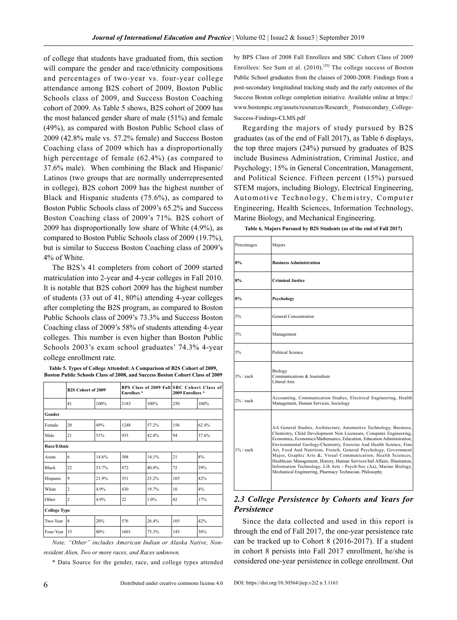of college that students have graduated from, this section will compare the gender and race/ethnicity compositions and percentages of two-year vs. four-year college attendance among B2S cohort of 2009, Boston Public Schools class of 2009, and Success Boston Coaching cohort of 2009. As Table 5 shows, B2S cohort of 2009 has the most balanced gender share of male (51%) and female (49%), as compared with Boston Public School class of 2009 (42.8% male vs. 57.2% female) and Success Boston Coaching class of 2009 which has a disproportionally high percentage of female (62.4%) (as compared to 37.6% male). When combining the Black and Hispanic/ Latinos (two groups that are normally underrepresented in college), B2S cohort 2009 has the highest number of Black and Hispanic students (75.6%), as compared to Boston Public Schools class of 2009's 65.2% and Success Boston Coaching class of 2009's 71%. B2S cohort of 2009 has disproportionally low share of White (4.9%), as compared to Boston Public Schools class of 2009 (19.7%), but is similar to Success Boston Coaching class of 2009's 4% of White.

The B2S's 41 completers from cohort of 2009 started matriculation into 2-year and 4-year colleges in Fall 2010. It is notable that B2S cohort 2009 has the highest number of students (33 out of 41, 80%) attending 4-year colleges after completing the B2S program, as compared to Boston Public Schools class of 2009's 73.3% and Success Boston Coaching class of 2009's 58% of students attending 4-year colleges. This number is even higher than Boston Public Schools 2003's exam school graduates' 74.3% 4-year college enrollment rate.

**Table 5. Types of College Attended: A Comparison of B2S Cohort of 2009, Boston Public Schools Class of 2008, and Success Boston Cohort Class of 2009**

|              | <b>B2S Cohort of 2009</b> |       | <b>Enrollees</b> * |       | BPS Class of 2009 Fall SBC Cohort Class of<br>2009 Enrollees * |       |  |  |  |
|--------------|---------------------------|-------|--------------------|-------|----------------------------------------------------------------|-------|--|--|--|
|              | 41                        | 100%  | 2183               | 100%  | 250                                                            | 100%  |  |  |  |
| Gender       |                           |       |                    |       |                                                                |       |  |  |  |
| Female       | 20                        | 49%   | 1248               | 57 2% | 156                                                            | 62.4% |  |  |  |
| Male         | 21                        | 51%   | 935                | 42.8% | 94                                                             | 37.6% |  |  |  |
| Race/Ethnic  |                           |       |                    |       |                                                                |       |  |  |  |
| Asian        | 6                         | 14.6% | 308                | 14 1% | 21                                                             | 8%    |  |  |  |
| <b>Black</b> | 22                        | 53 7% | 872                | 40.0% | 72                                                             | 29%   |  |  |  |
| Hispanic     | 9                         | 21.9% | 551                | 25.2% | 105                                                            | 42%   |  |  |  |
| White        | $\overline{c}$            | 4.9%  | 430                | 19.7% | 10                                                             | 4%    |  |  |  |
| Other        | $\overline{c}$            | 4.9%  | 22                 | 1.0%  | 42                                                             | 17%   |  |  |  |
|              | <b>College Type</b>       |       |                    |       |                                                                |       |  |  |  |
| Two-Year     | 8                         | 20%   | 576                | 26.4% | 105                                                            | 42%   |  |  |  |
| Four-Year    | 33                        | 80%   | 1601               | 73.3% | 145                                                            | 58%   |  |  |  |

*Note. "Other" includes American Indian or Alaska Native, Nonresident Alien, Two or more races, and Races unknown.*

\* Data Source for the gender, race, and college types attended

by BPS Class of 2008 Fall Enrollees and SBC Cohort Class of 2009 Enrollees: See Sum et al. (2010).<sup>[20]</sup> The college success of Boston Public School graduates from the classes of 2000-2008: Findings from a post-secondary longitudinal tracking study and the early outcomes of the Success Boston college completion initiative. Available online at https:// www.bostonpic.org/assets/resources/Research\_ Postsecondary\_College-Success-Findings-CLMS.pdf

Regarding the majors of study pursued by B2S graduates (as of the end of Fall 2017), as Table 6 displays, the top three majors (24%) pursued by graduates of B2S include Business Administration, Criminal Justice, and Psychology; 15% in General Concentration, Management, and Political Science. Fifteen percent (15%) pursued STEM majors, including Biology, Electrical Engineering, Automotive Technology, Chemistry, Computer Engineering, Health Sciences, Information Technology, Marine Biology, and Mechanical Engineering.

|  |  |  | Table 6. Majors Pursued by B2S Students (as of the end of Fall 2017) |  |  |  |  |
|--|--|--|----------------------------------------------------------------------|--|--|--|--|
|  |  |  |                                                                      |  |  |  |  |

| Percentages  | Majors                                                                                                                                                                                                                                                                                                                                                                                                                                                                                                                                                                                                                                     |
|--------------|--------------------------------------------------------------------------------------------------------------------------------------------------------------------------------------------------------------------------------------------------------------------------------------------------------------------------------------------------------------------------------------------------------------------------------------------------------------------------------------------------------------------------------------------------------------------------------------------------------------------------------------------|
| 8%           | <b>Business Administration</b>                                                                                                                                                                                                                                                                                                                                                                                                                                                                                                                                                                                                             |
| 8%           | <b>Criminal Justice</b>                                                                                                                                                                                                                                                                                                                                                                                                                                                                                                                                                                                                                    |
| 8%           | Psychology                                                                                                                                                                                                                                                                                                                                                                                                                                                                                                                                                                                                                                 |
| 5%           | General Concentration                                                                                                                                                                                                                                                                                                                                                                                                                                                                                                                                                                                                                      |
| 5%           | Management                                                                                                                                                                                                                                                                                                                                                                                                                                                                                                                                                                                                                                 |
| 5%           | Political Science                                                                                                                                                                                                                                                                                                                                                                                                                                                                                                                                                                                                                          |
| $3\%$ / each | Biology<br>Communications & Journalism<br>Liberal Arts                                                                                                                                                                                                                                                                                                                                                                                                                                                                                                                                                                                     |
| $2\%$ / each | Accounting, Communication Studies, Electrical Engineering, Health<br>Management, Human Services, Sociology                                                                                                                                                                                                                                                                                                                                                                                                                                                                                                                                 |
| $1\%$ / each | AA General Studies, Architecture, Automotive Technology, Business,<br>Chemistry, Child Development Non Licensure, Computer Engineering,<br>Economics, Economics/Mathematics, Education, Education Administration,<br>Environmental Geology/Chemistry, Exercise And Health Science, Fine<br>Art, Food And Nutrition, French, General Psychology, Government<br>Major, Graphic Arts &, Visual Communication, Health Sciences,<br>Healthcare Management, History, Human Services/Intl Affairs, Illustration,<br>Information Technology, Lib Arts - Psych/Soc (Aa), Marine Biology,<br>Mechanical Engineering, Pharmacy Technician, Philosophy |

#### *2.3 College Persistence by Cohorts and Years for Persistence*

Since the data collected and used in this report is through the end of Fall 2017, the one-year persistence rate can be tracked up to Cohort 8 (2016-2017). If a student in cohort 8 persists into Fall 2017 enrollment, he/she is considered one-year persistence in college enrollment. Out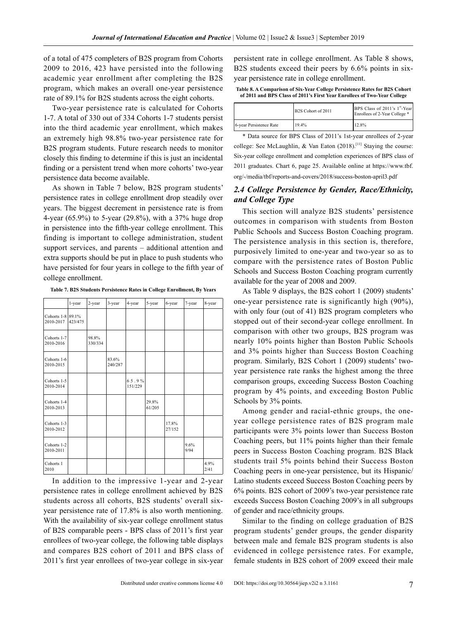of a total of 475 completers of B2S program from Cohorts 2009 to 2016, 423 have persisted into the following academic year enrollment after completing the B2S program, which makes an overall one-year persistence rate of 89.1% for B2S students across the eight cohorts.

Two-year persistence rate is calculated for Cohorts 1-7. A total of 330 out of 334 Cohorts 1-7 students persist into the third academic year enrollment, which makes an extremely high 98.8% two-year persistence rate for B2S program students. Future research needs to monitor closely this finding to determine if this is just an incidental finding or a persistent trend when more cohorts' two-year persistence data become available.

As shown in Table 7 below, B2S program students' persistence rates in college enrollment drop steadily over years. The biggest decrement in persistence rate is from 4-year (65.9%) to 5-year (29.8%), with a 37% huge drop in persistence into the fifth-year college enrollment. This finding is important to college administration, student support services, and parents – additional attention and extra supports should be put in place to push students who have persisted for four years in college to the fifth year of college enrollment.

**Table 7. B2S Students Persistence Rates in College Enrollment, By Years**

|                                | 1-year  | 2-year           | 3-year           | 4-year           | 5-year          | 6-year          | 7-year       | 8-year       |
|--------------------------------|---------|------------------|------------------|------------------|-----------------|-----------------|--------------|--------------|
| Cohorts 1-8 89.1%<br>2010-2017 | 423/475 |                  |                  |                  |                 |                 |              |              |
| Cohorts 1-7<br>2010-2016       |         | 98.8%<br>330/334 |                  |                  |                 |                 |              |              |
| Cohorts 1-6<br>2010-2015       |         |                  | 83.6%<br>240/287 |                  |                 |                 |              |              |
| Cohorts 1-5<br>2010-2014       |         |                  |                  | 65.9%<br>151/229 |                 |                 |              |              |
| Cohorts 1-4<br>2010-2013       |         |                  |                  |                  | 29.8%<br>61/205 |                 |              |              |
| Cohorts 1-3<br>2010-2012       |         |                  |                  |                  |                 | 17.8%<br>27/152 |              |              |
| Cohorts 1-2<br>2010-2011       |         |                  |                  |                  |                 |                 | 9.6%<br>9/94 |              |
| Cohorts 1<br>2010              |         |                  |                  |                  |                 |                 |              | 4.9%<br>2/41 |

In addition to the impressive 1-year and 2-year persistence rates in college enrollment achieved by B2S students across all cohorts, B2S students' overall sixyear persistence rate of 17.8% is also worth mentioning. With the availability of six-year college enrollment status of B2S comparable peers - BPS class of 2011's first year enrollees of two-year college, the following table displays and compares B2S cohort of 2011 and BPS class of 2011's first year enrollees of two-year college in six-year

persistent rate in college enrollment. As Table 8 shows, B2S students exceed their peers by 6.6% points in sixyear persistence rate in college enrollment.

**Table 8. A Comparison of Six-Year College Persistence Rates for B2S Cohort of 2011 and BPS Class of 2011's First Year Enrollees of Two-Year College**

|                         | B2S Cohort of 2011 | BPS Class of 2011's 1st-Year<br>Enrollees of 2-Year College * |
|-------------------------|--------------------|---------------------------------------------------------------|
| 6-year Persistence Rate | 194%               | 12.8%                                                         |

\* Data source for BPS Class of 2011's 1st-year enrollees of 2-year college: See McLaughlin, & Van Eaton (2018).<sup>[11]</sup> Staying the course: Six-year college enrollment and completion experiences of BPS class of 2011 graduates. Chart 6, page 25. Available online at https://www.tbf. org/-/media/tbf/reports-and-covers/2018/success-boston-april3.pdf

#### *2.4 College Persistence by Gender, Race/Ethnicity, and College Type*

This section will analyze B2S students' persistence outcomes in comparison with students from Boston Public Schools and Success Boston Coaching program. The persistence analysis in this section is, therefore, purposively limited to one-year and two-year so as to compare with the persistence rates of Boston Public Schools and Success Boston Coaching program currently available for the year of 2008 and 2009.

As Table 9 displays, the B2S cohort 1 (2009) students' one-year persistence rate is significantly high (90%), with only four (out of 41) B2S program completers who stopped out of their second-year college enrollment. In comparison with other two groups, B2S program was nearly 10% points higher than Boston Public Schools and 3% points higher than Success Boston Coaching program. Similarly, B2S Cohort 1 (2009) students' twoyear persistence rate ranks the highest among the three comparison groups, exceeding Success Boston Coaching program by 4% points, and exceeding Boston Public Schools by 3% points.

Among gender and racial-ethnic groups, the oneyear college persistence rates of B2S program male participants were 3% points lower than Success Boston Coaching peers, but 11% points higher than their female peers in Success Boston Coaching program. B2S Black students trail 5% points behind their Success Boston Coaching peers in one-year persistence, but its Hispanic/ Latino students exceed Success Boston Coaching peers by 6% points. B2S cohort of 2009's two-year persistence rate exceeds Success Boston Coaching 2009's in all subgroups of gender and race/ethnicity groups.

Similar to the finding on college graduation of B2S program students' gender groups, the gender disparity between male and female B2S program students is also evidenced in college persistence rates. For example, female students in B2S cohort of 2009 exceed their male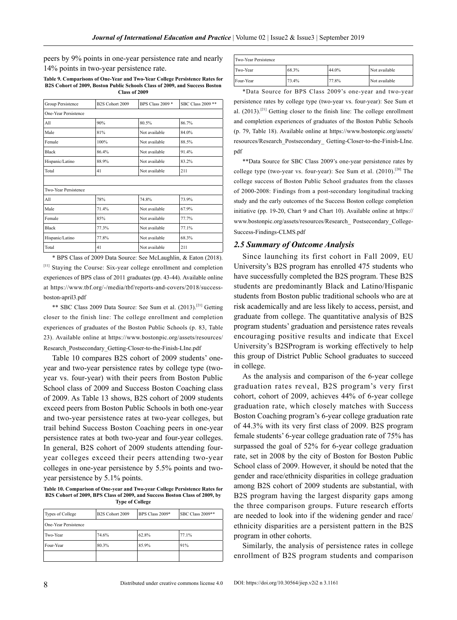peers by 9% points in one-year persistence rate and nearly 14% points in two-year persistence rate.

**Table 9. Comparisons of One-Year and Two-Year College Persistence Rates for B2S Cohort of 2009, Boston Public Schools Class of 2009, and Success Boston Class of 2009**

| Group Persistence    | B2S Cohort 2009 | <b>BPS Class 2009 *</b> | SBC Class 2009 ** |
|----------------------|-----------------|-------------------------|-------------------|
| One-Year Persistence |                 |                         |                   |
| All                  | 90%<br>80.5%    |                         | 86.7%             |
| Male                 | 81%             | Not available           | 84.0%             |
| Female               | 100%            | Not available           | 88.5%             |
| <b>Black</b>         | 86.4%           | Not available           | 914%              |
| Hispanic/Latino      | 88.9%           | Not available           | 83.2%             |
| Total                | 41              | Not available           | 211               |
|                      |                 |                         |                   |
| Two-Year Persistence |                 |                         |                   |
| All                  | 78%             | 74.8%                   | 73.9%             |
| Male                 | 714%            | Not available           | 67.9%             |
| Female               | 85%             | Not available           | 77.7%             |
| <b>Black</b>         | 77.3%           | Not available           | 77.1%             |
| Hispanic/Latino      | 77.8%           | Not available           | 68.3%             |
| Total                | 41              | Not available           | 211               |

\* BPS Class of 2009 Data Source: See McLaughlin, & Eaton (2018). [11] Staying the Course: Six-year college enrollment and completion experiences of BPS class of 2011 graduates (pp. 43-44). Available online at https://www.tbf.org/-/media/tbf/reports-and-covers/2018/successboston-april3.pdf

\*\* SBC Class 2009 Data Source: See Sum et al. (2013).[21] Getting closer to the finish line: The college enrollment and completion experiences of graduates of the Boston Public Schools (p. 83, Table 23). Available online at https://www.bostonpic.org/assets/resources/ Research\_Postsecondary\_Getting-Closer-to-the-Finish-LIne.pdf

Table 10 compares B2S cohort of 2009 students' oneyear and two-year persistence rates by college type (twoyear vs. four-year) with their peers from Boston Public School class of 2009 and Success Boston Coaching class of 2009. As Table 13 shows, B2S cohort of 2009 students exceed peers from Boston Public Schools in both one-year and two-year persistence rates at two-year colleges, but trail behind Success Boston Coaching peers in one-year persistence rates at both two-year and four-year colleges. In general, B2S cohort of 2009 students attending fouryear colleges exceed their peers attending two-year colleges in one-year persistence by 5.5% points and twoyear persistence by 5.1% points.

**Table 10. Comparison of One-year and Two-year College Persistence Rates for B2S Cohort of 2009, BPS Class of 2009, and Success Boston Class of 2009, by Type of College**

| Types of College     | BPS Class 2009*<br>B2S Cohort 2009 | SBC Class 2009** |       |  |
|----------------------|------------------------------------|------------------|-------|--|
| One-Year Persistence |                                    |                  |       |  |
| Two-Year             | 74.6%                              | 62.8%            | 77.1% |  |
| Four-Year            | 80.3%                              | 85.9%            | 91%   |  |
|                      |                                    |                  |       |  |

| Two-Year Persistence |       |       |               |  |
|----------------------|-------|-------|---------------|--|
| Two-Year             | 68.3% | 44.0% | Not available |  |
| Four-Year            | 73.4% | 77.8% | Not available |  |

\*Data Source for BPS Class 2009's one-year and two-year persistence rates by college type (two-year vs. four-year): See Sum et al.  $(2013)$ .<sup>[21]</sup> Getting closer to the finish line: The college enrollment and completion experiences of graduates of the Boston Public Schools (p. 79, Table 18). Available online at https://www.bostonpic.org/assets/ resources/Research\_Postsecondary\_ Getting-Closer-to-the-Finish-LIne. pdf

\*\*Data Source for SBC Class 2009's one-year persistence rates by college type (two-year vs. four-year): See Sum et al.  $(2010)$ .<sup>[20]</sup> The college success of Boston Public School graduates from the classes of 2000-2008: Findings from a post-secondary longitudinal tracking study and the early outcomes of the Success Boston college completion initiative (pp. 19-20, Chart 9 and Chart 10). Available online at https:// www.bostonpic.org/assets/resources/Research\_ Postsecondary\_College-Success-Findings-CLMS.pdf

#### *2.5 Summary of Outcome Analysis*

Since launching its first cohort in Fall 2009, EU University's B2S program has enrolled 475 students who have successfully completed the B2S program. These B2S students are predominantly Black and Latino/Hispanic students from Boston public traditional schools who are at risk academically and are less likely to access, persist, and graduate from college. The quantitative analysis of B2S program students' graduation and persistence rates reveals encouraging positive results and indicate that Excel University's B2SProgram is working effectively to help this group of District Public School graduates to succeed in college.

As the analysis and comparison of the 6-year college graduation rates reveal, B2S program's very first cohort, cohort of 2009, achieves 44% of 6-year college graduation rate, which closely matches with Success Boston Coaching program's 6-year college graduation rate of 44.3% with its very first class of 2009. B2S program female students' 6-year college graduation rate of 75% has surpassed the goal of 52% for 6-year college graduation rate, set in 2008 by the city of Boston for Boston Public School class of 2009. However, it should be noted that the gender and race/ethnicity disparities in college graduation among B2S cohort of 2009 students are substantial, with B2S program having the largest disparity gaps among the three comparison groups. Future research efforts are needed to look into if the widening gender and race/ ethnicity disparities are a persistent pattern in the B2S program in other cohorts.

Similarly, the analysis of persistence rates in college enrollment of B2S program students and comparison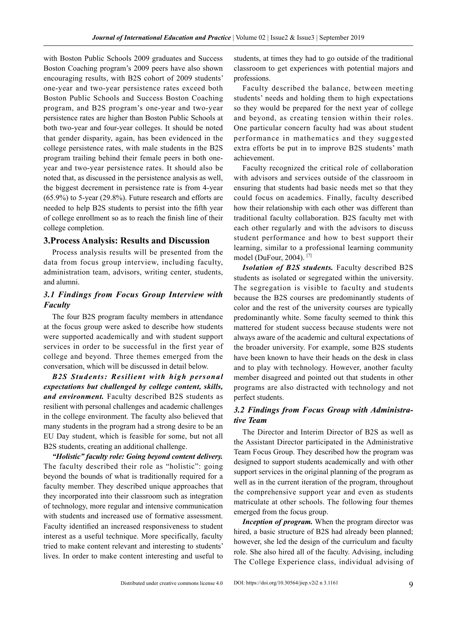with Boston Public Schools 2009 graduates and Success Boston Coaching program's 2009 peers have also shown encouraging results, with B2S cohort of 2009 students' one-year and two-year persistence rates exceed both Boston Public Schools and Success Boston Coaching program, and B2S program's one-year and two-year persistence rates are higher than Boston Public Schools at both two-year and four-year colleges. It should be noted that gender disparity, again, has been evidenced in the college persistence rates, with male students in the B2S program trailing behind their female peers in both oneyear and two-year persistence rates. It should also be noted that, as discussed in the persistence analysis as well, the biggest decrement in persistence rate is from 4-year (65.9%) to 5-year (29.8%). Future research and efforts are needed to help B2S students to persist into the fifth year of college enrollment so as to reach the finish line of their college completion.

#### **3.Process Analysis: Results and Discussion**

Process analysis results will be presented from the data from focus group interview, including faculty, administration team, advisors, writing center, students, and alumni.

#### *3.1 Findings from Focus Group Interview with Faculty*

The four B2S program faculty members in attendance at the focus group were asked to describe how students were supported academically and with student support services in order to be successful in the first year of college and beyond. Three themes emerged from the conversation, which will be discussed in detail below.

*B2S Students: Resilient with high personal expectations but challenged by college content, skills, and environment.* Faculty described B2S students as resilient with personal challenges and academic challenges in the college environment. The faculty also believed that many students in the program had a strong desire to be an EU Day student, which is feasible for some, but not all B2S students, creating an additional challenge.

*"Holistic" faculty role: Going beyond content delivery.*  The faculty described their role as "holistic": going beyond the bounds of what is traditionally required for a faculty member. They described unique approaches that they incorporated into their classroom such as integration of technology, more regular and intensive communication with students and increased use of formative assessment. Faculty identified an increased responsiveness to student interest as a useful technique. More specifically, faculty tried to make content relevant and interesting to students' lives. In order to make content interesting and useful to

students, at times they had to go outside of the traditional classroom to get experiences with potential majors and professions.

Faculty described the balance, between meeting students' needs and holding them to high expectations so they would be prepared for the next year of college and beyond, as creating tension within their roles. One particular concern faculty had was about student performance in mathematics and they suggested extra efforts be put in to improve B2S students' math achievement.

Faculty recognized the critical role of collaboration with advisors and services outside of the classroom in ensuring that students had basic needs met so that they could focus on academics. Finally, faculty described how their relationship with each other was different than traditional faculty collaboration. B2S faculty met with each other regularly and with the advisors to discuss student performance and how to best support their learning, similar to a professional learning community model (DuFour, 2004). [7]

*Isolation of B2S students.* Faculty described B2S students as isolated or segregated within the university. The segregation is visible to faculty and students because the B2S courses are predominantly students of color and the rest of the university courses are typically predominantly white. Some faculty seemed to think this mattered for student success because students were not always aware of the academic and cultural expectations of the broader university. For example, some B2S students have been known to have their heads on the desk in class and to play with technology. However, another faculty member disagreed and pointed out that students in other programs are also distracted with technology and not perfect students.

#### *3.2 Findings from Focus Group with Administrative Team*

The Director and Interim Director of B2S as well as the Assistant Director participated in the Administrative Team Focus Group. They described how the program was designed to support students academically and with other support services in the original planning of the program as well as in the current iteration of the program, throughout the comprehensive support year and even as students matriculate at other schools. The following four themes emerged from the focus group.

*Inception of program.* When the program director was hired, a basic structure of B2S had already been planned; however, she led the design of the curriculum and faculty role. She also hired all of the faculty. Advising, including The College Experience class, individual advising of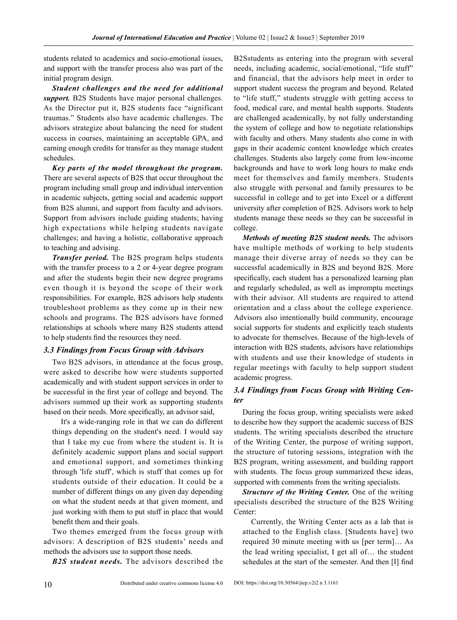students related to academics and socio-emotional issues, and support with the transfer process also was part of the initial program design.

*Student challenges and the need for additional support.* B2S Students have major personal challenges. As the Director put it, B2S students face "significant traumas." Students also have academic challenges. The advisors strategize about balancing the need for student success in courses, maintaining an acceptable GPA, and earning enough credits for transfer as they manage student schedules.

*Key parts of the model throughout the program.* There are several aspects of B2S that occur throughout the program including small group and individual intervention in academic subjects, getting social and academic support from B2S alumni, and support from faculty and advisors. Support from advisors include guiding students; having high expectations while helping students navigate challenges; and having a holistic, collaborative approach to teaching and advising.

*Transfer period.* The B2S program helps students with the transfer process to a 2 or 4-year degree program and after the students begin their new degree programs even though it is beyond the scope of their work responsibilities. For example, B2S advisors help students troubleshoot problems as they come up in their new schools and programs. The B2S advisors have formed relationships at schools where many B2S students attend to help students find the resources they need.

#### *3.3 Findings from Focus Group with Advisors*

Two B2S advisors, in attendance at the focus group, were asked to describe how were students supported academically and with student support services in order to be successful in the first year of college and beyond. The advisors summed up their work as supporting students based on their needs. More specifically, an advisor said,

It's a wide-ranging role in that we can do different things depending on the student's need. I would say that I take my cue from where the student is. It is definitely academic support plans and social support and emotional support, and sometimes thinking through 'life stuff', which is stuff that comes up for students outside of their education. It could be a number of different things on any given day depending on what the student needs at that given moment, and just working with them to put stuff in place that would benefit them and their goals.

Two themes emerged from the focus group with advisors: A description of B2S students' needs and methods the advisors use to support those needs.

*B2S student needs.* The advisors described the

B2Sstudents as entering into the program with several needs, including academic, social/emotional, "life stuff" and financial, that the advisors help meet in order to support student success the program and beyond. Related to "life stuff," students struggle with getting access to food, medical care, and mental health supports. Students are challenged academically, by not fully understanding the system of college and how to negotiate relationships with faculty and others. Many students also come in with gaps in their academic content knowledge which creates challenges. Students also largely come from low-income backgrounds and have to work long hours to make ends meet for themselves and family members. Students also struggle with personal and family pressures to be successful in college and to get into Excel or a different university after completion of B2S. Advisors work to help students manage these needs so they can be successful in college.

*Methods of meeting B2S student needs.* The advisors have multiple methods of working to help students manage their diverse array of needs so they can be successful academically in B2S and beyond B2S. More specifically, each student has a personalized learning plan and regularly scheduled, as well as impromptu meetings with their advisor. All students are required to attend orientation and a class about the college experience. Advisors also intentionally build community, encourage social supports for students and explicitly teach students to advocate for themselves. Because of the high-levels of interaction with B2S students, advisors have relationships with students and use their knowledge of students in regular meetings with faculty to help support student academic progress.

#### *3.4 Findings from Focus Group with Writing Center*

During the focus group, writing specialists were asked to describe how they support the academic success of B2S students. The writing specialists described the structure of the Writing Center, the purpose of writing support, the structure of tutoring sessions, integration with the B2S program, writing assessment, and building rapport with students. The focus group summarized these ideas, supported with comments from the writing specialists.

*Structure of the Writing Center.* One of the writing specialists described the structure of the B2S Writing Center:

Currently, the Writing Center acts as a lab that is attached to the English class. [Students have] two required 30 minute meeting with us [per term]… As the lead writing specialist, I get all of… the student schedules at the start of the semester. And then [I] find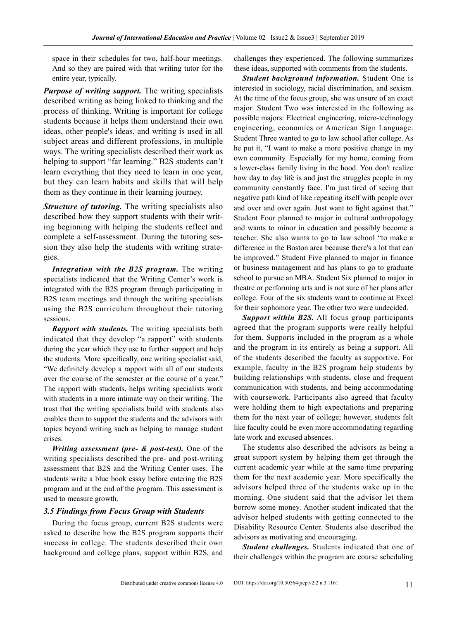space in their schedules for two, half-hour meetings. And so they are paired with that writing tutor for the entire year, typically.

*Purpose of writing support.* The writing specialists described writing as being linked to thinking and the process of thinking. Writing is important for college students because it helps them understand their own ideas, other people's ideas, and writing is used in all subject areas and different professions, in multiple ways. The writing specialists described their work as helping to support "far learning." B2S students can't learn everything that they need to learn in one year, but they can learn habits and skills that will help them as they continue in their learning journey.

*Structure of tutoring.* The writing specialists also described how they support students with their writing beginning with helping the students reflect and complete a self-assessment. During the tutoring session they also help the students with writing strategies.

*Integration with the B2S program.* The writing specialists indicated that the Writing Center's work is integrated with the B2S program through participating in B2S team meetings and through the writing specialists using the B2S curriculum throughout their tutoring sessions.

*Rapport with students.* The writing specialists both indicated that they develop "a rapport" with students during the year which they use to further support and help the students. More specifically, one writing specialist said, "We definitely develop a rapport with all of our students over the course of the semester or the course of a year." The rapport with students, helps writing specialists work with students in a more intimate way on their writing. The trust that the writing specialists build with students also enables them to support the students and the advisors with topics beyond writing such as helping to manage student crises.

*Writing assessment (pre- & post-test).* One of the writing specialists described the pre- and post-writing assessment that B2S and the Writing Center uses. The students write a blue book essay before entering the B2S program and at the end of the program. This assessment is used to measure growth.

#### *3.5 Findings from Focus Group with Students*

During the focus group, current B2S students were asked to describe how the B2S program supports their success in college. The students described their own background and college plans, support within B2S, and

challenges they experienced. The following summarizes these ideas, supported with comments from the students.

*Student background information.* Student One is interested in sociology, racial discrimination, and sexism. At the time of the focus group, she was unsure of an exact major. Student Two was interested in the following as possible majors: Electrical engineering, micro-technology engineering, economics or American Sign Language. Student Three wanted to go to law school after college. As he put it, "I want to make a more positive change in my own community. Especially for my home, coming from a lower-class family living in the hood. You don't realize how day to day life is and just the struggles people in my community constantly face. I'm just tired of seeing that negative path kind of like repeating itself with people over and over and over again. Just want to fight against that." Student Four planned to major in cultural anthropology and wants to minor in education and possibly become a teacher. She also wants to go to law school "to make a difference in the Boston area because there's a lot that can be improved." Student Five planned to major in finance or business management and has plans to go to graduate school to pursue an MBA. Student Six planned to major in theatre or performing arts and is not sure of her plans after college. Four of the six students want to continue at Excel for their sophomore year. The other two were undecided.

*Support within B2S.* All focus group participants agreed that the program supports were really helpful for them. Supports included in the program as a whole and the program in its entirely as being a support. All of the students described the faculty as supportive. For example, faculty in the B2S program help students by building relationships with students, close and frequent communication with students, and being accommodating with coursework. Participants also agreed that faculty were holding them to high expectations and preparing them for the next year of college; however, students felt like faculty could be even more accommodating regarding late work and excused absences.

The students also described the advisors as being a great support system by helping them get through the current academic year while at the same time preparing them for the next academic year. More specifically the advisors helped three of the students wake up in the morning. One student said that the advisor let them borrow some money. Another student indicated that the advisor helped students with getting connected to the Disability Resource Center. Students also described the advisors as motivating and encouraging.

*Student challenges.* Students indicated that one of their challenges within the program are course scheduling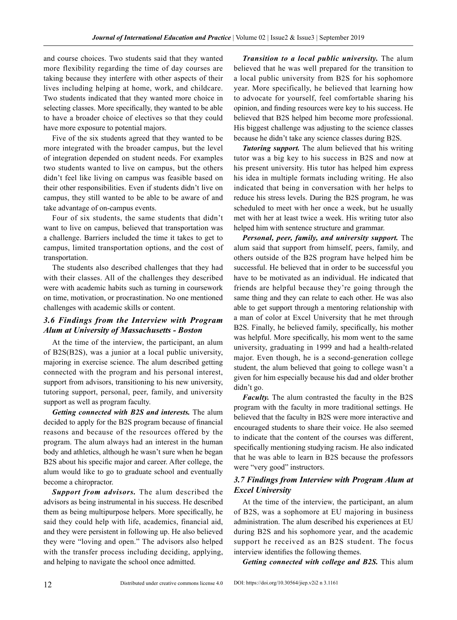and course choices. Two students said that they wanted more flexibility regarding the time of day courses are taking because they interfere with other aspects of their lives including helping at home, work, and childcare. Two students indicated that they wanted more choice in selecting classes. More specifically, they wanted to be able to have a broader choice of electives so that they could have more exposure to potential majors.

Five of the six students agreed that they wanted to be more integrated with the broader campus, but the level of integration depended on student needs. For examples two students wanted to live on campus, but the others didn't feel like living on campus was feasible based on their other responsibilities. Even if students didn't live on campus, they still wanted to be able to be aware of and take advantage of on-campus events.

Four of six students, the same students that didn't want to live on campus, believed that transportation was a challenge. Barriers included the time it takes to get to campus, limited transportation options, and the cost of transportation.

The students also described challenges that they had with their classes. All of the challenges they described were with academic habits such as turning in coursework on time, motivation, or procrastination. No one mentioned challenges with academic skills or content.

#### *3.6 Findings from the Interview with Program Alum at University of Massachusetts - Boston*

At the time of the interview, the participant, an alum of B2S(B2S), was a junior at a local public university, majoring in exercise science. The alum described getting connected with the program and his personal interest, support from advisors, transitioning to his new university, tutoring support, personal, peer, family, and university support as well as program faculty.

*Getting connected with B2S and interests.* The alum decided to apply for the B2S program because of financial reasons and because of the resources offered by the program. The alum always had an interest in the human body and athletics, although he wasn't sure when he began B2S about his specific major and career. After college, the alum would like to go to graduate school and eventually become a chiropractor.

*Support from advisors.* The alum described the advisors as being instrumental in his success. He described them as being multipurpose helpers. More specifically, he said they could help with life, academics, financial aid, and they were persistent in following up. He also believed they were "loving and open." The advisors also helped with the transfer process including deciding, applying, and helping to navigate the school once admitted.

*Transition to a local public university.* The alum believed that he was well prepared for the transition to a local public university from B2S for his sophomore year. More specifically, he believed that learning how to advocate for yourself, feel comfortable sharing his opinion, and finding resources were key to his success. He believed that B2S helped him become more professional. His biggest challenge was adjusting to the science classes because he didn't take any science classes during B2S.

*Tutoring support.* The alum believed that his writing tutor was a big key to his success in B2S and now at his present university. His tutor has helped him express his idea in multiple formats including writing. He also indicated that being in conversation with her helps to reduce his stress levels. During the B2S program, he was scheduled to meet with her once a week, but he usually met with her at least twice a week. His writing tutor also helped him with sentence structure and grammar.

*Personal, peer, family, and university support.* The alum said that support from himself, peers, family, and others outside of the B2S program have helped him be successful. He believed that in order to be successful you have to be motivated as an individual. He indicated that friends are helpful because they're going through the same thing and they can relate to each other. He was also able to get support through a mentoring relationship with a man of color at Excel University that he met through B2S. Finally, he believed family, specifically, his mother was helpful. More specifically, his mom went to the same university, graduating in 1999 and had a health-related major. Even though, he is a second-generation college student, the alum believed that going to college wasn't a given for him especially because his dad and older brother didn't go.

*Faculty*. The alum contrasted the faculty in the B2S program with the faculty in more traditional settings. He believed that the faculty in B2S were more interactive and encouraged students to share their voice. He also seemed to indicate that the content of the courses was different, specifically mentioning studying racism. He also indicated that he was able to learn in B2S because the professors were "very good" instructors.

#### *3.7 Findings from Interview with Program Alum at Excel University*

At the time of the interview, the participant, an alum of B2S, was a sophomore at EU majoring in business administration. The alum described his experiences at EU during B2S and his sophomore year, and the academic support he received as an B2S student. The focus interview identifies the following themes.

*Getting connected with college and B2S.* This alum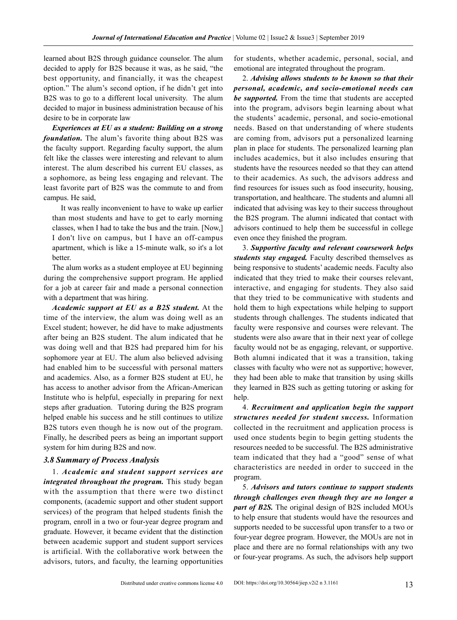learned about B2S through guidance counselor. The alum decided to apply for B2S because it was, as he said, "the best opportunity, and financially, it was the cheapest option." The alum's second option, if he didn't get into B2S was to go to a different local university. The alum decided to major in business administration because of his desire to be in corporate law

*Experiences at EU as a student: Building on a strong foundation.* The alum's favorite thing about B2S was the faculty support. Regarding faculty support, the alum felt like the classes were interesting and relevant to alum interest. The alum described his current EU classes, as a sophomore, as being less engaging and relevant. The least favorite part of B2S was the commute to and from campus. He said,

It was really inconvenient to have to wake up earlier than most students and have to get to early morning classes, when I had to take the bus and the train. [Now,] I don't live on campus, but I have an off-campus apartment, which is like a 15-minute walk, so it's a lot better.

The alum works as a student employee at EU beginning during the comprehensive support program. He applied for a job at career fair and made a personal connection with a department that was hiring.

*Academic support at EU as a B2S student.* At the time of the interview, the alum was doing well as an Excel student; however, he did have to make adjustments after being an B2S student. The alum indicated that he was doing well and that B2S had prepared him for his sophomore year at EU. The alum also believed advising had enabled him to be successful with personal matters and academics. Also, as a former B2S student at EU, he has access to another advisor from the African-American Institute who is helpful, especially in preparing for next steps after graduation. Tutoring during the B2S program helped enable his success and he still continues to utilize B2S tutors even though he is now out of the program. Finally, he described peers as being an important support system for him during B2S and now.

#### *3.8 Summary of Process Analysis*

1. *Academic and student support services are integrated throughout the program.* This study began with the assumption that there were two distinct components, (academic support and other student support services) of the program that helped students finish the program, enroll in a two or four-year degree program and graduate. However, it became evident that the distinction between academic support and student support services is artificial. With the collaborative work between the advisors, tutors, and faculty, the learning opportunities

for students, whether academic, personal, social, and emotional are integrated throughout the program.

2. *Advising allows students to be known so that their personal, academic, and socio-emotional needs can be supported.* From the time that students are accepted into the program, advisors begin learning about what the students' academic, personal, and socio-emotional needs. Based on that understanding of where students are coming from, advisors put a personalized learning plan in place for students. The personalized learning plan includes academics, but it also includes ensuring that students have the resources needed so that they can attend to their academics. As such, the advisors address and find resources for issues such as food insecurity, housing, transportation, and healthcare. The students and alumni all indicated that advising was key to their success throughout the B2S program. The alumni indicated that contact with advisors continued to help them be successful in college even once they finished the program.

3. *Supportive faculty and relevant coursework helps students stay engaged.* Faculty described themselves as being responsive to students' academic needs. Faculty also indicated that they tried to make their courses relevant, interactive, and engaging for students. They also said that they tried to be communicative with students and hold them to high expectations while helping to support students through challenges. The students indicated that faculty were responsive and courses were relevant. The students were also aware that in their next year of college faculty would not be as engaging, relevant, or supportive. Both alumni indicated that it was a transition, taking classes with faculty who were not as supportive; however, they had been able to make that transition by using skills they learned in B2S such as getting tutoring or asking for help.

4. *Recruitment and application begin the support structures needed for student success.* Information collected in the recruitment and application process is used once students begin to begin getting students the resources needed to be successful. The B2S administrative team indicated that they had a "good" sense of what characteristics are needed in order to succeed in the program.

5. *Advisors and tutors continue to support students through challenges even though they are no longer a part of B2S.* The original design of B2S included MOUs to help ensure that students would have the resources and supports needed to be successful upon transfer to a two or four-year degree program. However, the MOUs are not in place and there are no formal relationships with any two or four-year programs. As such, the advisors help support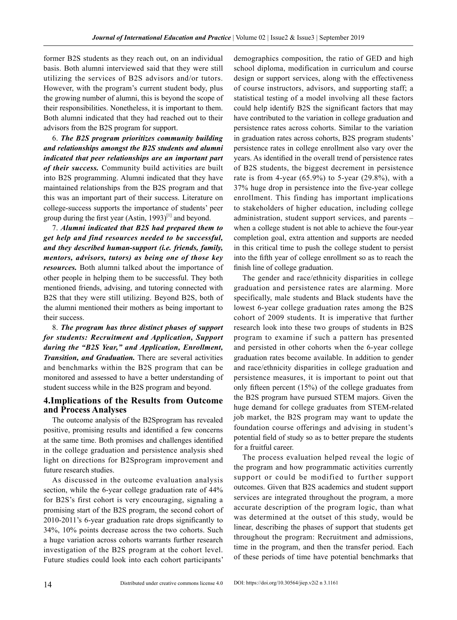former B2S students as they reach out, on an individual basis. Both alumni interviewed said that they were still utilizing the services of B2S advisors and/or tutors. However, with the program's current student body, plus the growing number of alumni, this is beyond the scope of their responsibilities. Nonetheless, it is important to them. Both alumni indicated that they had reached out to their advisors from the B2S program for support.

6. *The B2S program prioritizes community building and relationships amongst the B2S students and alumni indicated that peer relationships are an important part of their success.* Community build activities are built into B2S programming. Alumni indicated that they have maintained relationships from the B2S program and that this was an important part of their success. Literature on college-success supports the importance of students' peer group during the first year (Astin, 1993)<sup>[1]</sup> and beyond.

7. *Alumni indicated that B2S had prepared them to get help and find resources needed to be successful, and they described human-support (i.e. friends, family, mentors, advisors, tutors) as being one of those key resources.* Both alumni talked about the importance of other people in helping them to be successful. They both mentioned friends, advising, and tutoring connected with B2S that they were still utilizing. Beyond B2S, both of the alumni mentioned their mothers as being important to their success.

8. *The program has three distinct phases of support for students: Recruitment and Application, Support during the "B2S Year," and Application, Enrollment, Transition, and Graduation.* There are several activities and benchmarks within the B2S program that can be monitored and assessed to have a better understanding of student success while in the B2S program and beyond.

#### **4.Implications of the Results from Outcome and Process Analyses**

The outcome analysis of the B2Sprogram has revealed positive, promising results and identified a few concerns at the same time. Both promises and challenges identified in the college graduation and persistence analysis shed light on directions for B2Sprogram improvement and future research studies.

As discussed in the outcome evaluation analysis section, while the 6-year college graduation rate of 44% for B2S's first cohort is very encouraging, signaling a promising start of the B2S program, the second cohort of 2010-2011's 6-year graduation rate drops significantly to 34%, 10% points decrease across the two cohorts. Such a huge variation across cohorts warrants further research investigation of the B2S program at the cohort level. Future studies could look into each cohort participants' demographics composition, the ratio of GED and high school diploma, modification in curriculum and course design or support services, along with the effectiveness of course instructors, advisors, and supporting staff; a statistical testing of a model involving all these factors could help identify B2S the significant factors that may have contributed to the variation in college graduation and persistence rates across cohorts. Similar to the variation in graduation rates across cohorts, B2S program students' persistence rates in college enrollment also vary over the years. As identified in the overall trend of persistence rates of B2S students, the biggest decrement in persistence rate is from 4-year  $(65.9\%)$  to 5-year  $(29.8\%)$ , with a 37% huge drop in persistence into the five-year college enrollment. This finding has important implications to stakeholders of higher education, including college administration, student support services, and parents – when a college student is not able to achieve the four-year completion goal, extra attention and supports are needed in this critical time to push the college student to persist into the fifth year of college enrollment so as to reach the finish line of college graduation.

The gender and race/ethnicity disparities in college graduation and persistence rates are alarming. More specifically, male students and Black students have the lowest 6-year college graduation rates among the B2S cohort of 2009 students. It is imperative that further research look into these two groups of students in B2S program to examine if such a pattern has presented and persisted in other cohorts when the 6-year college graduation rates become available. In addition to gender and race/ethnicity disparities in college graduation and persistence measures, it is important to point out that only fifteen percent (15%) of the college graduates from the B2S program have pursued STEM majors. Given the huge demand for college graduates from STEM-related job market, the B2S program may want to update the foundation course offerings and advising in student's potential field of study so as to better prepare the students for a fruitful career.

The process evaluation helped reveal the logic of the program and how programmatic activities currently support or could be modified to further support outcomes. Given that B2S academics and student support services are integrated throughout the program, a more accurate description of the program logic, than what was determined at the outset of this study, would be linear, describing the phases of support that students get throughout the program: Recruitment and admissions, time in the program, and then the transfer period. Each of these periods of time have potential benchmarks that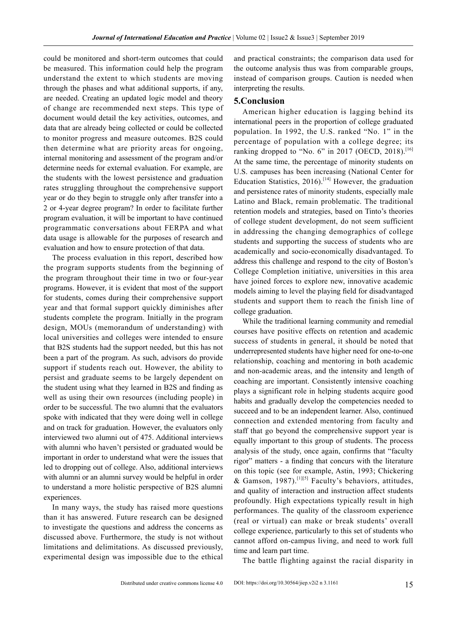could be monitored and short-term outcomes that could be measured. This information could help the program understand the extent to which students are moving through the phases and what additional supports, if any, are needed. Creating an updated logic model and theory of change are recommended next steps. This type of document would detail the key activities, outcomes, and data that are already being collected or could be collected to monitor progress and measure outcomes. B2S could then determine what are priority areas for ongoing, internal monitoring and assessment of the program and/or determine needs for external evaluation. For example, are the students with the lowest persistence and graduation rates struggling throughout the comprehensive support year or do they begin to struggle only after transfer into a 2 or 4-year degree program? In order to facilitate further program evaluation, it will be important to have continued programmatic conversations about FERPA and what data usage is allowable for the purposes of research and evaluation and how to ensure protection of that data.

The process evaluation in this report, described how the program supports students from the beginning of the program throughout their time in two or four-year programs. However, it is evident that most of the support for students, comes during their comprehensive support year and that formal support quickly diminishes after students complete the program. Initially in the program design, MOUs (memorandum of understanding) with local universities and colleges were intended to ensure that B2S students had the support needed, but this has not been a part of the program. As such, advisors do provide support if students reach out. However, the ability to persist and graduate seems to be largely dependent on the student using what they learned in B2S and finding as well as using their own resources (including people) in order to be successful. The two alumni that the evaluators spoke with indicated that they were doing well in college and on track for graduation. However, the evaluators only interviewed two alumni out of 475. Additional interviews with alumni who haven't persisted or graduated would be important in order to understand what were the issues that led to dropping out of college. Also, additional interviews with alumni or an alumni survey would be helpful in order to understand a more holistic perspective of B2S alumni experiences.

In many ways, the study has raised more questions than it has answered. Future research can be designed to investigate the questions and address the concerns as discussed above. Furthermore, the study is not without limitations and delimitations. As discussed previously, experimental design was impossible due to the ethical and practical constraints; the comparison data used for the outcome analysis thus was from comparable groups, instead of comparison groups. Caution is needed when interpreting the results.

#### **5.Conclusion**

American higher education is lagging behind its international peers in the proportion of college graduated population. In 1992, the U.S. ranked "No. 1" in the percentage of population with a college degree; its ranking dropped to "No. 6" in 2017 (OECD, 2018).<sup>[16]</sup> At the same time, the percentage of minority students on U.S. campuses has been increasing (National Center for Education Statistics,  $2016$ .<sup>[14]</sup> However, the graduation and persistence rates of minority students, especially male Latino and Black, remain problematic. The traditional retention models and strategies, based on Tinto's theories of college student development, do not seem sufficient in addressing the changing demographics of college students and supporting the success of students who are academically and socio-economically disadvantaged. To address this challenge and respond to the city of Boston's College Completion initiative, universities in this area have joined forces to explore new, innovative academic models aiming to level the playing field for disadvantaged students and support them to reach the finish line of college graduation.

While the traditional learning community and remedial courses have positive effects on retention and academic success of students in general, it should be noted that underrepresented students have higher need for one-to-one relationship, coaching and mentoring in both academic and non-academic areas, and the intensity and length of coaching are important. Consistently intensive coaching plays a significant role in helping students acquire good habits and gradually develop the competencies needed to succeed and to be an independent learner. Also, continued connection and extended mentoring from faculty and staff that go beyond the comprehensive support year is equally important to this group of students. The process analysis of the study, once again, confirms that "faculty rigor" matters - a finding that concurs with the literature on this topic (see for example, Astin, 1993; Chickering & Gamson, 1987).<sup>[1][5]</sup> Faculty's behaviors, attitudes, and quality of interaction and instruction affect students profoundly. High expectations typically result in high performances. The quality of the classroom experience (real or virtual) can make or break students' overall college experience, particularly to this set of students who cannot afford on-campus living, and need to work full time and learn part time.

The battle flighting against the racial disparity in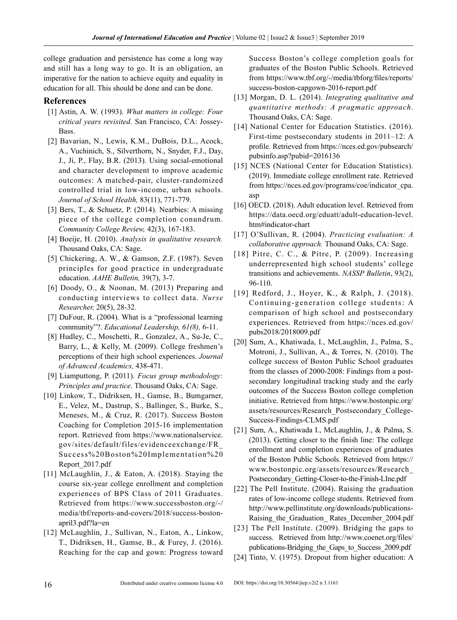college graduation and persistence has come a long way and still has a long way to go. It is an obligation, an imperative for the nation to achieve equity and equality in education for all. This should be done and can be done.

#### **References**

- [1] Astin, A. W. (1993). *What matters in college: Four critical years revisited.* San Francisco, CA: Jossey-**Bass**.
- [2] Bavarian, N., Lewis, K.M., DuBois, D.L., Acock, A., Vuchinich, S., Silverthorn, N., Snyder, F.J., Day, J., Ji, P., Flay, B.R. (2013). Using social-emotional and character development to improve academic outcomes: A matched-pair, cluster-randomized controlled trial in low-income, urban schools. *Journal of School Health,* 83(11), 771-779.
- [3] Bers, T., & Schuetz, P. (2014). Nearbies: A missing piece of the college completion conundrum. *Community College Review,* 42(3), 167-183.
- [4] Boeije, H. (2010). *Analysis in qualitative research.* Thousand Oaks, CA: Sage.
- [5] Chickering, A. W., & Gamson, Z.F. (1987). Seven principles for good practice in undergraduate education. *AAHE Bulletin,* 39(7), 3-7.
- [6] Doody, O., & Noonan, M. (2013) Preparing and conducting interviews to collect data. *Nurse Researcher,* 20(5), 28-32.
- [7] DuFour, R. (2004). What is a "professional learning community"?. *Educational Leadership, 61(8),* 6-11.
- [8] Hudley, C., Moschetti, R., Gonzalez, A., Su-Je, C., Barry, L., & Kelly, M. (2009). College freshmen's perceptions of their high school experiences. *Journal of Advanced Academics,* 438-471.
- [9] Liamputtong, P. (2011). *Focus group methodology: Principles and practice*. Thousand Oaks, CA: Sage.
- [10] Linkow, T., Didriksen, H., Gamse, B., Bumgarner, E., Velez, M., Dastrup, S., Ballinger, S., Burke, S., Meneses, M., & Cruz, R. (2017). Success Boston Coaching for Completion 2015-16 implementation report. Retrieved from https://www.nationalservice. gov/sites/default/files/evidenceexchange/FR\_ Success%20Boston%20Implementation%20 Report\_2017.pdf
- [11] McLaughlin, J., & Eaton, A. (2018). Staying the course six-year college enrollment and completion experiences of BPS Class of 2011 Graduates. Retrieved from https://www.successboston.org/-/ media/tbf/reports-and-covers/2018/success-bostonapril3.pdf?la=en
- [12] McLaughlin, J., Sullivan, N., Eaton, A., Linkow, T., Didriksen, H., Gamse, B., & Furey, J. (2016). Reaching for the cap and gown: Progress toward

Success Boston's college completion goals for graduates of the Boston Public Schools. Retrieved from https://www.tbf.org/-/media/tbforg/files/reports/ success-boston-capgown-2016-report.pdf

- [13] Morgan, D. L. (2014). *Integrating qualitative and quantitative methods: A pragmatic approach.*  Thousand Oaks, CA: Sage.
- [14] National Center for Education Statistics. (2016). First-time postsecondary students in 2011–12: A profile. Retrieved from https://nces.ed.gov/pubsearch/ pubsinfo.asp?pubid=2016136
- [15] NCES (National Center for Education Statistics). (2019). Immediate college enrollment rate. Retrieved from https://nces.ed.gov/programs/coe/indicator\_cpa. asp
- [16] OECD. (2018). Adult education level. Retrieved from https://data.oecd.org/eduatt/adult-education-level. htm#indicator-chart
- [17] O'Sullivan, R. (2004). *Practicing evaluation: A collaborative approach.* Thousand Oaks, CA: Sage.
- [18] Pitre, C. C., & Pitre, P. (2009). Increasing underrepresented high school students' college transitions and achievements. *NASSP Bulletin*, 93(2), 96-110.
- [19] Redford, J., Hoyer, K., & Ralph, J. (2018). Continuing-generation college students: A comparison of high school and postsecondary experiences. Retrieved from https://nces.ed.gov/ pubs2018/2018009.pdf
- [20] Sum, A., Khatiwada, I., McLaughlin, J., Palma, S., Motroni, J., Sullivan, A., & Torres, N. (2010). The college success of Boston Public School graduates from the classes of 2000-2008: Findings from a postsecondary longitudinal tracking study and the early outcomes of the Success Boston college completion initiative. Retrieved from https://www.bostonpic.org/ assets/resources/Research\_Postsecondary\_College-Success-Findings-CLMS.pdf
- [21] Sum, A., Khatiwada I., McLaughlin, J., & Palma, S. (2013). Getting closer to the finish line: The college enrollment and completion experiences of graduates of the Boston Public Schools. Retrieved from https:// www.bostonpic.org/assets/resources/Research\_ Postsecondary\_Getting-Closer-to-the-Finish-LIne.pdf
- [22] The Pell Institute. (2004). Raising the graduation rates of low-income college students. Retrieved from http://www.pellinstitute.org/downloads/publications-Raising the Graduation Rates December 2004.pdf
- [23] The Pell Institute. (2009). Bridging the gaps to success. Retrieved from http://www.coenet.org/files/ publications-Bridging\_the\_Gaps\_to\_Success\_2009.pdf
- [24] Tinto, V. (1975). Dropout from higher education: A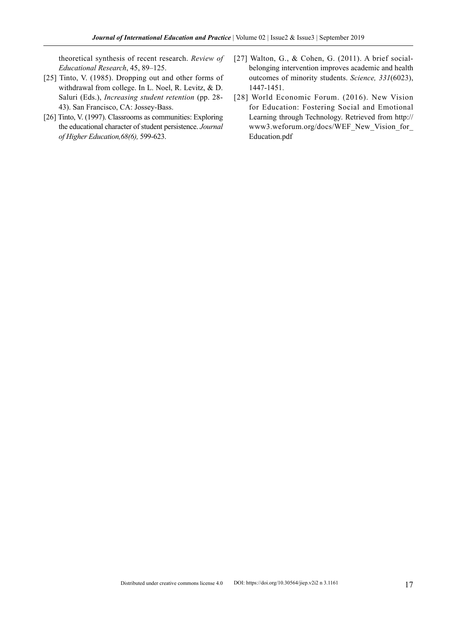theoretical synthesis of recent research. *Review of Educational Research*, 45, 89–125.

- [25] Tinto, V. (1985). Dropping out and other forms of withdrawal from college. In L. Noel, R. Levitz, & D. Saluri (Eds.), *Increasing student retention* (pp. 28- 43). San Francisco, CA: Jossey-Bass.
- [26] Tinto, V. (1997). Classrooms as communities: Exploring the educational character of student persistence. *Journal of Higher Education,68(6),* 599-623.
- [27] Walton, G., & Cohen, G. (2011). A brief socialbelonging intervention improves academic and health outcomes of minority students. *Science, 331*(6023), 1447-1451.
- [28] World Economic Forum. (2016). New Vision for Education: Fostering Social and Emotional Learning through Technology. Retrieved from http:// www3.weforum.org/docs/WEF\_New\_Vision\_for\_ Education.pdf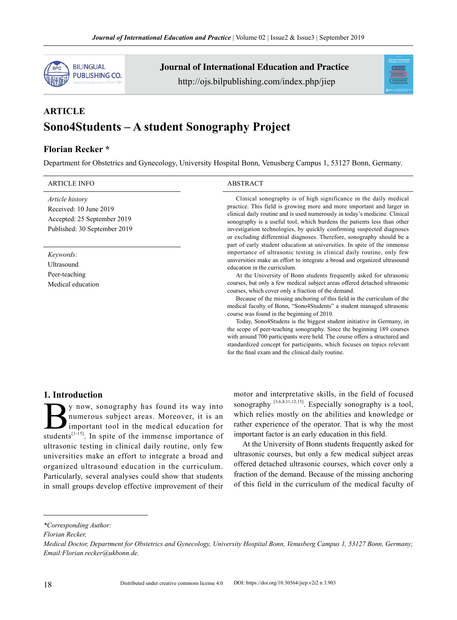

Journal of International Education and Practice

http://ojs.bilpublishing.com/index.php/jiep



# **ARTICLE Sono4Students – A student Sonography Project**

#### **Florian Recker \***

Department for Obstetrics and Gynecology, University Hospital Bonn, Venusberg Campus 1, 53127 Bonn, Germany.

#### ARTICLE INFO ABSTRACT

*Article history* Received: 10 June 2019 Accepted: 25 September 2019 Published: 30 September 2019

*Keywords:* Ultrasound

Peer-teaching Medical education

Clinical sonography is of high significance in the daily medical practice. This field is growing more and more important and larger in clinical daily routine and is used numerously in today's medicine. Clinical sonography is a useful tool, which burdens the patients less than other investigation technologies, by quickly confirming suspected diagnoses or excluding differential diagnoses. Therefore, sonography should be a part of early student education at universities. In spite of the immense importance of ultrasonic testing in clinical daily routine, only few universities make an effort to integrate a broad and organized ultrasound education in the curriculum.

At the University of Bonn students frequently asked for ultrasonic courses, but only a few medical subject areas offered detached ultrasonic courses, which cover only a fraction of the demand.

Because of the missing anchoring of this field in the curriculum of the medical faculty of Bonn, "Sono4Students" a student managed ultrasonic course was found in the beginning of 2010.

Today, Sono4Studens is the biggest student initiative in Germany, in the scope of peer-teaching sonography. Since the beginning 189 courses with around 700 participants were held. The course offers a structured and standardized concept for participants, which focuses on topics relevant for the final exam and the clinical daily routine.

#### **1. Introduction**

 $\sum$  y now, sonography has found its way into<br>numerous subject areas. Moreover, it is an<br>important tool in the medical education for<br>students<sup>[1-15]</sup>. In spite of the immense importance of numerous subject areas. Moreover, it is an important tool in the medical education for students<sup>[1-15]</sup>. In spite of the immense importance of ultrasonic testing in clinical daily routine, only few universities make an effort to integrate a broad and organized ultrasound education in the curriculum. Particularly, several analyses could show that students in small groups develop effective improvement of their

motor and interpretative skills, in the field of focused sonography  $[3,6,8,11,12,15]$ . Especially sonography is a tool, which relies mostly on the abilities and knowledge or rather experience of the operator. That is why the most important factor is an early education in this field.

At the University of Bonn students frequently asked for ultrasonic courses, but only a few medical subject areas offered detached ultrasonic courses, which cover only a fraction of the demand. Because of the missing anchoring of this field in the curriculum of the medical faculty of

*Florian Recker,* 

*<sup>\*</sup>Corresponding Author:*

*Medical Doctor, Department for Obstetrics and Gynecology, University Hospital Bonn, Venusberg Campus 1, 53127 Bonn, Germany; Email:Florian.recker@ukbonn.de.*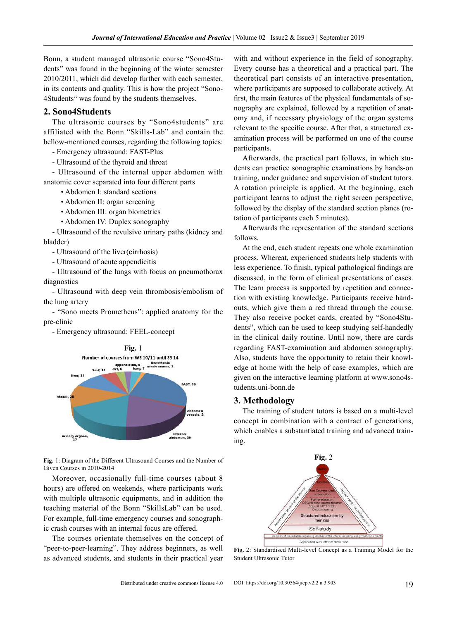Bonn, a student managed ultrasonic course "Sono4Students" was found in the beginning of the winter semester 2010/2011, which did develop further with each semester, in its contents and quality. This is how the project "Sono-4Students" was found by the students themselves.

#### **2. Sono4Students**

The ultrasonic courses by "Sono4students" are affiliated with the Bonn "Skills-Lab" and contain the bellow-mentioned courses, regarding the following topics:

- Emergency ultrasound: FAST-Plus

- Ultrasound of the thyroid and throat

- Ultrasound of the internal upper abdomen with anatomic cover separated into four different parts

- Abdomen I: standard sections
- Abdomen II: organ screening
- Abdomen III: organ biometrics
- Abdomen IV: Duplex sonography

- Ultrasound of the revulsive urinary paths (kidney and bladder)

- Ultrasound of the liver(cirrhosis)
- Ultrasound of acute appendicitis

- Ultrasound of the lungs with focus on pneumothorax diagnostics

- Ultrasound with deep vein thrombosis/embolism of the lung artery

- "Sono meets Prometheus": applied anatomy for the pre-clinic

- Emergency ultrasound: FEEL-concept



**Fig.** 1: Diagram of the Different Ultrasound Courses and the Number of Given Courses in 2010-2014

Moreover, occasionally full-time courses (about 8 hours) are offered on weekends, where participants work with multiple ultrasonic equipments, and in addition the teaching material of the Bonn "SkillsLab" can be used. For example, full-time emergency courses and sonographic crash courses with an internal focus are offered.

The courses orientate themselves on the concept of "peer-to-peer-learning". They address beginners, as well as advanced students, and students in their practical year

with and without experience in the field of sonography. Every course has a theoretical and a practical part. The theoretical part consists of an interactive presentation, where participants are supposed to collaborate actively. At first, the main features of the physical fundamentals of sonography are explained, followed by a repetition of anatomy and, if necessary physiology of the organ systems relevant to the specific course. After that, a structured examination process will be performed on one of the course participants.

Afterwards, the practical part follows, in which students can practice sonographic examinations by hands-on training, under guidance and supervision of student tutors. A rotation principle is applied. At the beginning, each participant learns to adjust the right screen perspective, followed by the display of the standard section planes (rotation of participants each 5 minutes).

Afterwards the representation of the standard sections follows.

At the end, each student repeats one whole examination process. Whereat, experienced students help students with less experience. To finish, typical pathological findings are discussed, in the form of clinical presentations of cases. The learn process is supported by repetition and connection with existing knowledge. Participants receive handouts, which give them a red thread through the course. They also receive pocket cards, created by "Sono4Students", which can be used to keep studying self-handedly in the clinical daily routine. Until now, there are cards regarding FAST-examination and abdomen sonography. Also, students have the opportunity to retain their knowledge at home with the help of case examples, which are given on the interactive learning platform at [www.sono4s](http://www.sono4students.uni-bonn.de)[tudents.uni-bonn.de](http://www.sono4students.uni-bonn.de)

#### **3. Methodology**

The training of student tutors is based on a multi-level concept in combination with a contract of generations, which enables a substantiated training and advanced training.



**Fig.** 2: Standardised Multi-level Concept as a Training Model for the Student Ultrasonic Tutor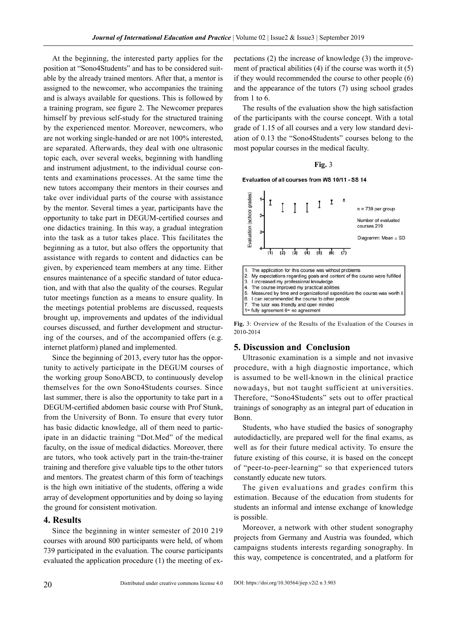At the beginning, the interested party applies for the position at "Sono4Students" and has to be considered suitable by the already trained mentors. After that, a mentor is assigned to the newcomer, who accompanies the training and is always available for questions. This is followed by a training program, see figure 2. The Newcomer prepares himself by previous self-study for the structured training by the experienced mentor. Moreover, newcomers, who are not working single-handed or are not 100% interested, are separated. Afterwards, they deal with one ultrasonic topic each, over several weeks, beginning with handling and instrument adjustment, to the individual course contents and examinations processes. At the same time the new tutors accompany their mentors in their courses and take over individual parts of the course with assistance by the mentor. Several times a year, participants have the opportunity to take part in DEGUM-certified courses and one didactics training. In this way, a gradual integration into the task as a tutor takes place. This facilitates the beginning as a tutor, but also offers the opportunity that assistance with regards to content and didactics can be given, by experienced team members at any time. Either ensures maintenance of a specific standard of tutor education, and with that also the quality of the courses. Regular tutor meetings function as a means to ensure quality. In the meetings potential problems are discussed, requests brought up, improvements and updates of the individual courses discussed, and further development and structuring of the courses, and of the accompanied offers (e.g. internet platform) planed and implemented.

Since the beginning of 2013, every tutor has the opportunity to actively participate in the DEGUM courses of the working group SonoABCD, to continuously develop themselves for the own Sono4Students courses. Since last summer, there is also the opportunity to take part in a DEGUM-certified abdomen basic course with Prof Stunk, from the University of Bonn. To ensure that every tutor has basic didactic knowledge, all of them need to participate in an didactic training "Dot.Med" of the medical faculty, on the issue of medical didactics. Moreover, there are tutors, who took actively part in the train-the-trainer training and therefore give valuable tips to the other tutors and mentors. The greatest charm of this form of teachings is the high own initiative of the students, offering a wide array of development opportunities and by doing so laying the ground for consistent motivation.

#### **4. Results**

Since the beginning in winter semester of 2010 219 courses with around 800 participants were held, of whom 739 participated in the evaluation. The course participants evaluated the application procedure (1) the meeting of expectations (2) the increase of knowledge (3) the improvement of practical abilities (4) if the course was worth it (5) if they would recommended the course to other people (6) and the appearance of the tutors (7) using school grades from 1 to 6.

The results of the evaluation show the high satisfaction of the participants with the course concept. With a total grade of 1.15 of all courses and a very low standard deviation of 0.13 the "Sono4Students" courses belong to the most popular courses in the medical faculty.



Evaluation of all courses from WS 10/11 - SS 14



**Fig.** 3: Overview of the Results of the Evaluation of the Courses in 2010-2014

#### **5. Discussion and Conclusion**

Ultrasonic examination is a simple and not invasive procedure, with a high diagnostic importance, which is assumed to be well-known in the clinical practice nowadays, but not taught sufficient at universities. Therefore, "Sono4Students" sets out to offer practical trainings of sonography as an integral part of education in Bonn.

Students, who have studied the basics of sonography autodidacticlly, are prepared well for the final exams, as well as for their future medical activity. To ensure the future existing of this course, it is based on the concept of "peer-to-peer-learning" so that experienced tutors constantly educate new tutors.

The given evaluations and grades confirm this estimation. Because of the education from students for students an informal and intense exchange of knowledge is possible.

Moreover, a network with other student sonography projects from Germany and Austria was founded, which campaigns students interests regarding sonography. In this way, competence is concentrated, and a platform for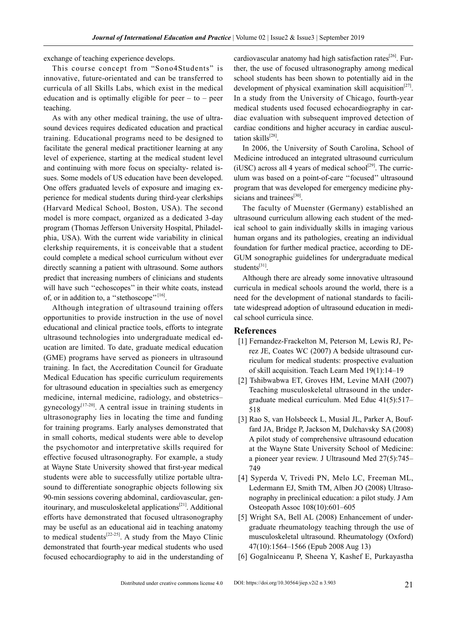exchange of teaching experience develops.

This course concept from "Sono4Students" is innovative, future-orientated and can be transferred to curricula of all Skills Labs, which exist in the medical education and is optimally eligible for peer – to – peer teaching.

As with any other medical training, the use of ultrasound devices requires dedicated education and practical training. Educational programs need to be designed to facilitate the general medical practitioner learning at any level of experience, starting at the medical student level and continuing with more focus on specialty- related issues. Some models of US education have been developed. One offers graduated levels of exposure and imaging experience for medical students during third-year clerkships (Harvard Medical School, Boston, USA). The second model is more compact, organized as a dedicated 3-day program (Thomas Jefferson University Hospital, Philadelphia, USA). With the current wide variability in clinical clerkship requirements, it is conceivable that a student could complete a medical school curriculum without ever directly scanning a patient with ultrasound. Some authors predict that increasing numbers of clinicians and students will have such "echoscopes" in their white coats, instead of, or in addition to, a "stethoscope"<sup>[16]</sup>.

Although integration of ultrasound training offers opportunities to provide instruction in the use of novel educational and clinical practice tools, efforts to integrate ultrasound technologies into undergraduate medical education are limited. To date, graduate medical education (GME) programs have served as pioneers in ultrasound training. In fact, the Accreditation Council for Graduate Medical Education has specific curriculum requirements for ultrasound education in specialties such as emergency medicine, internal medicine, radiology, and obstetrics– gynecology<sup>[17-20]</sup>. A central issue in training students in ultrasonography lies in locating the time and funding for training programs. Early analyses demonstrated that in small cohorts, medical students were able to develop the psychomotor and interpretative skills required for effective focused ultrasonography. For example, a study at Wayne State University showed that first-year medical students were able to successfully utilize portable ultrasound to differentiate sonographic objects following six 90-min sessions covering abdominal, cardiovascular, genitourinary, and musculoskeletal applications<sup>[21]</sup>. Additional efforts have demonstrated that focused ultrasonography may be useful as an educational aid in teaching anatomy to medical students<sup>[22-25]</sup>. A study from the Mayo Clinic demonstrated that fourth-year medical students who used focused echocardiography to aid in the understanding of cardiovascular anatomy had high satisfaction rates<sup>[26]</sup>. Further, the use of focused ultrasonography among medical school students has been shown to potentially aid in the development of physical examination skill acquisition<sup>[27]</sup>. In a study from the University of Chicago, fourth-year medical students used focused echocardiography in cardiac evaluation with subsequent improved detection of cardiac conditions and higher accuracy in cardiac auscultation skills $^{[28]}$ .

In 2006, the University of South Carolina, School of Medicine introduced an integrated ultrasound curriculum (iUSC) across all 4 years of medical school<sup>[29]</sup>. The curriculum was based on a point-of-care ''focused'' ultrasound program that was developed for emergency medicine physicians and trainees<sup>[30]</sup>.

The faculty of Muenster (Germany) established an ultrasound curriculum allowing each student of the medical school to gain individually skills in imaging various human organs and its pathologies, creating an individual foundation for further medical practice, according to DE-GUM sonographic guidelines for undergraduate medical students<sup>[31]</sup>.

Although there are already some innovative ultrasound curricula in medical schools around the world, there is a need for the development of national standards to facilitate widespread adoption of ultrasound education in medical school curricula since.

#### **References**

- [1] Fernandez-Frackelton M, Peterson M, Lewis RJ, Perez JE, Coates WC (2007) A bedside ultrasound curriculum for medical students: prospective evaluation of skill acquisition. Teach Learn Med 19(1):14–19
- [2] Tshibwabwa ET, Groves HM, Levine MAH (2007) Teaching musculoskeletal ultrasound in the undergraduate medical curriculum. Med Educ 41(5):517– 518
- [3] Rao S, van Holsbeeck L, Musial JL, Parker A, Bouffard JA, Bridge P, Jackson M, Dulchavsky SA (2008) A pilot study of comprehensive ultrasound education at the Wayne State University School of Medicine: a pioneer year review. J Ultrasound Med 27(5):745– 749
- [4] Syperda V, Trivedi PN, Melo LC, Freeman ML, Ledermann EJ, Smith TM, Alben JO (2008) Ultrasonography in preclinical education: a pilot study. J Am Osteopath Assoc 108(10):601–605
- [5] Wright SA, Bell AL (2008) Enhancement of undergraduate rheumatology teaching through the use of musculoskeletal ultrasound. Rheumatology (Oxford) 47(10):1564–1566 (Epub 2008 Aug 13)
- [6] Gogalniceanu P, Sheena Y, Kashef E, Purkayastha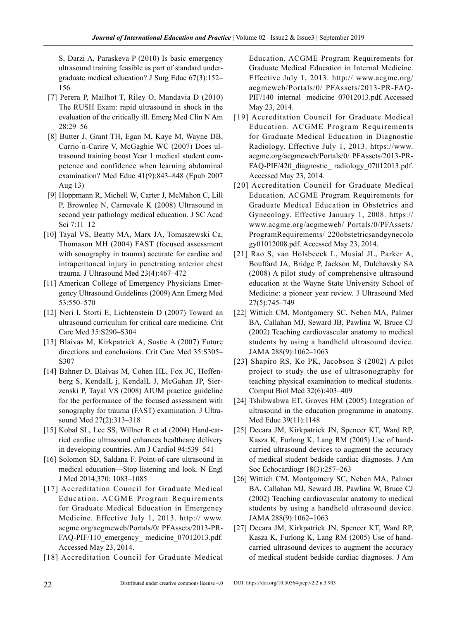S, Darzi A, Paraskeva P (2010) Is basic emergency ultrasound training feasible as part of standard undergraduate medical education? J Surg Educ 67(3):152– 156

- [7] Perera P, Mailhot T, Riley O, Mandavia D (2010) The RUSH Exam: rapid ultrasound in shock in the evaluation of the critically ill. Emerg Med Clin N Am 28:29–56
- [8] Butter J, Grant TH, Egan M, Kaye M, Wayne DB, Carrio ́n-Carire V, McGaghie WC (2007) Does ultrasound training boost Year 1 medical student competence and confidence when learning abdominal examination? Med Educ 41(9):843–848 (Epub 2007 Aug 13)
- [9] Hoppmann R, Michell W, Carter J, McMahon C, Lill P, Brownlee N, Carnevale K (2008) Ultrasound in second year pathology medical education. J SC Acad Sci 7:11–12
- [10] Tayal VS, Beatty MA, Marx JA, Tomaszewski Ca, Thomason MH (2004) FAST (focused assessment with sonography in trauma) accurate for cardiac and intraperitoneal injury in penetrating anterior chest trauma. J Ultrasound Med 23(4):467–472
- [11] American College of Emergency Physicians Emergency Ultrasound Guidelines (2009) Ann Emerg Med 53:550–570
- [12] Neri l, Storti E, Lichtenstein D (2007) Toward an ultrasound curriculum for critical care medicine. Crit Care Med 35:S290–S304
- [13] Blaivas M, Kirkpatrick A, Sustic A (2007) Future directions and conclusions. Crit Care Med 35:S305– S307
- [14] Bahner D, Blaivas M, Cohen HL, Fox JC, Hoffenberg S, KendalL j, KendalL J, McGahan JP, Sierzenski P, Tayal VS (2008) AIUM practice guideline for the performance of the focused assessment with sonography for trauma (FAST) examination. J Ultrasound Med 27(2):313–318
- [15] Kobal SL, Lee SS, Willner R et al (2004) Hand-carried cardiac ultrasound enhances healthcare delivery in developing countries. Am J Cardiol 94:539–541
- [16] Solomon SD, Saldana F. Point-of-care ultrasound in medical education—Stop listening and look. N Engl J Med 2014;370: 1083–1085
- [17] Accreditation Council for Graduate Medical Education. ACGME Program Requirements for Graduate Medical Education in Emergency Medicine. Effective July 1, 2013. http:// www. acgme.org/acgmeweb/Portals/0/ PFAssets/2013-PR-FAQ-PIF/110\_emergency\_ medicine\_07012013.pdf. Accessed May 23, 2014.
- [18] Accreditation Council for Graduate Medical

Education. ACGME Program Requirements for Graduate Medical Education in Internal Medicine. Effective July 1, 2013. http:// www.acgme.org/ acgmeweb/Portals/0/ PFAssets/2013-PR-FAQ-PIF/140 internal medicine 07012013.pdf. Accessed May 23, 2014.

- [19] Accreditation Council for Graduate Medical Education. ACGME Program Requirements for Graduate Medical Education in Diagnostic Radiology. Effective July 1, 2013. https://www. acgme.org/acgmeweb/Portals/0/ PFAssets/2013-PR-FAQ-PIF/420\_diagnostic\_radiology\_07012013.pdf. Accessed May 23, 2014.
- [20] Accreditation Council for Graduate Medical Education. ACGME Program Requirements for Graduate Medical Education in Obstetrics and Gynecology. Effective January 1, 2008. https:// www.acgme.org/acgmeweb/ Portals/0/PFAssets/ ProgramRequirements/ 220obstetricsandgynecolo gy01012008.pdf. Accessed May 23, 2014.
- [21] Rao S, van Holsbeeck L, Musial JL, Parker A, Bouffard JA, Bridge P, Jackson M, Dulchavsky SA (2008) A pilot study of comprehensive ultrasound education at the Wayne State University School of Medicine: a pioneer year review. J Ultrasound Med 27(5):745–749
- [22] Wittich CM, Montgomery SC, Neben MA, Palmer BA, Callahan MJ, Seward JB, Pawlina W, Bruce CJ (2002) Teaching cardiovascular anatomy to medical students by using a handheld ultrasound device. JAMA 288(9):1062–1063
- [23] Shapiro RS, Ko PK, Jacobson S (2002) A pilot project to study the use of ultrasonography for teaching physical examination to medical students. Comput Biol Med 32(6):403–409
- [24] Tshibwabwa ET, Groves HM (2005) Integration of ultrasound in the education programme in anatomy. Med Educ 39(11):1148
- [25] Decara JM, Kirkpatrick JN, Spencer KT, Ward RP, Kasza K, Furlong K, Lang RM (2005) Use of handcarried ultrasound devices to augment the accuracy of medical student bedside cardiac diagnoses. J Am Soc Echocardiogr 18(3):257–263
- [26] Wittich CM, Montgomery SC, Neben MA, Palmer BA, Callahan MJ, Seward JB, Pawlina W, Bruce CJ (2002) Teaching cardiovascular anatomy to medical students by using a handheld ultrasound device. JAMA 288(9):1062–1063
- [27] Decara JM, Kirkpatrick JN, Spencer KT, Ward RP, Kasza K, Furlong K, Lang RM (2005) Use of handcarried ultrasound devices to augment the accuracy of medical student bedside cardiac diagnoses. J Am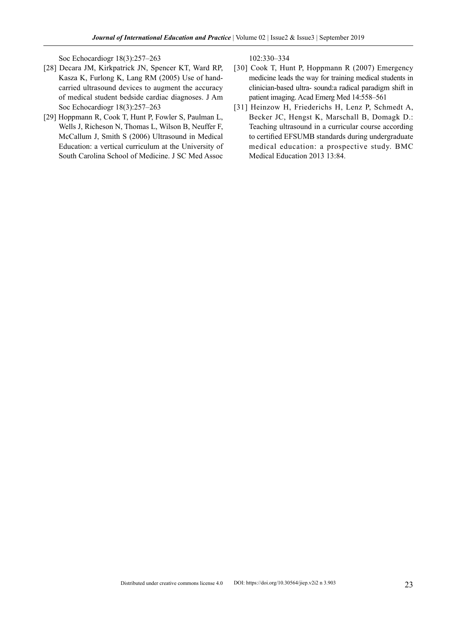Soc Echocardiogr 18(3):257–263

- [28] Decara JM, Kirkpatrick JN, Spencer KT, Ward RP, Kasza K, Furlong K, Lang RM (2005) Use of handcarried ultrasound devices to augment the accuracy of medical student bedside cardiac diagnoses. J Am Soc Echocardiogr 18(3):257–263
- [29] Hoppmann R, Cook T, Hunt P, Fowler S, Paulman L, Wells J, Richeson N, Thomas L, Wilson B, Neuffer F, McCallum J, Smith S (2006) Ultrasound in Medical Education: a vertical curriculum at the University of South Carolina School of Medicine. J SC Med Assoc

102:330–334

- [30] Cook T, Hunt P, Hoppmann R (2007) Emergency medicine leads the way for training medical students in clinician-based ultra- sound:a radical paradigm shift in patient imaging. Acad Emerg Med 14:558–561
- [31] Heinzow H, Friederichs H, Lenz P, Schmedt A, Becker JC, Hengst K, Marschall B, Domagk D.: Teaching ultrasound in a curricular course according to certified EFSUMB standards during undergraduate medical education: a prospective study. BMC Medical Education 2013 13:84.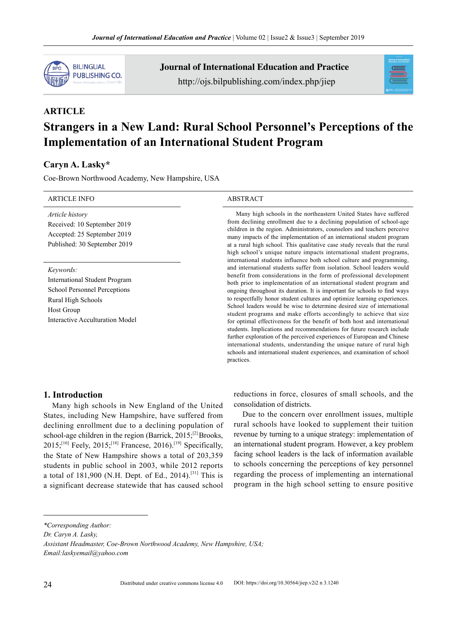

Journal of International Education and Practice http://ojs.bilpublishing.com/index.php/jiep



# **ARTICLE Strangers in a New Land: Rural School Personnel's Perceptions of the Implementation of an International Student Program**

### **Caryn A. Lasky\***

Coe-Brown Northwood Academy, New Hampshire, USA

| <b>ARTICLE INFO</b>                                                                                                                                             | <b>ABSTRACT</b>                                                                                                                                                                                                                                                                                                                                                                                                                                                                                                                                                                                                                                                                                                                                                                                                                                                                                                                       |  |  |
|-----------------------------------------------------------------------------------------------------------------------------------------------------------------|---------------------------------------------------------------------------------------------------------------------------------------------------------------------------------------------------------------------------------------------------------------------------------------------------------------------------------------------------------------------------------------------------------------------------------------------------------------------------------------------------------------------------------------------------------------------------------------------------------------------------------------------------------------------------------------------------------------------------------------------------------------------------------------------------------------------------------------------------------------------------------------------------------------------------------------|--|--|
| Article history<br>Received: 10 September 2019<br>Accepted: 25 September 2019<br>Published: 30 September 2019                                                   | Many high schools in the northeastern United States have suffered<br>from declining enrollment due to a declining population of school-age<br>children in the region. Administrators, counselors and teachers perceive<br>many impacts of the implementation of an international student program<br>at a rural high school. This qualitative case study reveals that the rural<br>high school's unique nature impacts international student programs,<br>international students influence both school culture and programming,                                                                                                                                                                                                                                                                                                                                                                                                        |  |  |
| Keywords:<br><b>International Student Program</b><br>School Personnel Perceptions<br>Rural High Schools<br><b>Host Group</b><br>Interactive Acculturation Model | and international students suffer from isolation. School leaders would<br>benefit from considerations in the form of professional development<br>both prior to implementation of an international student program and<br>ongoing throughout its duration. It is important for schools to find ways<br>to respectfully honor student cultures and optimize learning experiences.<br>School leaders would be wise to determine desired size of international<br>student programs and make efforts accordingly to achieve that size<br>for optimal effectiveness for the benefit of both host and international<br>students. Implications and recommendations for future research include<br>further exploration of the perceived experiences of European and Chinese<br>international students, understanding the unique nature of rural high<br>schools and international student experiences, and examination of school<br>practices. |  |  |

#### **1. Introduction**

Many high schools in New England of the United States, including New Hampshire, have suffered from declining enrollment due to a declining population of school-age children in the region (Barrick,  $2015$ ;<sup>[2]</sup> Brooks,  $2015$ ;<sup>[10]</sup> Feely,  $2015$ <sup>[18]</sup> Francese,  $2016$ .<sup>[19]</sup> Specifically, the State of New Hampshire shows a total of 203,359 students in public school in 2003, while 2012 reports a total of  $181,900$  (N.H. Dept. of Ed., 2014).<sup>[31]</sup> This is a significant decrease statewide that has caused school

reductions in force, closures of small schools, and the consolidation of districts.

Due to the concern over enrollment issues, multiple rural schools have looked to supplement their tuition revenue by turning to a unique strategy: implementation of an international student program. However, a key problem facing school leaders is the lack of information available to schools concerning the perceptions of key personnel regarding the process of implementing an international program in the high school setting to ensure positive

*<sup>\*</sup>Corresponding Author:*

*Dr. Caryn A. Lasky,*

*Assistant Headmaster, Coe-Brown Northwood Academy, New Hampshire, USA; Email:laskyemail@yahoo.com*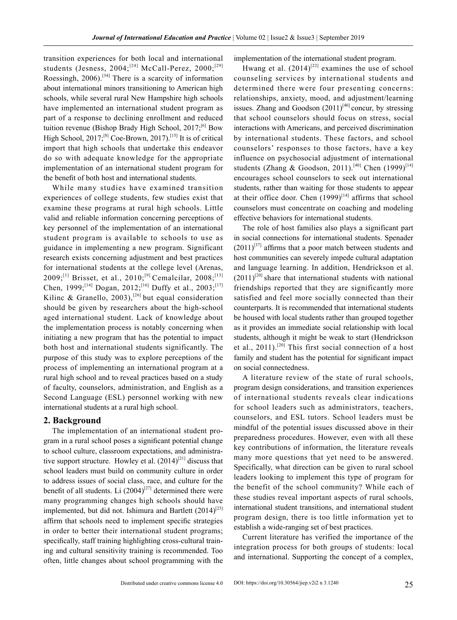transition experiences for both local and international students (Jesness,  $2004$ ;<sup>[24]</sup> McCall-Perez,  $2000$ ;<sup>[29]</sup> Roessingh,  $2006$ .<sup>[34]</sup> There is a scarcity of information about international minors transitioning to American high schools, while several rural New Hampshire high schools have implemented an international student program as part of a response to declining enrollment and reduced tuition revenue (Bishop Brady High School,  $2017$ ;<sup>[6]</sup> Bow High School,  $2017$ ;<sup>[8]</sup> Coe-Brown,  $2017$ ).<sup>[15]</sup> It is of critical import that high schools that undertake this endeavor do so with adequate knowledge for the appropriate implementation of an international student program for the benefit of both host and international students.

While many studies have examined transition experiences of college students, few studies exist that examine these programs at rural high schools. Little valid and reliable information concerning perceptions of key personnel of the implementation of an international student program is available to schools to use as guidance in implementing a new program. Significant research exists concerning adjustment and best practices for international students at the college level (Arenas, 2009;<sup>[1]</sup> Brisset, et al., 2010;<sup>[9]</sup> Cemalcilar, 2008;<sup>[13]</sup> Chen, 1999;<sup>[14]</sup> Dogan, 2012;<sup>[16]</sup> Duffy et al., 2003;<sup>[17]</sup> Kilinc & Granello, 2003),<sup>[26]</sup> but equal consideration should be given by researchers about the high-school aged international student. Lack of knowledge about the implementation process is notably concerning when initiating a new program that has the potential to impact both host and international students significantly. The purpose of this study was to explore perceptions of the process of implementing an international program at a rural high school and to reveal practices based on a study of faculty, counselors, administration, and English as a Second Language (ESL) personnel working with new international students at a rural high school.

#### **2. Background**

The implementation of an international student program in a rural school poses a significant potential change to school culture, classroom expectations, and administrative support structure. Howley et al.  $(2014)^{[21]}$  discuss that school leaders must build on community culture in order to address issues of social class, race, and culture for the benefit of all students. Li  $(2004)^{[27]}$  determined there were many programming changes high schools should have implemented, but did not. Ishimura and Bartlett  $(2014)^{[23]}$ affirm that schools need to implement specific strategies in order to better their international student programs; specifically, staff training highlighting cross-cultural training and cultural sensitivity training is recommended. Too often, little changes about school programming with the implementation of the international student program.

Hwang et al.  $(2014)^{[22]}$  examines the use of school counseling services by international students and determined there were four presenting concerns: relationships, anxiety, mood, and adjustment/learning issues. Zhang and Goodson  $(2011)^{[40]}$  concur, by stressing that school counselors should focus on stress, social interactions with Americans, and perceived discrimination by international students. These factors, and school counselors' responses to those factors, have a key influence on psychosocial adjustment of international students (Zhang & Goodson, 2011).<sup>[40]</sup> Chen (1999)<sup>[14]</sup> encourages school counselors to seek out international students, rather than waiting for those students to appear at their office door. Chen  $(1999)^{[14]}$  affirms that school counselors must concentrate on coaching and modeling effective behaviors for international students.

The role of host families also plays a significant part in social connections for international students. Spenader  $(2011)^{37}$  affirms that a poor match between students and host communities can severely impede cultural adaptation and language learning. In addition, Hendrickson et al.  $(2011)^{[20]}$  share that international students with national friendships reported that they are significantly more satisfied and feel more socially connected than their counterparts. It is recommended that international students be housed with local students rather than grouped together as it provides an immediate social relationship with local students, although it might be weak to start (Hendrickson et al., 2011).<sup>[20]</sup> This first social connection of a host family and student has the potential for significant impact on social connectedness.

A literature review of the state of rural schools, program design considerations, and transition experiences of international students reveals clear indications for school leaders such as administrators, teachers, counselors, and ESL tutors. School leaders must be mindful of the potential issues discussed above in their preparedness procedures. However, even with all these key contributions of information, the literature reveals many more questions that yet need to be answered. Specifically, what direction can be given to rural school leaders looking to implement this type of program for the benefit of the school community? While each of these studies reveal important aspects of rural schools, international student transitions, and international student program design, there is too little information yet to establish a wide-ranging set of best practices.

Current literature has verified the importance of the integration process for both groups of students: local and international. Supporting the concept of a complex,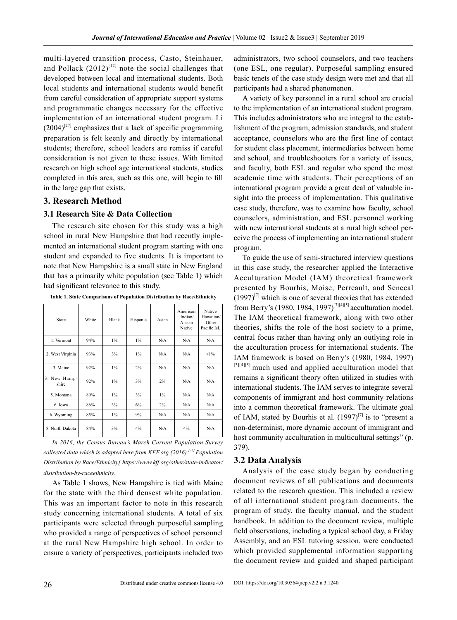multi-layered transition process, Casto, Steinhauer, and Pollack  $(2012)^{[12]}$  note the social challenges that developed between local and international students. Both local students and international students would benefit from careful consideration of appropriate support systems and programmatic changes necessary for the effective implementation of an international student program. Li  $(2004)^{[27]}$  emphasizes that a lack of specific programming preparation is felt keenly and directly by international students; therefore, school leaders are remiss if careful consideration is not given to these issues. With limited research on high school age international students, studies completed in this area, such as this one, will begin to fill in the large gap that exists.

#### **3. Research Method**

#### **3.1 Research Site & Data Collection**

The research site chosen for this study was a high school in rural New Hampshire that had recently implemented an international student program starting with one student and expanded to five students. It is important to note that New Hampshire is a small state in New England that has a primarily white population (see Table 1) which had significant relevance to this study.

| State                 | White | <b>Black</b> | Hispanic | Asian | American<br>Indian/<br>Alaska<br>Native | Native<br>Hawaiian/<br>Other<br>Pacific Isl. |
|-----------------------|-------|--------------|----------|-------|-----------------------------------------|----------------------------------------------|
| 1. Vermont            | 94%   | $1\%$        | $1\%$    | N/A   | N/A                                     | N/A                                          |
| 2. West Virginia      | 93%   | 3%           | $1\%$    | N/A   | N/A                                     | $<1\%$                                       |
| 3. Maine              | 92%   | $1\%$        | 2%       | N/A   | N/A                                     | N/A                                          |
| 3. New Hamp-<br>shire | 92%   | $1\%$        | 3%       | 2%    | N/A                                     | N/A                                          |
| 5. Montana            | 89%   | $1\%$        | 3%       | $1\%$ | N/A                                     | N/A                                          |
| 6. Iowa               | 86%   | 3%           | 6%       | 2%    | N/A                                     | N/A                                          |
| 6. Wyoming            | 85%   | $1\%$        | 9%       | N/A   | N/A                                     | N/A                                          |
| 8. North Dakota       | 84%   | 3%           | 4%       | N/A   | 4%                                      | N/A                                          |

**Table 1. State Comparisons of Population Distribution by Race/Ethnicity**

*In 2016, the Census Bureau's March Current Population Survey collected data which is adapted here from KFF.org (2016).[25] Population Distribution by Race/Ethnicity[ https://www.kff.org/other/state-indicator/ distribution-by-raceethnicity.*

As Table 1 shows, New Hampshire is tied with Maine for the state with the third densest white population. This was an important factor to note in this research study concerning international students. A total of six participants were selected through purposeful sampling who provided a range of perspectives of school personnel at the rural New Hampshire high school. In order to ensure a variety of perspectives, participants included two

administrators, two school counselors, and two teachers (one ESL, one regular). Purposeful sampling ensured basic tenets of the case study design were met and that all participants had a shared phenomenon.

A variety of key personnel in a rural school are crucial to the implementation of an international student program. This includes administrators who are integral to the establishment of the program, admission standards, and student acceptance, counselors who are the first line of contact for student class placement, intermediaries between home and school, and troubleshooters for a variety of issues, and faculty, both ESL and regular who spend the most academic time with students. Their perceptions of an international program provide a great deal of valuable insight into the process of implementation. This qualitative case study, therefore, was to examine how faculty, school counselors, administration, and ESL personnel working with new international students at a rural high school perceive the process of implementing an international student program.

To guide the use of semi-structured interview questions in this case study, the researcher applied the Interactive Acculturation Model (IAM) theoretical framework presented by Bourhis, Moise, Perreault, and Senecal  $(1997)^{7}$  which is one of several theories that has extended from Berry's (1980, 1984, 1997)<sup>[3][4][5]</sup> acculturation model. The IAM theoretical framework, along with two other theories, shifts the role of the host society to a prime, central focus rather than having only an outlying role in the acculturation process for international students. The IAM framework is based on Berry's (1980, 1984, 1997) [3][4][5] much used and applied acculturation model that remains a significant theory often utilized in studies with international students. The IAM serves to integrate several components of immigrant and host community relations into a common theoretical framework. The ultimate goal of IAM, stated by Bourhis et al.  $(1997)^{[7]}$  is to "present a non-determinist, more dynamic account of immigrant and host community acculturation in multicultural settings" (p. 379).

#### **3.2 Data Analysis**

Analysis of the case study began by conducting document reviews of all publications and documents related to the research question. This included a review of all international student program documents, the program of study, the faculty manual, and the student handbook. In addition to the document review, multiple field observations, including a typical school day, a Friday Assembly, and an ESL tutoring session, were conducted which provided supplemental information supporting the document review and guided and shaped participant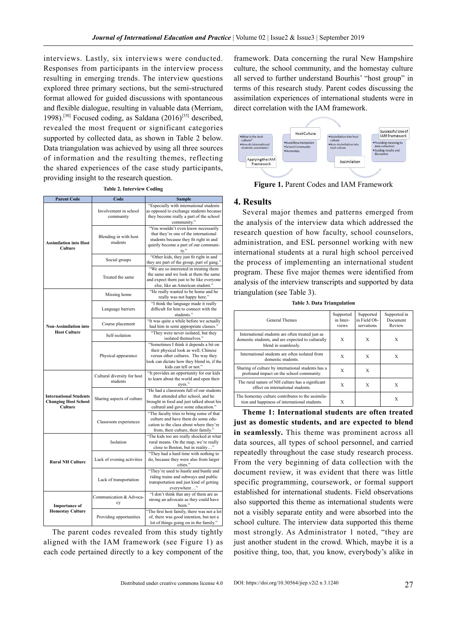interviews. Lastly, six interviews were conducted. Responses from participants in the interview process resulting in emerging trends. The interview questions explored three primary sections, but the semi-structured format allowed for guided discussions with spontaneous and flexible dialogue, resulting in valuable data (Merriam, 1998).<sup>[30]</sup> Focused coding, as Saldana  $(2016)^{[35]}$  described, revealed the most frequent or significant categories supported by collected data, as shown in Table 2 below. Data triangulation was achieved by using all three sources of information and the resulting themes, reflecting the shared experiences of the case study participants, providing insight to the research question.

**Table 2. Interview Coding**

| <b>Parent Code</b>                                                      | <b>Sample</b><br>Code                   |                                                                                                                                                                                               |  |  |
|-------------------------------------------------------------------------|-----------------------------------------|-----------------------------------------------------------------------------------------------------------------------------------------------------------------------------------------------|--|--|
|                                                                         | Involvement in school<br>community      | "Especially with international students<br>as opposed to exchange students because<br>they become really a part of the school<br>community."                                                  |  |  |
| <b>Assimilation into Host</b><br>Culture                                | Blending in with host<br>students       | "You wouldn't even know necessarily<br>that they're one of the international<br>students because they fit right in and<br>quietly become a part of our communi-<br>ty."                       |  |  |
|                                                                         | Social groups                           | "Other kids, they just fit right in and<br>they are part of the group, part of gang."                                                                                                         |  |  |
|                                                                         | Treated the same                        | "We are so interested in treating them<br>the same and we look at them the same<br>and expect them just to be like everyone<br>else, like an American student."                               |  |  |
|                                                                         | Missing home                            | "He really wanted to be home and he<br>really was not happy here."                                                                                                                            |  |  |
|                                                                         | Language barriers                       | "I think the language made it really<br>difficult for him to connect with the<br>students."                                                                                                   |  |  |
| <b>Non-Assimilation into</b>                                            | Course placement                        | "It was quite a while before we actually<br>had him in semi appropriate classes.'                                                                                                             |  |  |
| <b>Host Culture</b>                                                     | Self-isolation                          | "They were never isolated, but they<br>isolated themselves."                                                                                                                                  |  |  |
|                                                                         | Physical appearance                     | "Sometimes I think it depends a bit on<br>their physical look as well, Chinese<br>versus other cultures. The way they<br>look can dictate how they blend in, if the<br>kids can tell or not." |  |  |
|                                                                         | Cultural diversity for host<br>students | "It provides an opportunity for our kids<br>to learn about the world and open their<br>eyes."                                                                                                 |  |  |
| <b>International Students</b><br><b>Changing Host School</b><br>Culture | Sharing aspects of culture              | "He had a classroom full of our students<br>that attended after school, and he<br>brought in food and just talked about his<br>cultural and gave some education."                             |  |  |
|                                                                         | Classroom experiences                   | "The faculty tries to bring some of that<br>culture and have them do some edu-<br>cation to the class about where they're<br>from, their culture, their family."                              |  |  |
|                                                                         | Isolation                               | "The kids too are really shocked at what<br>rural means. On the map, we're really<br>close to Boston, but in reality"                                                                         |  |  |
| <b>Rural NH Culture</b>                                                 | Lack of evening activities              | "They had a hard time with nothing to<br>do, because they were also from larger<br>cities."                                                                                                   |  |  |
|                                                                         | Lack of transportation                  | "They're used to hustle and bustle and<br>riding trains and subways and public<br>transportation and just kind of getting<br>everywhere "                                                     |  |  |
| <b>Importance</b> of<br><b>Homestay Culture</b>                         | Communication & Advoca-<br>cy           | "I don't think that any of them are as<br>strong an advocate as they could have<br>been."                                                                                                     |  |  |
|                                                                         | Providing opportunities                 | "The first host family, there was not a lot<br>of, there was good intention, but not a<br>lot of things going on in the family."                                                              |  |  |

The parent codes revealed from this study tightly aligned with the IAM framework (see Figure 1) as each code pertained directly to a key component of the

framework. Data concerning the rural New Hampshire culture, the school community, and the homestay culture all served to further understand Bourhis' "host group" in terms of this research study. Parent codes discussing the assimilation experiences of international students were in direct correlation with the IAM framework.



**Figure 1.** Parent Codes and IAM Framework

#### **4. Results**

Several major themes and patterns emerged from the analysis of the interview data which addressed the research question of how faculty, school counselors, administration, and ESL personnel working with new international students at a rural high school perceived the process of implementing an international student program. These five major themes were identified from analysis of the interview transcripts and supported by data triangulation (see Table 3).

**Table 3. Data Triangulation**

| <b>General Themes</b>                                                                                                         | Supported<br>in Inter-<br>views | Supported<br>in Field Ob-<br>servations | Supported in<br>Document<br>Review |
|-------------------------------------------------------------------------------------------------------------------------------|---------------------------------|-----------------------------------------|------------------------------------|
| International students are often treated just as<br>domestic students, and are expected to culturally<br>blend in seamlessly. | X                               | X                                       | X                                  |
| International students are often isolated from<br>domestic students                                                           | X                               | X                                       | X                                  |
| Sharing of culture by international students has a<br>profound impact on the school community.                                | X                               | X                                       |                                    |
| The rural nature of NH culture has a significant<br>effect on international students                                          | X                               | X                                       | X                                  |
| The homestay culture contributes to the assimila-<br>tion and happiness of international students.                            | X                               |                                         | X                                  |

**Theme 1: International students are often treated just as domestic students, and are expected to blend in seamlessly.** This theme was prominent across all data sources, all types of school personnel, and carried repeatedly throughout the case study research process. From the very beginning of data collection with the document review, it was evident that there was little specific programming, coursework, or formal support established for international students. Field observations also supported this theme as international students were not a visibly separate entity and were absorbed into the school culture. The interview data supported this theme most strongly. As Administrator 1 noted, "they are just another student in the crowd. Which, maybe it is a positive thing, too, that, you know, everybody's alike in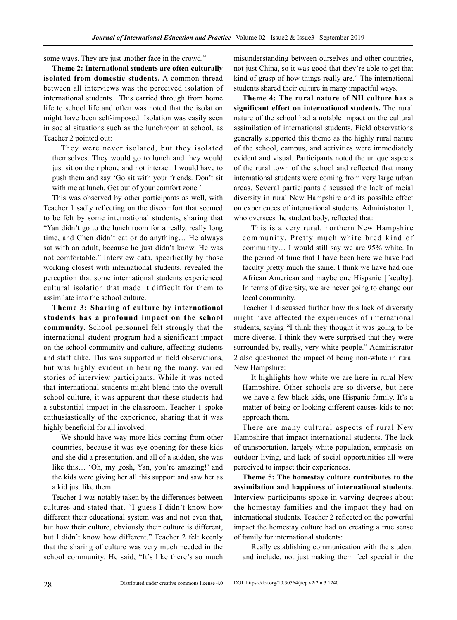some ways. They are just another face in the crowd."

**Theme 2: International students are often culturally isolated from domestic students.** A common thread between all interviews was the perceived isolation of international students. This carried through from home life to school life and often was noted that the isolation might have been self-imposed. Isolation was easily seen in social situations such as the lunchroom at school, as Teacher 2 pointed out:

They were never isolated, but they isolated themselves. They would go to lunch and they would just sit on their phone and not interact. I would have to push them and say 'Go sit with your friends. Don't sit with me at lunch. Get out of your comfort zone.'

This was observed by other participants as well, with Teacher 1 sadly reflecting on the discomfort that seemed to be felt by some international students, sharing that "Yan didn't go to the lunch room for a really, really long time, and Chen didn't eat or do anything… He always sat with an adult, because he just didn't know. He was not comfortable." Interview data, specifically by those working closest with international students, revealed the perception that some international students experienced cultural isolation that made it difficult for them to assimilate into the school culture.

**Theme 3: Sharing of culture by international students has a profound impact on the school community.** School personnel felt strongly that the international student program had a significant impact on the school community and culture, affecting students and staff alike. This was supported in field observations, but was highly evident in hearing the many, varied stories of interview participants. While it was noted that international students might blend into the overall school culture, it was apparent that these students had a substantial impact in the classroom. Teacher 1 spoke enthusiastically of the experience, sharing that it was highly beneficial for all involved:

We should have way more kids coming from other countries, because it was eye-opening for these kids and she did a presentation, and all of a sudden, she was like this… 'Oh, my gosh, Yan, you're amazing!' and the kids were giving her all this support and saw her as a kid just like them.

Teacher 1 was notably taken by the differences between cultures and stated that, "I guess I didn't know how different their educational system was and not even that, but how their culture, obviously their culture is different, but I didn't know how different." Teacher 2 felt keenly that the sharing of culture was very much needed in the school community. He said, "It's like there's so much misunderstanding between ourselves and other countries, not just China, so it was good that they're able to get that kind of grasp of how things really are." The international students shared their culture in many impactful ways.

**Theme 4: The rural nature of NH culture has a significant effect on international students.** The rural nature of the school had a notable impact on the cultural assimilation of international students. Field observations generally supported this theme as the highly rural nature of the school, campus, and activities were immediately evident and visual. Participants noted the unique aspects of the rural town of the school and reflected that many international students were coming from very large urban areas. Several participants discussed the lack of racial diversity in rural New Hampshire and its possible effect on experiences of international students. Administrator 1, who oversees the student body, reflected that:

This is a very rural, northern New Hampshire community. Pretty much white bred kind of community… I would still say we are 95% white. In the period of time that I have been here we have had faculty pretty much the same. I think we have had one African American and maybe one Hispanic [faculty]. In terms of diversity, we are never going to change our local community.

Teacher 1 discussed further how this lack of diversity might have affected the experiences of international students, saying "I think they thought it was going to be more diverse. I think they were surprised that they were surrounded by, really, very white people." Administrator 2 also questioned the impact of being non-white in rural New Hampshire:

It highlights how white we are here in rural New Hampshire. Other schools are so diverse, but here we have a few black kids, one Hispanic family. It's a matter of being or looking different causes kids to not approach them.

There are many cultural aspects of rural New Hampshire that impact international students. The lack of transportation, largely white population, emphasis on outdoor living, and lack of social opportunities all were perceived to impact their experiences.

**Theme 5: The homestay culture contributes to the assimilation and happiness of international students.**  Interview participants spoke in varying degrees about the homestay families and the impact they had on international students. Teacher 2 reflected on the powerful impact the homestay culture had on creating a true sense of family for international students:

Really establishing communication with the student and include, not just making them feel special in the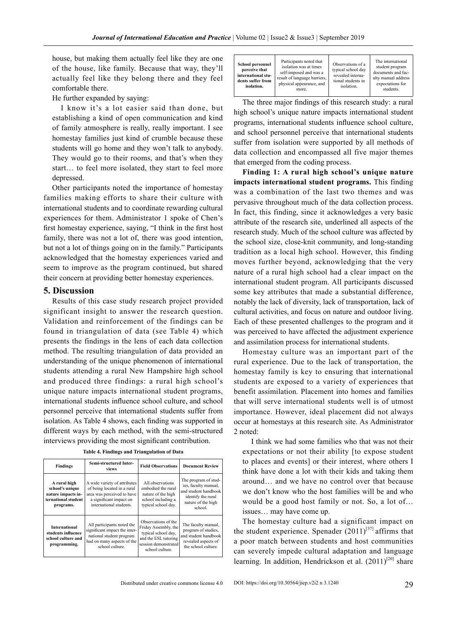house, but making them actually feel like they are one of the house, like family. Because that way, they'll actually feel like they belong there and they feel comfortable there.

He further expanded by saying:

I know it's a lot easier said than done, but establishing a kind of open communication and kind of family atmosphere is really, really important. I see homestay families just kind of crumble because these students will go home and they won't talk to anybody. They would go to their rooms, and that's when they start… to feel more isolated, they start to feel more depressed.

Other participants noted the importance of homestay families making efforts to share their culture with international students and to coordinate rewarding cultural experiences for them. Administrator 1 spoke of Chen's first homestay experience, saying, "I think in the first host family, there was not a lot of, there was good intention, but not a lot of things going on in the family." Participants acknowledged that the homestay experiences varied and seem to improve as the program continued, but shared their concern at providing better homestay experiences.

#### **5. Discussion**

Results of this case study research project provided significant insight to answer the research question. Validation and reinforcement of the findings can be found in triangulation of data (see Table 4) which presents the findings in the lens of each data collection method. The resulting triangulation of data provided an understanding of the unique phenomenon of international students attending a rural New Hampshire high school and produced three findings: a rural high school's unique nature impacts international student programs, international students influence school culture, and school personnel perceive that international students suffer from isolation. As Table 4 shows, each finding was supported in different ways by each method, with the semi-structured interviews providing the most significant contribution.

|  |  | Table 4. Findings and Triangulation of Data |  |
|--|--|---------------------------------------------|--|
|--|--|---------------------------------------------|--|

| <b>Findings</b>                                                                           | <b>Semi-structured Inter-</b><br>views                                                                                                          | <b>Field Observations</b>                                                                                                             | <b>Document Review</b>                                                                                                      |
|-------------------------------------------------------------------------------------------|-------------------------------------------------------------------------------------------------------------------------------------------------|---------------------------------------------------------------------------------------------------------------------------------------|-----------------------------------------------------------------------------------------------------------------------------|
| A rural high<br>school's unique<br>nature impacts in-<br>ternational student<br>programs. | A wide variety of attributes<br>of being located in a rural<br>area was perceived to have<br>a significant impact on<br>international students. | All observations<br>embodied the rural<br>nature of the high<br>school including a<br>typical school day.                             | The program of stud-<br>ies, faculty manual,<br>and student handbook<br>identify the rural<br>nature of the high<br>school. |
| <b>International</b><br>students influence<br>school culture and<br>programming.          | All participants noted the<br>significant impact the inter-<br>national student program<br>had on many aspects of the<br>school culture.        | Observations of the<br>Friday Assembly, the<br>typical school day,<br>and the ESL tutoring<br>session demonstrated<br>school culture. | The faculty manual,<br>program of studies.<br>and student handbook<br>revealed aspects of<br>the school culture.            |

The three major findings of this research study: a rural high school's unique nature impacts international student programs, international students influence school culture, and school personnel perceive that international students suffer from isolation were supported by all methods of data collection and encompassed all five major themes that emerged from the coding process.

**Finding 1: A rural high school's unique nature impacts international student programs.** This finding was a combination of the last two themes and was pervasive throughout much of the data collection process. In fact, this finding, since it acknowledges a very basic attribute of the research site, underlined all aspects of the research study. Much of the school culture was affected by the school size, close-knit community, and long-standing tradition as a local high school. However, this finding moves further beyond, acknowledging that the very nature of a rural high school had a clear impact on the international student program. All participants discussed some key attributes that made a substantial difference, notably the lack of diversity, lack of transportation, lack of cultural activities, and focus on nature and outdoor living. Each of these presented challenges to the program and it was perceived to have affected the adjustment experience and assimilation process for international students.

Homestay culture was an important part of the rural experience. Due to the lack of transportation, the homestay family is key to ensuring that international students are exposed to a variety of experiences that benefit assimilation. Placement into homes and families that will serve international students well is of utmost importance. However, ideal placement did not always occur at homestays at this research site. As Administrator 2 noted:

I think we had some families who that was not their expectations or not their ability [to expose student to places and events] or their interest, where others I think have done a lot with their kids and taking them around… and we have no control over that because we don't know who the host families will be and who would be a good host family or not. So, a lot of… issues… may have come up.

The homestay culture had a significant impact on the student experience. Spenader  $(2011)^{[37]}$  affirms that a poor match between students and host communities can severely impede cultural adaptation and language learning. In addition, Hendrickson et al.  $(2011)^{[20]}$  share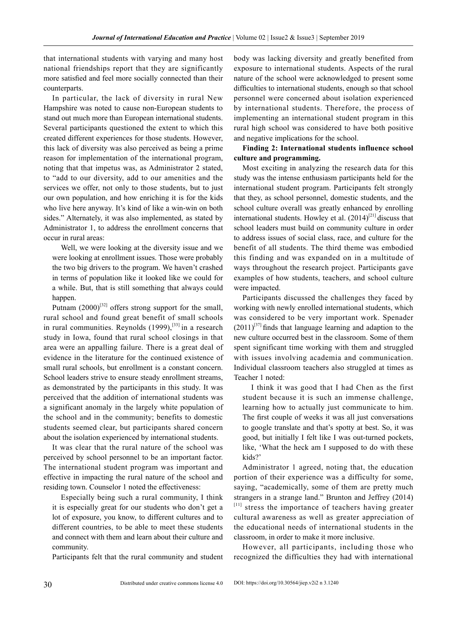that international students with varying and many host national friendships report that they are significantly more satisfied and feel more socially connected than their counterparts.

In particular, the lack of diversity in rural New Hampshire was noted to cause non-European students to stand out much more than European international students. Several participants questioned the extent to which this created different experiences for those students. However, this lack of diversity was also perceived as being a prime reason for implementation of the international program, noting that that impetus was, as Administrator 2 stated, to "add to our diversity, add to our amenities and the services we offer, not only to those students, but to just our own population, and how enriching it is for the kids who live here anyway. It's kind of like a win-win on both sides." Alternately, it was also implemented, as stated by Administrator 1, to address the enrollment concerns that occur in rural areas:

Well, we were looking at the diversity issue and we were looking at enrollment issues. Those were probably the two big drivers to the program. We haven't crashed in terms of population like it looked like we could for a while. But, that is still something that always could happen.

Putnam  $(2000)^{32}$  offers strong support for the small, rural school and found great benefit of small schools in rural communities. Reynolds  $(1999)$ ,  $^{[33]}$  in a research study in Iowa, found that rural school closings in that area were an appalling failure. There is a great deal of evidence in the literature for the continued existence of small rural schools, but enrollment is a constant concern. School leaders strive to ensure steady enrollment streams, as demonstrated by the participants in this study. It was perceived that the addition of international students was a significant anomaly in the largely white population of the school and in the community; benefits to domestic students seemed clear, but participants shared concern about the isolation experienced by international students.

It was clear that the rural nature of the school was perceived by school personnel to be an important factor. The international student program was important and effective in impacting the rural nature of the school and residing town. Counselor 1 noted the effectiveness:

Especially being such a rural community, I think it is especially great for our students who don't get a lot of exposure, you know, to different cultures and to different countries, to be able to meet these students and connect with them and learn about their culture and community.

Participants felt that the rural community and student

body was lacking diversity and greatly benefited from exposure to international students. Aspects of the rural nature of the school were acknowledged to present some difficulties to international students, enough so that school personnel were concerned about isolation experienced by international students. Therefore, the process of implementing an international student program in this rural high school was considered to have both positive and negative implications for the school.

#### **Finding 2: International students influence school culture and programming.**

Most exciting in analyzing the research data for this study was the intense enthusiasm participants held for the international student program. Participants felt strongly that they, as school personnel, domestic students, and the school culture overall was greatly enhanced by enrolling international students. Howley et al.  $(2014)^{[21]}$  discuss that school leaders must build on community culture in order to address issues of social class, race, and culture for the benefit of all students. The third theme was embodied this finding and was expanded on in a multitude of ways throughout the research project. Participants gave examples of how students, teachers, and school culture were impacted.

Participants discussed the challenges they faced by working with newly enrolled international students, which was considered to be very important work. Spenader  $(2011)^{37}$  finds that language learning and adaption to the new culture occurred best in the classroom. Some of them spent significant time working with them and struggled with issues involving academia and communication. Individual classroom teachers also struggled at times as Teacher 1 noted:

I think it was good that I had Chen as the first student because it is such an immense challenge, learning how to actually just communicate to him. The first couple of weeks it was all just conversations to google translate and that's spotty at best. So, it was good, but initially I felt like I was out-turned pockets, like, 'What the heck am I supposed to do with these kids?'

Administrator 1 agreed, noting that, the education portion of their experience was a difficulty for some, saying, "academically, some of them are pretty much strangers in a strange land." Brunton and Jeffrey (2014) [11] stress the importance of teachers having greater cultural awareness as well as greater appreciation of the educational needs of international students in the classroom, in order to make it more inclusive.

However, all participants, including those who recognized the difficulties they had with international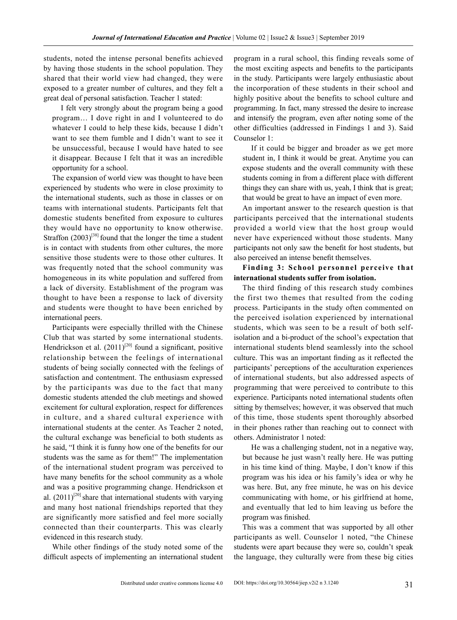students, noted the intense personal benefits achieved by having those students in the school population. They shared that their world view had changed, they were exposed to a greater number of cultures, and they felt a great deal of personal satisfaction. Teacher 1 stated:

I felt very strongly about the program being a good program… I dove right in and I volunteered to do whatever I could to help these kids, because I didn't want to see them fumble and I didn't want to see it be unsuccessful, because I would have hated to see it disappear. Because I felt that it was an incredible opportunity for a school.

The expansion of world view was thought to have been experienced by students who were in close proximity to the international students, such as those in classes or on teams with international students. Participants felt that domestic students benefited from exposure to cultures they would have no opportunity to know otherwise. Straffon  $(2003)^{[38]}$  found that the longer the time a student is in contact with students from other cultures, the more sensitive those students were to those other cultures. It was frequently noted that the school community was homogeneous in its white population and suffered from a lack of diversity. Establishment of the program was thought to have been a response to lack of diversity and students were thought to have been enriched by international peers.

Participants were especially thrilled with the Chinese Club that was started by some international students. Hendrickson et al.  $(2011)^{[20]}$  found a significant, positive relationship between the feelings of international students of being socially connected with the feelings of satisfaction and contentment. The enthusiasm expressed by the participants was due to the fact that many domestic students attended the club meetings and showed excitement for cultural exploration, respect for differences in culture, and a shared cultural experience with international students at the center. As Teacher 2 noted, the cultural exchange was beneficial to both students as he said, "I think it is funny how one of the benefits for our students was the same as for them!" The implementation of the international student program was perceived to have many benefits for the school community as a whole and was a positive programming change. Hendrickson et al.  $(2011)^{[20]}$  share that international students with varying and many host national friendships reported that they are significantly more satisfied and feel more socially connected than their counterparts. This was clearly evidenced in this research study.

While other findings of the study noted some of the difficult aspects of implementing an international student program in a rural school, this finding reveals some of the most exciting aspects and benefits to the participants in the study. Participants were largely enthusiastic about the incorporation of these students in their school and highly positive about the benefits to school culture and programming. In fact, many stressed the desire to increase and intensify the program, even after noting some of the other difficulties (addressed in Findings 1 and 3). Said Counselor 1:

If it could be bigger and broader as we get more student in, I think it would be great. Anytime you can expose students and the overall community with these students coming in from a different place with different things they can share with us, yeah, I think that is great; that would be great to have an impact of even more.

An important answer to the research question is that participants perceived that the international students provided a world view that the host group would never have experienced without those students. Many participants not only saw the benefit for host students, but also perceived an intense benefit themselves.

**Finding 3: School personnel perceive that international students suffer from isolation.**

The third finding of this research study combines the first two themes that resulted from the coding process. Participants in the study often commented on the perceived isolation experienced by international students, which was seen to be a result of both selfisolation and a bi-product of the school's expectation that international students blend seamlessly into the school culture. This was an important finding as it reflected the participants' perceptions of the acculturation experiences of international students, but also addressed aspects of programming that were perceived to contribute to this experience. Participants noted international students often sitting by themselves; however, it was observed that much of this time, those students spent thoroughly absorbed in their phones rather than reaching out to connect with others. Administrator 1 noted:

He was a challenging student, not in a negative way, but because he just wasn't really here. He was putting in his time kind of thing. Maybe, I don't know if this program was his idea or his family's idea or why he was here. But, any free minute, he was on his device communicating with home, or his girlfriend at home, and eventually that led to him leaving us before the program was finished.

This was a comment that was supported by all other participants as well. Counselor 1 noted, "the Chinese students were apart because they were so, couldn't speak the language, they culturally were from these big cities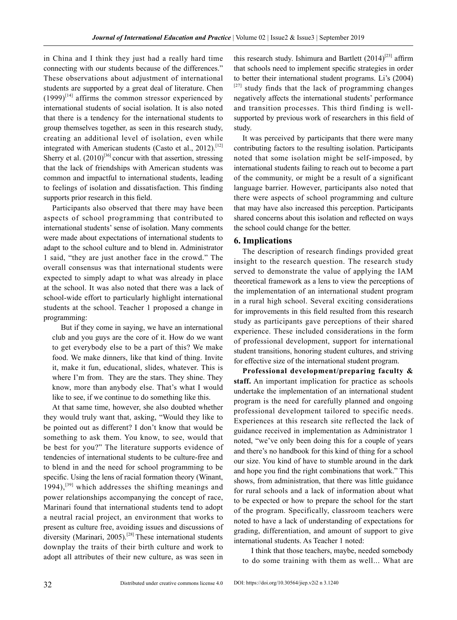in China and I think they just had a really hard time connecting with our students because of the differences." These observations about adjustment of international students are supported by a great deal of literature. Chen  $(1999)^{[14]}$  affirms the common stressor experienced by international students of social isolation. It is also noted that there is a tendency for the international students to group themselves together, as seen in this research study, creating an additional level of isolation, even while integrated with American students (Casto et al., 2012).<sup>[12]</sup> Sherry et al.  $(2010)^{36}$  concur with that assertion, stressing that the lack of friendships with American students was common and impactful to international students, leading to feelings of isolation and dissatisfaction. This finding supports prior research in this field.

Participants also observed that there may have been aspects of school programming that contributed to international students' sense of isolation. Many comments were made about expectations of international students to adapt to the school culture and to blend in. Administrator 1 said, "they are just another face in the crowd." The overall consensus was that international students were expected to simply adapt to what was already in place at the school. It was also noted that there was a lack of school-wide effort to particularly highlight international students at the school. Teacher 1 proposed a change in programming:

But if they come in saying, we have an international club and you guys are the core of it. How do we want to get everybody else to be a part of this? We make food. We make dinners, like that kind of thing. Invite it, make it fun, educational, slides, whatever. This is where I'm from. They are the stars. They shine. They know, more than anybody else. That's what I would like to see, if we continue to do something like this.

At that same time, however, she also doubted whether they would truly want that, asking, "Would they like to be pointed out as different? I don't know that would be something to ask them. You know, to see, would that be best for you?" The literature supports evidence of tendencies of international students to be culture-free and to blend in and the need for school programming to be specific. Using the lens of racial formation theory (Winant, 1994),<sup>[39]</sup> which addresses the shifting meanings and power relationships accompanying the concept of race, Marinari found that international students tend to adopt a neutral racial project, an environment that works to present as culture free, avoiding issues and discussions of diversity (Marinari, 2005).<sup>[28]</sup> These international students downplay the traits of their birth culture and work to adopt all attributes of their new culture, as was seen in

this research study. Ishimura and Bartlett  $(2014)^{[23]}$  affirm that schools need to implement specific strategies in order to better their international student programs. Li's (2004)  $[27]$  study finds that the lack of programming changes negatively affects the international students' performance and transition processes. This third finding is wellsupported by previous work of researchers in this field of study.

It was perceived by participants that there were many contributing factors to the resulting isolation. Participants noted that some isolation might be self-imposed, by international students failing to reach out to become a part of the community, or might be a result of a significant language barrier. However, participants also noted that there were aspects of school programming and culture that may have also increased this perception. Participants shared concerns about this isolation and reflected on ways the school could change for the better.

#### **6. Implications**

The description of research findings provided great insight to the research question. The research study served to demonstrate the value of applying the IAM theoretical framework as a lens to view the perceptions of the implementation of an international student program in a rural high school. Several exciting considerations for improvements in this field resulted from this research study as participants gave perceptions of their shared experience. These included considerations in the form of professional development, support for international student transitions, honoring student cultures, and striving for effective size of the international student program.

**Professional development/preparing faculty & staff.** An important implication for practice as schools undertake the implementation of an international student program is the need for carefully planned and ongoing professional development tailored to specific needs. Experiences at this research site reflected the lack of guidance received in implementation as Administrator 1 noted, "we've only been doing this for a couple of years and there's no handbook for this kind of thing for a school our size. You kind of have to stumble around in the dark and hope you find the right combinations that work." This shows, from administration, that there was little guidance for rural schools and a lack of information about what to be expected or how to prepare the school for the start of the program. Specifically, classroom teachers were noted to have a lack of understanding of expectations for grading, differentiation, and amount of support to give international students. As Teacher 1 noted:

I think that those teachers, maybe, needed somebody to do some training with them as well... What are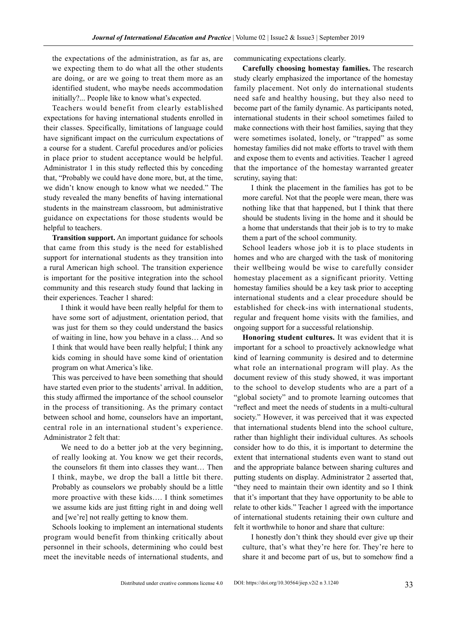the expectations of the administration, as far as, are we expecting them to do what all the other students are doing, or are we going to treat them more as an identified student, who maybe needs accommodation initially?... People like to know what's expected.

Teachers would benefit from clearly established expectations for having international students enrolled in their classes. Specifically, limitations of language could have significant impact on the curriculum expectations of a course for a student. Careful procedures and/or policies in place prior to student acceptance would be helpful. Administrator 1 in this study reflected this by conceding that, "Probably we could have done more, but, at the time, we didn't know enough to know what we needed." The study revealed the many benefits of having international students in the mainstream classroom, but administrative guidance on expectations for those students would be helpful to teachers.

**Transition support.** An important guidance for schools that came from this study is the need for established support for international students as they transition into a rural American high school. The transition experience is important for the positive integration into the school community and this research study found that lacking in their experiences. Teacher 1 shared:

I think it would have been really helpful for them to have some sort of adjustment, orientation period, that was just for them so they could understand the basics of waiting in line, how you behave in a class… And so I think that would have been really helpful; I think any kids coming in should have some kind of orientation program on what America's like.

This was perceived to have been something that should have started even prior to the students' arrival. In addition, this study affirmed the importance of the school counselor in the process of transitioning. As the primary contact between school and home, counselors have an important, central role in an international student's experience. Administrator 2 felt that:

We need to do a better job at the very beginning, of really looking at. You know we get their records, the counselors fit them into classes they want… Then I think, maybe, we drop the ball a little bit there. Probably as counselors we probably should be a little more proactive with these kids…. I think sometimes we assume kids are just fitting right in and doing well and [we're] not really getting to know them.

Schools looking to implement an international students program would benefit from thinking critically about personnel in their schools, determining who could best meet the inevitable needs of international students, and communicating expectations clearly.

**Carefully choosing homestay families.** The research study clearly emphasized the importance of the homestay family placement. Not only do international students need safe and healthy housing, but they also need to become part of the family dynamic. As participants noted, international students in their school sometimes failed to make connections with their host families, saying that they were sometimes isolated, lonely, or "trapped" as some homestay families did not make efforts to travel with them and expose them to events and activities. Teacher 1 agreed that the importance of the homestay warranted greater scrutiny, saying that:

I think the placement in the families has got to be more careful. Not that the people were mean, there was nothing like that that happened, but I think that there should be students living in the home and it should be a home that understands that their job is to try to make them a part of the school community.

School leaders whose job it is to place students in homes and who are charged with the task of monitoring their wellbeing would be wise to carefully consider homestay placement as a significant priority. Vetting homestay families should be a key task prior to accepting international students and a clear procedure should be established for check-ins with international students, regular and frequent home visits with the families, and ongoing support for a successful relationship.

**Honoring student cultures.** It was evident that it is important for a school to proactively acknowledge what kind of learning community is desired and to determine what role an international program will play. As the document review of this study showed, it was important to the school to develop students who are a part of a "global society" and to promote learning outcomes that "reflect and meet the needs of students in a multi-cultural society." However, it was perceived that it was expected that international students blend into the school culture, rather than highlight their individual cultures. As schools consider how to do this, it is important to determine the extent that international students even want to stand out and the appropriate balance between sharing cultures and putting students on display. Administrator 2 asserted that, "they need to maintain their own identity and so I think that it's important that they have opportunity to be able to relate to other kids." Teacher 1 agreed with the importance of international students retaining their own culture and felt it worthwhile to honor and share that culture:

I honestly don't think they should ever give up their culture, that's what they're here for. They're here to share it and become part of us, but to somehow find a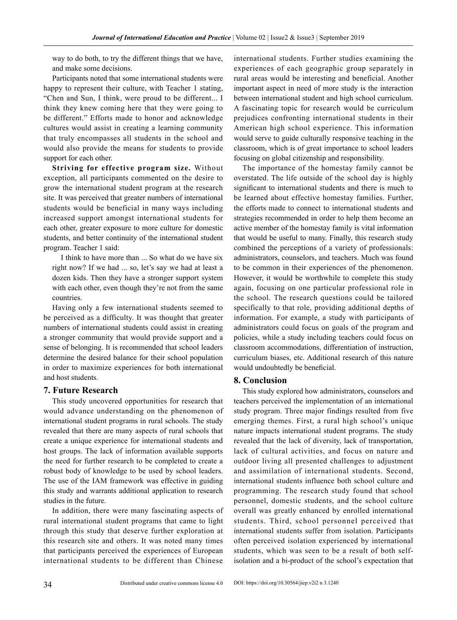way to do both, to try the different things that we have, and make some decisions.

Participants noted that some international students were happy to represent their culture, with Teacher 1 stating, "Chen and Sun, I think, were proud to be different... I think they knew coming here that they were going to be different." Efforts made to honor and acknowledge cultures would assist in creating a learning community that truly encompasses all students in the school and would also provide the means for students to provide support for each other.

**Striving for effective program size.** Without exception, all participants commented on the desire to grow the international student program at the research site. It was perceived that greater numbers of international students would be beneficial in many ways including increased support amongst international students for each other, greater exposure to more culture for domestic students, and better continuity of the international student program. Teacher 1 said:

I think to have more than ... So what do we have six right now? If we had ... so, let's say we had at least a dozen kids. Then they have a stronger support system with each other, even though they're not from the same countries.

Having only a few international students seemed to be perceived as a difficulty. It was thought that greater numbers of international students could assist in creating a stronger community that would provide support and a sense of belonging. It is recommended that school leaders determine the desired balance for their school population in order to maximize experiences for both international and host students.

#### **7. Future Research**

This study uncovered opportunities for research that would advance understanding on the phenomenon of international student programs in rural schools. The study revealed that there are many aspects of rural schools that create a unique experience for international students and host groups. The lack of information available supports the need for further research to be completed to create a robust body of knowledge to be used by school leaders. The use of the IAM framework was effective in guiding this study and warrants additional application to research studies in the future.

In addition, there were many fascinating aspects of rural international student programs that came to light through this study that deserve further exploration at this research site and others. It was noted many times that participants perceived the experiences of European international students to be different than Chinese international students. Further studies examining the experiences of each geographic group separately in rural areas would be interesting and beneficial. Another important aspect in need of more study is the interaction between international student and high school curriculum. A fascinating topic for research would be curriculum prejudices confronting international students in their American high school experience. This information would serve to guide culturally responsive teaching in the classroom, which is of great importance to school leaders focusing on global citizenship and responsibility.

The importance of the homestay family cannot be overstated. The life outside of the school day is highly significant to international students and there is much to be learned about effective homestay families. Further, the efforts made to connect to international students and strategies recommended in order to help them become an active member of the homestay family is vital information that would be useful to many. Finally, this research study combined the perceptions of a variety of professionals: administrators, counselors, and teachers. Much was found to be common in their experiences of the phenomenon. However, it would be worthwhile to complete this study again, focusing on one particular professional role in the school. The research questions could be tailored specifically to that role, providing additional depths of information. For example, a study with participants of administrators could focus on goals of the program and policies, while a study including teachers could focus on classroom accommodations, differentiation of instruction, curriculum biases, etc. Additional research of this nature would undoubtedly be beneficial.

#### **8. Conclusion**

This study explored how administrators, counselors and teachers perceived the implementation of an international study program. Three major findings resulted from five emerging themes. First, a rural high school's unique nature impacts international student programs. The study revealed that the lack of diversity, lack of transportation, lack of cultural activities, and focus on nature and outdoor living all presented challenges to adjustment and assimilation of international students. Second, international students influence both school culture and programming. The research study found that school personnel, domestic students, and the school culture overall was greatly enhanced by enrolled international students. Third, school personnel perceived that international students suffer from isolation. Participants often perceived isolation experienced by international students, which was seen to be a result of both selfisolation and a bi-product of the school's expectation that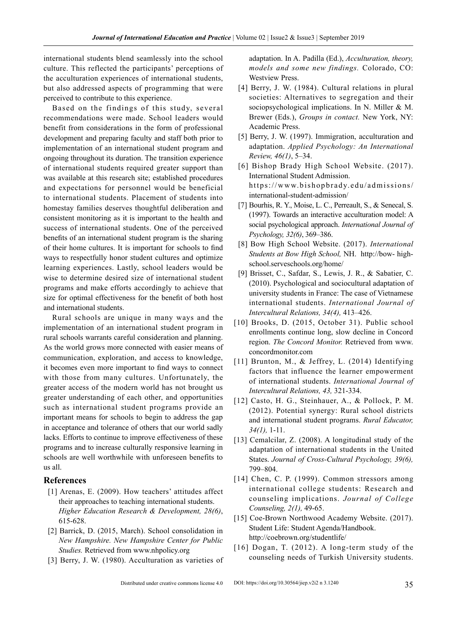international students blend seamlessly into the school culture. This reflected the participants' perceptions of the acculturation experiences of international students, but also addressed aspects of programming that were perceived to contribute to this experience.

Based on the findings of this study, several recommendations were made. School leaders would benefit from considerations in the form of professional development and preparing faculty and staff both prior to implementation of an international student program and ongoing throughout its duration. The transition experience of international students required greater support than was available at this research site; established procedures and expectations for personnel would be beneficial to international students. Placement of students into homestay families deserves thoughtful deliberation and consistent monitoring as it is important to the health and success of international students. One of the perceived benefits of an international student program is the sharing of their home cultures. It is important for schools to find ways to respectfully honor student cultures and optimize learning experiences. Lastly, school leaders would be wise to determine desired size of international student programs and make efforts accordingly to achieve that size for optimal effectiveness for the benefit of both host and international students.

Rural schools are unique in many ways and the implementation of an international student program in rural schools warrants careful consideration and planning. As the world grows more connected with easier means of communication, exploration, and access to knowledge, it becomes even more important to find ways to connect with those from many cultures. Unfortunately, the greater access of the modern world has not brought us greater understanding of each other, and opportunities such as international student programs provide an important means for schools to begin to address the gap in acceptance and tolerance of others that our world sadly lacks. Efforts to continue to improve effectiveness of these programs and to increase culturally responsive learning in schools are well worthwhile with unforeseen benefits to us all.

#### **References**

- [1] Arenas, E. (2009). How teachers' attitudes affect their approaches to teaching international students. *Higher Education Research & Development, 28(6)*, 615-628.
- [2] Barrick, D. (2015, March). School consolidation in *New Hampshire. New Hampshire Center for Public Studies.* Retrieved from www.nhpolicy.org
- [3] Berry, J. W. (1980). Acculturation as varieties of

adaptation. In A. Padilla (Ed.), *Acculturation, theory, models and some new findings.* Colorado, CO: Westview Press.

- [4] Berry, J. W. (1984). Cultural relations in plural societies: Alternatives to segregation and their sociopsychological implications. In N. Miller & M. Brewer (Eds.), *Groups in contact.* New York, NY: Academic Press.
- [5] Berry, J. W. (1997). Immigration, acculturation and adaptation. *Applied Psychology: An International Review, 46(1)*, 5–34.
- [6] Bishop Brady High School Website. (2017). International Student Admission. https://www.bishopbrady.edu/admissions/ international-student-admission/
- [7] Bourhis, R. Y., Moise, L. C., Perreault, S., & Senecal, S. (1997). Towards an interactive acculturation model: A social psychological approach. *International Journal of Psychology, 32(6)*, 369–386.
- [8] Bow High School Website. (2017). *International Students at Bow High School,* NH. http://bow- highschool.serveschools.org/home/
- [9] Brisset, C., Safdar, S., Lewis, J. R., & Sabatier, C. (2010). Psychological and sociocultural adaptation of university students in France: The case of Vietnamese international students. *International Journal of Intercultural Relations, 34(4),* 413–426.
- [10] Brooks, D. (2015, October 31). Public school enrollments continue long, slow decline in Concord region. *The Concord Monitor.* Retrieved from www. concordmonitor.com
- [11] Brunton, M., & Jeffrey, L. (2014) Identifying factors that influence the learner empowerment of international students. *International Journal of Intercultural Relations, 43,* 321-334.
- [12] Casto, H. G., Steinhauer, A., & Pollock, P. M. (2012). Potential synergy: Rural school districts and international student programs. *Rural Educator, 34(1),* 1-11.
- [13] Cemalcilar, Z. (2008). A longitudinal study of the adaptation of international students in the United States. *Journal of Cross-Cultural Psychology, 39(6),*  799–804.
- [14] Chen, C. P. (1999). Common stressors among international college students: Research and counseling implications. *Journal of College Counseling, 2(1),* 49-65.
- [15] Coe-Brown Northwood Academy Website. (2017). Student Life: Student Agenda/Handbook. <http://coebrown.org/studentlife/>
- [16] Dogan, T. (2012). A long-term study of the counseling needs of Turkish University students.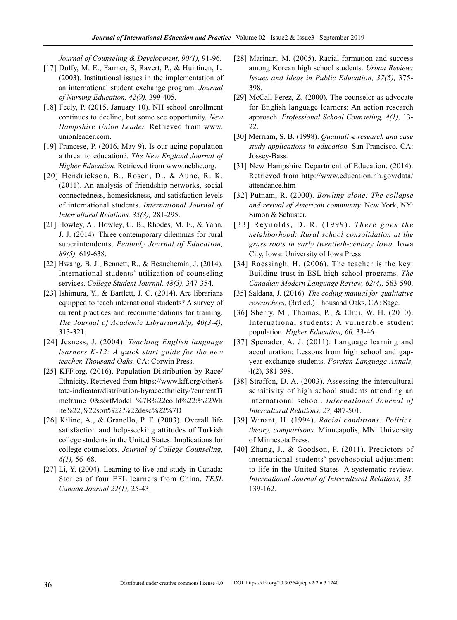*Journal of Counseling & Development, 90(1),* 91-96.

- [17] Duffy, M. E., Farmer, S, Ravert, P., & Huittinen, L. (2003). Institutional issues in the implementation of an international student exchange program. *Journal of Nursing Education, 42(9),* 399-405.
- [18] Feely, P. (2015, January 10). NH school enrollment continues to decline, but some see opportunity. *New Hampshire Union Leader.* Retrieved from www. unionleader.com.
- [19] Francese, P. (2016, May 9). Is our aging population a threat to education?. *The New England Journal of Higher Education.* Retrieved from www.nebhe.org.
- [20] Hendrickson, B., Rosen, D., & Aune, R. K. (2011). An analysis of friendship networks, social connectedness, homesickness, and satisfaction levels of international students. *International Journal of Intercultural Relations, 35(3),* 281-295.
- [21] Howley, A., Howley, C. B., Rhodes, M. E., & Yahn, J. J. (2014). Three contemporary dilemmas for rural superintendents. *Peabody Journal of Education, 89(5),* 619-638.
- [22] Hwang, B. J., Bennett, R., & Beauchemin, J. (2014). International students' utilization of counseling services. *College Student Journal, 48(3),* 347-354.
- [23] Ishimura, Y., & Bartlett, J. C. (2014). Are librarians equipped to teach international students? A survey of current practices and recommendations for training. *The Journal of Academic Librarianship, 40(3-4),*  313-321.
- [24] Jesness, J. (2004). *Teaching English language learners K-12: A quick start guide for the new teacher. Thousand Oaks,* CA: Corwin Press.
- [25] KFF.org. (2016). Population Distribution by Race/ Ethnicity. Retrieved from https://www.kff.org/other/s tate-indicator/distribution-byraceethnicity/?currentTi meframe=0&sortModel=%7B%22colId%22:%22Wh ite%22,%22sort%22:%22desc%22%7D
- [26] Kilinc, A., & Granello, P. F. (2003). Overall life satisfaction and help-seeking attitudes of Turkish college students in the United States: Implications for college counselors. *Journal of College Counseling, 6(1),* 56–68.
- [27] Li, Y. (2004). Learning to live and study in Canada: Stories of four EFL learners from China. *TESL Canada Journal 22(1),* 25-43.
- [28] Marinari, M. (2005). Racial formation and success among Korean high school students. *Urban Review: Issues and Ideas in Public Education, 37(5),* 375- 398.
- [29] McCall-Perez, Z. (2000). The counselor as advocate for English language learners: An action research approach. *Professional School Counseling, 4(1),* 13- 22.
- [30] Merriam, S. B. (1998). *Qualitative research and case study applications in education.* San Francisco, CA: Jossey-Bass.
- [31] New Hampshire Department of Education. (2014). Retrieved from http://www.education.nh.gov/data/ attendance.htm
- [32] Putnam, R. (2000). *Bowling alone: The collapse and revival of American community.* New York, NY: Simon & Schuster.
- [33] Reynolds, D. R. (1999). *There goes the neighborhood: Rural school consolidation at the grass roots in early twentieth-century Iowa.* Iowa City, Iowa: University of Iowa Press.
- [34] Roessingh, H. (2006). The teacher is the key: Building trust in ESL high school programs. *The Canadian Modern Language Review, 62(4),* 563-590.
- [35] Saldana, J. (2016). *The coding manual for qualitative researchers,* (3rd ed.) Thousand Oaks, CA: Sage.
- [36] Sherry, M., Thomas, P., & Chui, W. H. (2010). International students: A vulnerable student population. *Higher Education, 60,* 33-46.
- [37] Spenader, A. J. (2011). Language learning and acculturation: Lessons from high school and gapyear exchange students. *Foreign Language Annals,*  4(2), 381-398.
- [38] Straffon, D. A. (2003). Assessing the intercultural sensitivity of high school students attending an international school. *International Journal of Intercultural Relations, 27,* 487-501.
- [39] Winant, H. (1994). *Racial conditions: Politics, theory, comparisons.* Minneapolis, MN: University of Minnesota Press.
- [40] Zhang, J., & Goodson, P. (2011). Predictors of international students' psychosocial adjustment to life in the United States: A systematic review. *International Journal of Intercultural Relations, 35,*  139-162.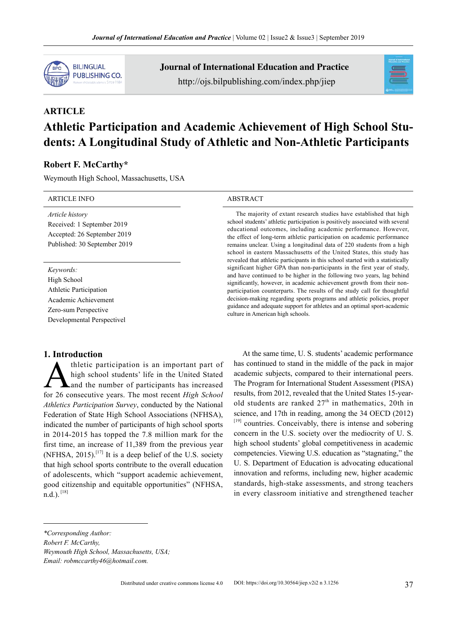

Journal of International Education and Practice http://ojs.bilpublishing.com/index.php/jiep



# **ARTICLE Athletic Participation and Academic Achievement of High School Students: A Longitudinal Study of Athletic and Non-Athletic Participants**

#### **Robert F. McCarthy\***

Weymouth High School, Massachusetts, USA

| <b>ARTICLE INFO</b>                                                                                                              | <b>ABSTRACT</b>                                                                                                                                                                                                                                                                                                                                                                                                                                                                                                                      |
|----------------------------------------------------------------------------------------------------------------------------------|--------------------------------------------------------------------------------------------------------------------------------------------------------------------------------------------------------------------------------------------------------------------------------------------------------------------------------------------------------------------------------------------------------------------------------------------------------------------------------------------------------------------------------------|
| Article history<br>Received: 1 September 2019<br>Accepted: 26 September 2019<br>Published: 30 September 2019                     | The majority of extant research studies have established that high<br>school students' athletic participation is positively associated with several<br>educational outcomes, including academic performance. However,<br>the effect of long-term athletic participation on academic performance<br>remains unclear. Using a longitudinal data of 220 students from a high<br>school in eastern Massachusetts of the United States, this study has<br>revealed that athletic participants in this school started with a statistically |
| Keywords:<br>High School<br>Athletic Participation<br>Academic Achievement<br>Zero-sum Perspective<br>Developmental Perspectivel | significant higher GPA than non-participants in the first year of study,<br>and have continued to be higher in the following two years, lag behind<br>significantly, however, in academic achievement growth from their non-<br>participation counterparts. The results of the study call for thoughtful<br>decision-making regarding sports programs and athletic policies, proper<br>guidance and adequate support for athletes and an optimal sport-academic<br>culture in American high schools.                                 |

# **1. Introduction**

thletic participation is an important part of high school students' life in the United Stated and the number of participants has increased for 26 consecutive years. The most recent *High School Athletics Participation Survey*, conducted by the National Federation of State High School Associations (NFHSA), indicated the number of participants of high school sports in 2014-2015 has topped the 7.8 million mark for the first time, an increase of 11,389 from the previous year (NFHSA,  $2015$ ).<sup>[17]</sup> It is a deep belief of the U.S. society that high school sports contribute to the overall education of adolescents, which "support academic achievement, good citizenship and equitable opportunities" (NFHSA,  $n.d.$ ).  $[18]$ 

At the same time, U. S. students' academic performance has continued to stand in the middle of the pack in major academic subjects, compared to their international peers. The Program for International Student Assessment (PISA) results, from 2012, revealed that the United States 15-yearold students are ranked  $27<sup>th</sup>$  in mathematics, 20th in science, and 17th in reading, among the 34 OECD (2012) [19] countries. Conceivably, there is intense and sobering concern in the U.S. society over the mediocrity of U. S. high school students' global competitiveness in academic competencies. Viewing U.S. education as "stagnating," the U. S. Department of Education is advocating educational innovation and reforms, including new, higher academic standards, high-stake assessments, and strong teachers in every classroom initiative and strengthened teacher

*Robert F. McCarthy,*

*Weymouth High School, Massachusetts, USA;*

*Email: robmccarthy46@hotmail.com.*

Distributed under creative commons license 4.0 DOI: https://doi.org/10.30564/jiep.v2i2 n 3.1256

*<sup>\*</sup>Corresponding Author:*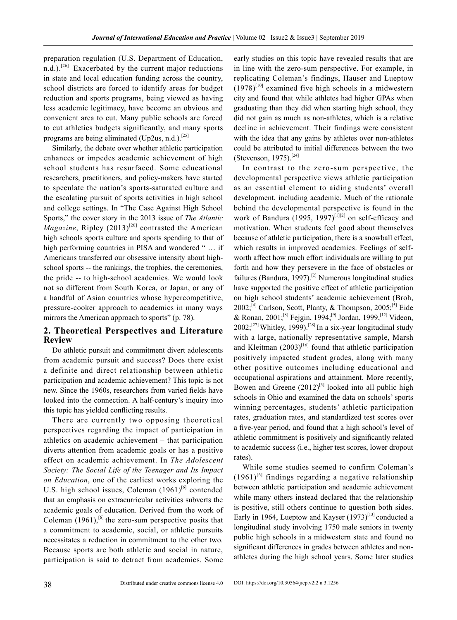preparation regulation (U.S. Department of Education, n.d.).<sup>[26]</sup> Exacerbated by the current major reductions in state and local education funding across the country, school districts are forced to identify areas for budget reduction and sports programs, being viewed as having less academic legitimacy, have become an obvious and convenient area to cut. Many public schools are forced to cut athletics budgets significantly, and many sports programs are being eliminated (Up2us, n.d.).<sup>[25]</sup>

Similarly, the debate over whether athletic participation enhances or impedes academic achievement of high school students has resurfaced. Some educational researchers, practitioners, and policy-makers have started to speculate the nation's sports-saturated culture and the escalating pursuit of sports activities in high school and college settings. In "The Case Against High School Sports," the cover story in the 2013 issue of *The Atlantic Magazine*, Ripley  $(2013)^{[20]}$  contrasted the American high schools sports culture and sports spending to that of high performing countries in PISA and wondered " ... if Americans transferred our obsessive intensity about highschool sports -- the rankings, the trophies, the ceremonies, the pride -- to high-school academics. We would look not so different from South Korea, or Japan, or any of a handful of Asian countries whose hypercompetitive, pressure-cooker approach to academics in many ways mirrors the American approach to sports" (p. 78).

# **2. Theoretical Perspectives and Literature Review**

Do athletic pursuit and commitment divert adolescents from academic pursuit and success? Does there exist a definite and direct relationship between athletic participation and academic achievement? This topic is not new. Since the 1960s, researchers from varied fields have looked into the connection. A half-century's inquiry into this topic has yielded conflicting results.

There are currently two opposing theoretical perspectives regarding the impact of participation in athletics on academic achievement – that participation diverts attention from academic goals or has a positive effect on academic achievement. In *The Adolescent Society: The Social Life of the Teenager and Its Impact on Education*, one of the earliest works exploring the U.S. high school issues, Coleman  $(1961)^{[6]}$  contended that an emphasis on extracurricular activities subverts the academic goals of education. Derived from the work of Coleman  $(1961)$ , <sup>[6]</sup> the zero-sum perspective posits that a commitment to academic, social, or athletic pursuits necessitates a reduction in commitment to the other two. Because sports are both athletic and social in nature, participation is said to detract from academics. Some early studies on this topic have revealed results that are in line with the zero-sum perspective. For example, in replicating Coleman's findings, Hauser and Lueptow  $(1978)^{[10]}$  examined five high schools in a midwestern city and found that while athletes had higher GPAs when graduating than they did when starting high school, they did not gain as much as non-athletes, which is a relative decline in achievement. Their findings were consistent with the idea that any gains by athletes over non-athletes could be attributed to initial differences between the two (Stevenson, 1975).[24]

In contrast to the zero-sum perspective, the developmental perspective views athletic participation as an essential element to aiding students' overall development, including academic. Much of the rationale behind the developmental perspective is found in the work of Bandura (1995, 1997)<sup>[1][2]</sup> on self-efficacy and motivation. When students feel good about themselves because of athletic participation, there is a snowball effect, which results in improved academics. Feelings of selfworth affect how much effort individuals are willing to put forth and how they persevere in the face of obstacles or failures (Bandura, 1997).<sup>[2]</sup> Numerous longitudinal studies have supported the positive effect of athletic participation on high school students' academic achievement (Broh, 2002;<sup>[4]</sup> Carlson, Scott, Planty, & Thompson,  $2005$ ;<sup>[5]</sup> Eide & Ronan, 2001;<sup>[8]</sup> Fejgin, 1994;<sup>[9]</sup> Jordan, 1999,<sup>[12]</sup> Videon,  $2002$ ;<sup>[27]</sup> Whitley, 1999).<sup>[28]</sup> In a six-year longitudinal study with a large, nationally representative sample, Marsh and Kleitman  $(2003)^{[16]}$  found that athletic participation positively impacted student grades, along with many other positive outcomes including educational and occupational aspirations and attainment. More recently, Bowen and Greene  $(2012)^{[3]}$  looked into all public high schools in Ohio and examined the data on schools' sports winning percentages, students' athletic participation rates, graduation rates, and standardized test scores over a five-year period, and found that a high school's level of athletic commitment is positively and significantly related to academic success (i.e., higher test scores, lower dropout rates).

While some studies seemed to confirm Coleman's  $(1961)^{[6]}$  findings regarding a negative relationship between athletic participation and academic achievement while many others instead declared that the relationship is positive, still others continue to question both sides. Early in 1964, Lueptow and Kayser  $(1973)^{[13]}$  conducted a longitudinal study involving 1750 male seniors in twenty public high schools in a midwestern state and found no significant differences in grades between athletes and nonathletes during the high school years. Some later studies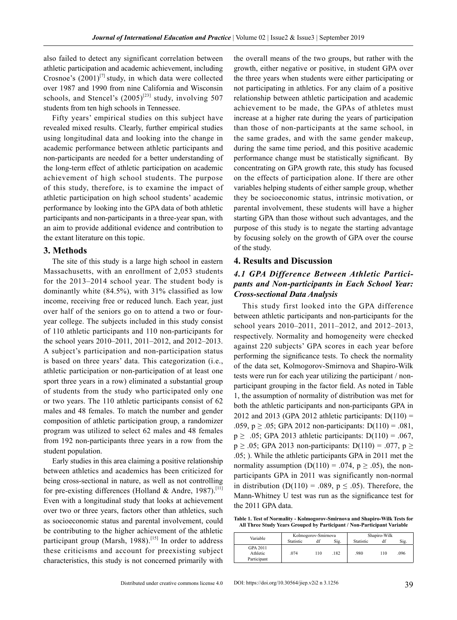also failed to detect any significant correlation between athletic participation and academic achievement, including Crosnoe's  $(2001)^{[7]}$  study, in which data were collected over 1987 and 1990 from nine California and Wisconsin schools, and Stencel's  $(2005)^{[23]}$  study, involving 507 students from ten high schools in Tennessee.

Fifty years' empirical studies on this subject have revealed mixed results. Clearly, further empirical studies using longitudinal data and looking into the change in academic performance between athletic participants and non-participants are needed for a better understanding of the long-term effect of athletic participation on academic achievement of high school students. The purpose of this study, therefore, is to examine the impact of athletic participation on high school students' academic performance by looking into the GPA data of both athletic participants and non-participants in a three-year span, with an aim to provide additional evidence and contribution to the extant literature on this topic.

#### **3. Methods**

The site of this study is a large high school in eastern Massachusetts, with an enrollment of 2,053 students for the 2013–2014 school year. The student body is dominantly white (84.5%), with 31% classified as low income, receiving free or reduced lunch. Each year, just over half of the seniors go on to attend a two or fouryear college. The subjects included in this study consist of 110 athletic participants and 110 non-participants for the school years 2010–2011, 2011–2012, and 2012–2013. A subject's participation and non-participation status is based on three years' data. This categorization (i.e., athletic participation or non-participation of at least one sport three years in a row) eliminated a substantial group of students from the study who participated only one or two years. The 110 athletic participants consist of 62 males and 48 females. To match the number and gender composition of athletic participation group, a randomizer program was utilized to select 62 males and 48 females from 192 non-participants three years in a row from the student population.

Early studies in this area claiming a positive relationship between athletics and academics has been criticized for being cross-sectional in nature, as well as not controlling for pre-existing differences (Holland & Andre, 1987).<sup>[11]</sup> Even with a longitudinal study that looks at achievement over two or three years, factors other than athletics, such as socioeconomic status and parental involvement, could be contributing to the higher achievement of the athletic participant group (Marsh, 1988).<sup>[15]</sup> In order to address these criticisms and account for preexisting subject characteristics, this study is not concerned primarily with

the overall means of the two groups, but rather with the growth, either negative or positive, in student GPA over the three years when students were either participating or not participating in athletics. For any claim of a positive relationship between athletic participation and academic achievement to be made, the GPAs of athletes must increase at a higher rate during the years of participation than those of non-participants at the same school, in the same grades, and with the same gender makeup, during the same time period, and this positive academic performance change must be statistically significant. By concentrating on GPA growth rate, this study has focused on the effects of participation alone. If there are other variables helping students of either sample group, whether they be socioeconomic status, intrinsic motivation, or parental involvement, these students will have a higher starting GPA than those without such advantages, and the purpose of this study is to negate the starting advantage by focusing solely on the growth of GPA over the course of the study.

#### **4. Results and Discussion**

## *4.1 GPA Difference Between Athletic Participants and Non-participants in Each School Year: Cross-sectional Data Analysis*

This study first looked into the GPA difference between athletic participants and non-participants for the school years 2010–2011, 2011–2012, and 2012–2013, respectively. Normality and homogeneity were checked against 220 subjects' GPA scores in each year before performing the significance tests. To check the normality of the data set, Kolmogorov-Smirnova and Shapiro-Wilk tests were run for each year utilizing the participant / nonparticipant grouping in the factor field. As noted in Table 1, the assumption of normality of distribution was met for both the athletic participants and non-participants GPA in 2012 and 2013 (GPA 2012 athletic participants:  $D(110) =$ .059,  $p \ge 0.05$ ; GPA 2012 non-participants:  $D(110) = 0.081$ ,  $p \geq 0.05$ ; GPA 2013 athletic participants: D(110) = .067,  $p \ge .05$ ; GPA 2013 non-participants: D(110) = .077,  $p \ge$ .05; ). While the athletic participants GPA in 2011 met the normality assumption (D(110) = .074,  $p \ge .05$ ), the nonparticipants GPA in 2011 was significantly non-normal in distribution (D(110) = .089,  $p \leq .05$ ). Therefore, the Mann-Whitney U test was run as the significance test for the 2011 GPA data.

**Table 1. Test of Normality - Kolmogorov-Smirnova and Shapiro-Wilk Tests for All Three Study Years Grouped by Participant / Non-Participant Variable**

| Variable                            | Kolmogorov-Smirnova |     |      | Shapiro-Wilk |     |      |
|-------------------------------------|---------------------|-----|------|--------------|-----|------|
|                                     | Statistic           | df  | Sig. | Statistic    |     | Sig. |
| GPA 2011<br>Athletic<br>Participant | .074                | 110 | .182 | .980         | 110 | .096 |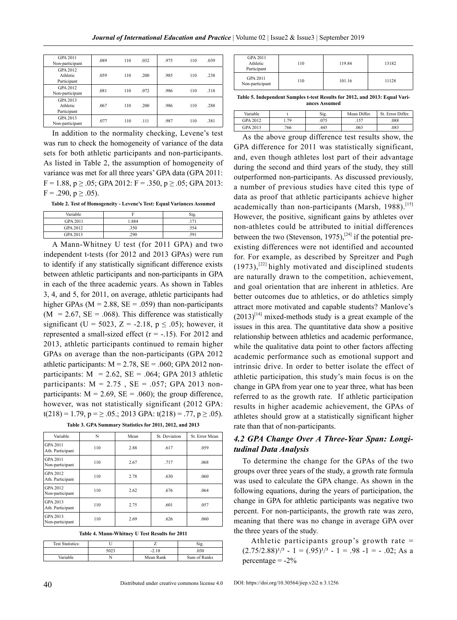| GPA 2011<br>Non-participant         | .089 | 110 | 032 | .975 | 110 | .039 |
|-------------------------------------|------|-----|-----|------|-----|------|
| GPA 2012<br>Athletic<br>Participant | .059 | 110 | 200 | .985 | 110 | .238 |
| GPA 2012<br>Non-participant         | .081 | 110 | 072 | .986 | 110 | 318  |
| GPA 2013<br>Athletic<br>Participant | .067 | 110 | 200 | .986 | 110 | .288 |
| GPA 2013<br>Non-participant         | .077 | 110 | 111 | .987 | 110 | .381 |

In addition to the normality checking, Levene's test was run to check the homogeneity of variance of the data sets for both athletic participants and non-participants. As listed in Table 2, the assumption of homogeneity of variance was met for all three years' GPA data (GPA 2011:  $F = 1.88$ ,  $p \ge .05$ ; GPA 2012:  $F = .350$ ,  $p \ge .05$ ; GPA 2013:  $F = .290, p \ge .05$ ).

**Table 2. Test of Homogeneity - Levene's Test: Equal Variances Assumed**

| Variable                        |               | Sig.        |
|---------------------------------|---------------|-------------|
| GPA 2011                        | 1.884         | .171        |
| GPA 2012                        | .350          | .554        |
| GPA 2013                        | 290           | .591        |
| the contract of the contract of | $\sim$ $\sim$ | $\sim$<br>. |

A Mann-Whitney U test (for 2011 GPA) and two independent t-tests (for 2012 and 2013 GPAs) were run to identify if any statistically significant difference exists between athletic participants and non-participants in GPA in each of the three academic years. As shown in Tables 3, 4, and 5, for 2011, on average, athletic participants had higher GPAs ( $M = 2.88$ ,  $SE = .059$ ) than non-participants  $(M = 2.67, SE = .068)$ . This difference was statistically significant (U = 5023, Z = -2.18,  $p \le .05$ ); however, it represented a small-sized effect  $(r = -.15)$ . For 2012 and 2013, athletic participants continued to remain higher GPAs on average than the non-participants (GPA 2012 athletic participants:  $M = 2.78$ ,  $SE = .060$ ; GPA 2012 nonparticipants:  $M = 2.62$ ,  $SE = .064$ ; GPA 2013 athletic participants:  $M = 2.75$ ,  $SE = .057$ ; GPA 2013 nonparticipants:  $M = 2.69$ ,  $SE = .060$ ; the group difference, however, was not statistically significant (2012 GPA:  $t(218) = 1.79$ ,  $p = \ge .05$ .; 2013 GPA:  $t(218) = .77$ ,  $p \ge .05$ ).

|  | Table 3. GPA Summary Statistics for 2011, 2012, and 2013 |  |
|--|----------------------------------------------------------|--|
|  |                                                          |  |

| Variable                            | N   | Mean | St Deviation | St Error Mean |
|-------------------------------------|-----|------|--------------|---------------|
| <b>GPA 2011</b><br>Ath. Participant | 110 | 2.88 | .617         | .059          |
| <b>GPA 2011</b><br>Non-participant  | 110 | 2.67 | .717         | .068          |
| GPA 2012<br>Ath. Participant        | 110 | 2.78 | .630         | .060          |
| GPA 2012<br>Non-participant         | 110 | 2.62 | .676         | .064          |
| GPA 2013<br>Ath. Participant        | 110 | 2.75 | .601         | .057          |
| GPA 2013<br>Non-participant         | 110 | 2.69 | .626         | .060          |

**Table 4. Mann-Whitney U Test Results for 2011**

| <b>Test Statistics:</b> |      |           |              |
|-------------------------|------|-----------|--------------|
|                         | 5023 | $-2.18$   | 030          |
| Variable                |      | Mean Rank | Sum of Ranks |

| <b>GPA 2011</b><br>Athletic<br>Participant | 110 | 119.84 | 13182 |
|--------------------------------------------|-----|--------|-------|
| <b>GPA 2011</b><br>Non-participant         | 110 | 101.16 | 11128 |

**Table 5. Independent Samples t-test Results for 2012, and 2013: Equal Variances Assumed**

| Variable |      | Sig. | Mean Differ. | St. Error Differ. |
|----------|------|------|--------------|-------------------|
| GPA 2012 | 79   | .075 | 157          | .088              |
| GPA 2013 | .766 | .445 | .063         | 083               |

As the above group difference test results show, the GPA difference for 2011 was statistically significant, and, even though athletes lost part of their advantage during the second and third years of the study, they still outperformed non-participants. As discussed previously, a number of previous studies have cited this type of data as proof that athletic participants achieve higher academically than non-participants (Marsh, 1988).<sup>[15]</sup> However, the positive, significant gains by athletes over non-athletes could be attributed to initial differences between the two (Stevenson, 1975),<sup>[24]</sup> if the potential preexisting differences were not identified and accounted for. For example, as described by Spreitzer and Pugh  $(1973)$ ,<sup>[22]</sup> highly motivated and disciplined students are naturally drawn to the competition, achievement, and goal orientation that are inherent in athletics. Are better outcomes due to athletics, or do athletics simply attract more motivated and capable students? Manlove's  $(2013)^{[14]}$  mixed-methods study is a great example of the issues in this area. The quantitative data show a positive relationship between athletics and academic performance, while the qualitative data point to other factors affecting academic performance such as emotional support and intrinsic drive. In order to better isolate the effect of athletic participation, this study's main focus is on the change in GPA from year one to year three, what has been referred to as the growth rate. If athletic participation results in higher academic achievement, the GPAs of athletes should grow at a statistically significant higher rate than that of non-participants.

#### *4.2 GPA Change Over A Three-Year Span: Longitudinal Data Analysis*

To determine the change for the GPAs of the two groups over three years of the study, a growth rate formula was used to calculate the GPA change. As shown in the following equations, during the years of participation, the change in GPA for athletic participants was negative two percent. For non-participants, the growth rate was zero, meaning that there was no change in average GPA over the three years of the study.

Athletic participants group's growth rate =  $(2.75/2.88)^{1/3}$  - 1 =  $(.95)^{1/3}$  - 1 = .98 -1 = - .02; As a percentage  $= -2\%$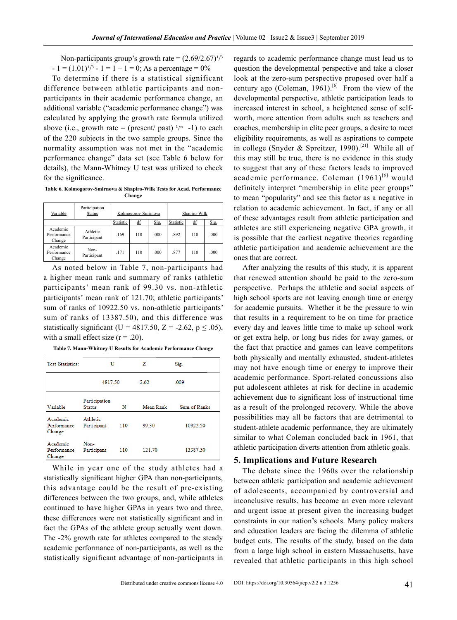Non-participants group's growth rate =  $(2.69/2.67)^{1/3}$  $- 1 = (1.01)^{1/3} - 1 = 1 - 1 = 0$ ; As a percentage = 0%

To determine if there is a statistical significant difference between athletic participants and nonparticipants in their academic performance change, an additional variable ("academic performance change") was calculated by applying the growth rate formula utilized above (i.e., growth rate = (present/ past)  $\frac{1}{n}$  -1) to each of the 220 subjects in the two sample groups. Since the normality assumption was not met in the "academic performance change" data set (see Table 6 below for details), the Mann-Whitney U test was utilized to check for the significance.

**Table 6. Kolmogorov-Smirnova & Shapiro-Wilk Tests for Acad. Performance Change**

| Variable                          | Participation<br><b>Status</b> |           | Kolmogorov-Smirnova |      |           | Shapiro-Wilk |      |
|-----------------------------------|--------------------------------|-----------|---------------------|------|-----------|--------------|------|
|                                   |                                | Statistic | ₫f                  | Sig. | Statistic | df           | Sig. |
| Academic<br>Performance<br>Change | Athletic<br>Participant        | .169      | 110                 | .000 | .892      | 110          | .000 |
| Academic<br>Performance<br>Change | Non-<br>Participant            | 171       | 110                 | .000 | 877       | 110          | .000 |

As noted below in Table 7, non-participants had a higher mean rank and summary of ranks (athletic participants' mean rank of 99.30 vs. non-athletic participants' mean rank of 121.70; athletic participants' sum of ranks of 10922.50 vs. non-athletic participants' sum of ranks of 13387.50), and this difference was statistically significant (U = 4817.50, Z = -2.62,  $p \leq .05$ ), with a small effect size  $(r = .20)$ .

**Table 7. Mann-Whitney U Results for Academic Performance Change**

| <b>Test Statistics:</b>           | U                              |     | z         | Sig.         |
|-----------------------------------|--------------------------------|-----|-----------|--------------|
|                                   | 4817.50                        |     | $-2.62$   | .009         |
| Variable                          | Participation<br><b>Status</b> | N   | Mean Rank | Sum of Ranks |
| Academic<br>Performance<br>Change | Athletic<br>Participant        | 110 | 99 30     | 10922.50     |
| Academic<br>Performance<br>Change | Non-<br>Participant            | 110 | 121.70    | 13387.50     |

While in year one of the study athletes had a statistically significant higher GPA than non-participants, this advantage could be the result of pre-existing differences between the two groups, and, while athletes continued to have higher GPAs in years two and three, these differences were not statistically significant and in fact the GPAs of the athlete group actually went down. The -2% growth rate for athletes compared to the steady academic performance of non-participants, as well as the statistically significant advantage of non-participants in regards to academic performance change must lead us to question the developmental perspective and take a closer look at the zero-sum perspective proposed over half a century ago (Coleman, 1961).<sup>[6]</sup> From the view of the developmental perspective, athletic participation leads to increased interest in school, a heightened sense of selfworth, more attention from adults such as teachers and coaches, membership in elite peer groups, a desire to meet eligibility requirements, as well as aspirations to compete in college (Snyder & Spreitzer, 1990).<sup>[21]</sup> While all of this may still be true, there is no evidence in this study to suggest that any of these factors leads to improved academic performance. Coleman  $(1961)^{[6]}$  would definitely interpret "membership in elite peer groups" to mean "popularity" and see this factor as a negative in relation to academic achievement. In fact, if any or all of these advantages result from athletic participation and athletes are still experiencing negative GPA growth, it is possible that the earliest negative theories regarding athletic participation and academic achievement are the ones that are correct.

After analyzing the results of this study, it is apparent that renewed attention should be paid to the zero-sum perspective. Perhaps the athletic and social aspects of high school sports are not leaving enough time or energy for academic pursuits. Whether it be the pressure to win that results in a requirement to be on time for practice every day and leaves little time to make up school work or get extra help, or long bus rides for away games, or the fact that practice and games can leave competitors both physically and mentally exhausted, student-athletes may not have enough time or energy to improve their academic performance. Sport-related concussions also put adolescent athletes at risk for decline in academic achievement due to significant loss of instructional time as a result of the prolonged recovery. While the above possibilities may all be factors that are detrimental to student-athlete academic performance, they are ultimately similar to what Coleman concluded back in 1961, that athletic participation diverts attention from athletic goals.

#### **5. Implications and Future Research**

The debate since the 1960s over the relationship between athletic participation and academic achievement of adolescents, accompanied by controversial and inconclusive results, has become an even more relevant and urgent issue at present given the increasing budget constraints in our nation's schools. Many policy makers and education leaders are facing the dilemma of athletic budget cuts. The results of the study, based on the data from a large high school in eastern Massachusetts, have revealed that athletic participants in this high school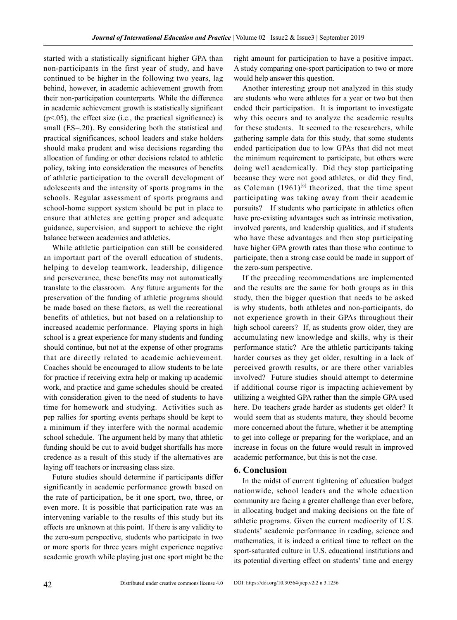started with a statistically significant higher GPA than non-participants in the first year of study, and have continued to be higher in the following two years, lag behind, however, in academic achievement growth from their non-participation counterparts. While the difference in academic achievement growth is statistically significant  $(p<.05)$ , the effect size (i.e., the practical significance) is small (ES=.20). By considering both the statistical and practical significances, school leaders and stake holders should make prudent and wise decisions regarding the allocation of funding or other decisions related to athletic policy, taking into consideration the measures of benefits of athletic participation to the overall development of adolescents and the intensity of sports programs in the schools. Regular assessment of sports programs and school-home support system should be put in place to ensure that athletes are getting proper and adequate guidance, supervision, and support to achieve the right balance between academics and athletics.

While athletic participation can still be considered an important part of the overall education of students, helping to develop teamwork, leadership, diligence and perseverance, these benefits may not automatically translate to the classroom. Any future arguments for the preservation of the funding of athletic programs should be made based on these factors, as well the recreational benefits of athletics, but not based on a relationship to increased academic performance. Playing sports in high school is a great experience for many students and funding should continue, but not at the expense of other programs that are directly related to academic achievement. Coaches should be encouraged to allow students to be late for practice if receiving extra help or making up academic work, and practice and game schedules should be created with consideration given to the need of students to have time for homework and studying. Activities such as pep rallies for sporting events perhaps should be kept to a minimum if they interfere with the normal academic school schedule. The argument held by many that athletic funding should be cut to avoid budget shortfalls has more credence as a result of this study if the alternatives are laying off teachers or increasing class size.

Future studies should determine if participants differ significantly in academic performance growth based on the rate of participation, be it one sport, two, three, or even more. It is possible that participation rate was an intervening variable to the results of this study but its effects are unknown at this point. If there is any validity to the zero-sum perspective, students who participate in two or more sports for three years might experience negative academic growth while playing just one sport might be the right amount for participation to have a positive impact. A study comparing one-sport participation to two or more would help answer this question.

Another interesting group not analyzed in this study are students who were athletes for a year or two but then ended their participation. It is important to investigate why this occurs and to analyze the academic results for these students. It seemed to the researchers, while gathering sample data for this study, that some students ended participation due to low GPAs that did not meet the minimum requirement to participate, but others were doing well academically. Did they stop participating because they were not good athletes, or did they find, as Coleman  $(1961)^{6}$  theorized, that the time spent participating was taking away from their academic pursuits? If students who participate in athletics often have pre-existing advantages such as intrinsic motivation, involved parents, and leadership qualities, and if students who have these advantages and then stop participating have higher GPA growth rates than those who continue to participate, then a strong case could be made in support of the zero-sum perspective.

If the preceding recommendations are implemented and the results are the same for both groups as in this study, then the bigger question that needs to be asked is why students, both athletes and non-participants, do not experience growth in their GPAs throughout their high school careers? If, as students grow older, they are accumulating new knowledge and skills, why is their performance static? Are the athletic participants taking harder courses as they get older, resulting in a lack of perceived growth results, or are there other variables involved? Future studies should attempt to determine if additional course rigor is impacting achievement by utilizing a weighted GPA rather than the simple GPA used here. Do teachers grade harder as students get older? It would seem that as students mature, they should become more concerned about the future, whether it be attempting to get into college or preparing for the workplace, and an increase in focus on the future would result in improved academic performance, but this is not the case.

#### **6. Conclusion**

In the midst of current tightening of education budget nationwide, school leaders and the whole education community are facing a greater challenge than ever before, in allocating budget and making decisions on the fate of athletic programs. Given the current mediocrity of U.S. students' academic performance in reading, science and mathematics, it is indeed a critical time to reflect on the sport-saturated culture in U.S. educational institutions and its potential diverting effect on students' time and energy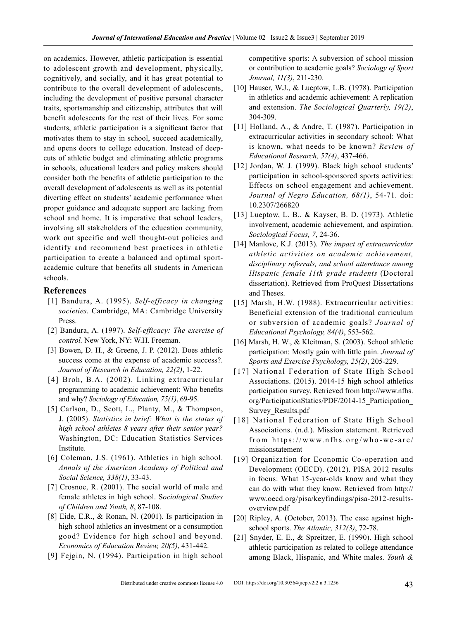on academics. However, athletic participation is essential to adolescent growth and development, physically, cognitively, and socially, and it has great potential to contribute to the overall development of adolescents, including the development of positive personal character traits, sportsmanship and citizenship, attributes that will benefit adolescents for the rest of their lives. For some students, athletic participation is a significant factor that motivates them to stay in school, succeed academically, and opens doors to college education. Instead of deepcuts of athletic budget and eliminating athletic programs in schools, educational leaders and policy makers should consider both the benefits of athletic participation to the overall development of adolescents as well as its potential diverting effect on students' academic performance when proper guidance and adequate support are lacking from school and home. It is imperative that school leaders, involving all stakeholders of the education community, work out specific and well thought-out policies and identify and recommend best practices in athletic participation to create a balanced and optimal sportacademic culture that benefits all students in American schools.

#### **References**

- [1] Bandura, A. (1995). *Self-efficacy in changing societies.* Cambridge, MA: Cambridge University Press.
- [2] Bandura, A. (1997). *Self-efficacy: The exercise of control.* New York, NY: W.H. Freeman.
- [3] Bowen, D. H., & Greene, J. P. (2012). Does athletic success come at the expense of academic success?. *Journal of Research in Education, 22(2)*, 1-22.
- [4] Broh, B.A. (2002). Linking extracurricular programming to academic achievement: Who benefits and why? *Sociology of Education, 75(1)*, 69-95.
- [5] Carlson, D., Scott, L., Planty, M., & Thompson, J. (2005). *Statistics in brief: What is the status of high school athletes 8 years after their senior year?*  Washington, DC: Education Statistics Services Institute.
- [6] Coleman, J.S. (1961). Athletics in high school. *Annals of the American Academy of Political and Social Science, 338(1)*, 33-43.
- [7] Crosnoe, R. (2001). The social world of male and female athletes in high school. S*ociological Studies of Children and Youth, 8*, 87-108.
- [8] Eide, E.R., & Ronan, N. (2001). Is participation in high school athletics an investment or a consumption good? Evidence for high school and beyond. *Economics of Education Review, 20(5)*, 431-442.
- [9] Fejgin, N. (1994). Participation in high school

competitive sports: A subversion of school mission or contribution to academic goals? *Sociology of Sport Journal, 11(3)*, 211-230.

- [10] Hauser, W.J., & Lueptow, L.B. (1978). Participation in athletics and academic achievement: A replication and extension. *The Sociological Quarterly, 19(2)*, 304-309.
- [11] Holland, A., & Andre, T. (1987). Participation in extracurricular activities in secondary school: What is known, what needs to be known? *Review of Educational Research, 57(4)*, 437-466.
- [12] Jordan, W. J. (1999). Black high school students' participation in school-sponsored sports activities: Effects on school engagement and achievement. *Journal of Negro Education, 68(1)*, 54-71. doi: 10.2307/266820
- [13] Lueptow, L. B., & Kayser, B. D. (1973). Athletic involvement, academic achievement, and aspiration. *Sociological Focus, 7*, 24-36.
- [14] Manlove, K.J. (2013). *The impact of extracurricular athletic activities on academic achievement, disciplinary referrals, and school attendance among Hispanic female 11th grade students* (Doctoral dissertation). Retrieved from ProQuest Dissertations and Theses.
- [15] Marsh, H.W. (1988). Extracurricular activities: Beneficial extension of the traditional curriculum or subversion of academic goals? *Journal of Educational Psychology, 84(4)*, 553-562.
- [16] Marsh, H. W., & Kleitman, S. (2003). School athletic participation: Mostly gain with little pain. *Journal of Sports and Exercise Psychology, 25(2)*, 205-229.
- [17] National Federation of State High School Associations. (2015). 2014-15 high school athletics participation survey. Retrieved from http://www.nfhs. org/ParticipationStatics/PDF/2014-15\_Participation\_ Survey\_Results.pdf
- [18] National Federation of State High School Associations. (n.d.). Mission statement. Retrieved from https://www.nfhs.org/who-we-are/ missionstatement
- [19] Organization for Economic Co-operation and Development (OECD). (2012). PISA 2012 results in focus: What 15-year-olds know and what they can do with what they know. Retrieved from http:// www.oecd.org/pisa/keyfindings/pisa-2012-resultsoverview.pdf
- [20] Ripley, A. (October, 2013). The case against highschool sports. *The Atlantic, 312(3)*, 72-78.
- [21] Snyder, E. E., & Spreitzer, E. (1990). High school athletic participation as related to college attendance among Black, Hispanic, and White males. *Youth &*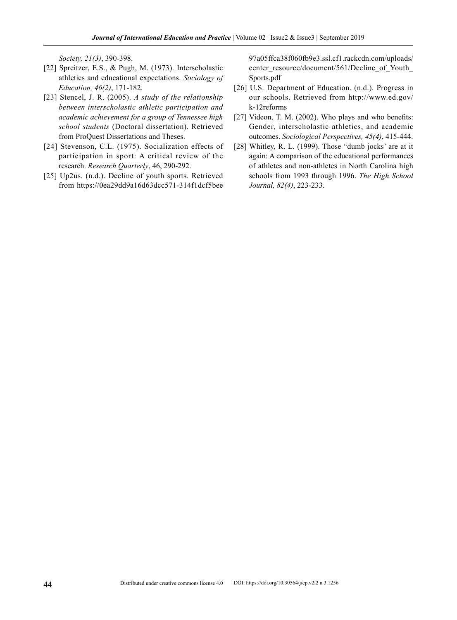*Society, 21(3)*, 390-398.

- [22] Spreitzer, E.S., & Pugh, M. (1973). Interscholastic athletics and educational expectations. *Sociology of Education, 46(2)*, 171-182.
- [23] Stencel, J. R. (2005). *A study of the relationship between interscholastic athletic participation and academic achievement for a group of Tennessee high school students* (Doctoral dissertation). Retrieved from ProQuest Dissertations and Theses.
- [24] Stevenson, C.L. (1975). Socialization effects of participation in sport: A critical review of the research. *Research Quarterly*, 46, 290-292.
- [25] Up2us. (n.d.). Decline of youth sports. Retrieved from https://0ea29dd9a16d63dcc571-314f1dcf5bee

97a05ffca38f060fb9e3.ssl.cf1.rackcdn.com/uploads/ center\_resource/document/561/Decline\_of\_Youth\_ Sports.pdf

- [26] U.S. Department of Education. (n.d.). Progress in our schools. Retrieved from http://www.ed.gov/ k-12reforms
- [27] Videon, T. M. (2002). Who plays and who benefits: Gender, interscholastic athletics, and academic outcomes. *Sociological Perspectives, 45(4)*, 415-444.
- [28] Whitley, R. L. (1999). Those "dumb jocks' are at it again: A comparison of the educational performances of athletes and non-athletes in North Carolina high schools from 1993 through 1996. *The High School Journal, 82(4)*, 223-233.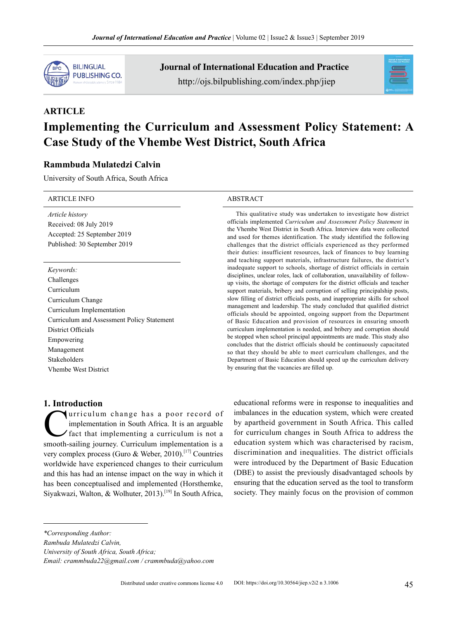

Journal of International Education and Practice http://ojs.bilpublishing.com/index.php/jiep



# **ARTICLE Implementing the Curriculum and Assessment Policy Statement: A Case Study of the Vhembe West District, South Africa**

# **Rammbuda Mulatedzi Calvin**

University of South Africa, South Africa

#### ARTICLE INFO ABSTRACT

*Article history* Received: 08 July 2019 Accepted: 25 September 2019 Published: 30 September 2019

# *Keywords:*

Challenges Curriculum Curriculum Change Curriculum Implementation Curriculum and Assessment Policy Statement District Officials Empowering Management Stakeholders Vhembe West District

#### **1. Introduction**

urriculum change has a poor record of implementation in South Africa. It is an arguable fact that implementing a curriculum is not a smooth-sailing journey. Curriculum implementation is a very complex process (Guro & Weber, 2010).<sup>[17]</sup> Countries worldwide have experienced changes to their curriculum and this has had an intense impact on the way in which it has been conceptualised and implemented (Horsthemke, Siyakwazi, Walton, & Wolhuter, 2013).[19] In South Africa,

This qualitative study was undertaken to investigate how district officials implemented *Curriculum and Assessment Policy Statement* in the Vhembe West District in South Africa. Interview data were collected and used for themes identification. The study identified the following challenges that the district officials experienced as they performed their duties: insufficient resources, lack of finances to buy learning and teaching support materials, infrastructure failures, the district's inadequate support to schools, shortage of district officials in certain disciplines, unclear roles, lack of collaboration, unavailability of followup visits, the shortage of computers for the district officials and teacher support materials, bribery and corruption of selling principalship posts, slow filling of district officials posts, and inappropriate skills for school management and leadership. The study concluded that qualified district officials should be appointed, ongoing support from the Department of Basic Education and provision of resources in ensuring smooth curriculum implementation is needed, and bribery and corruption should be stopped when school principal appointments are made. This study also concludes that the district officials should be continuously capacitated so that they should be able to meet curriculum challenges, and the Department of Basic Education should speed up the curriculum delivery by ensuring that the vacancies are filled up.

educational reforms were in response to inequalities and imbalances in the education system, which were created by apartheid government in South Africa. This called for curriculum changes in South Africa to address the education system which was characterised by racism, discrimination and inequalities. The district officials were introduced by the Department of Basic Education (DBE) to assist the previously disadvantaged schools by ensuring that the education served as the tool to transform society. They mainly focus on the provision of common

*Rambuda Mulatedzi Calvin,*

*University of South Africa, South Africa;*

*<sup>\*</sup>Corresponding Author:*

*Email: crammbuda22@gmail.com / crammbuda@yahoo.com*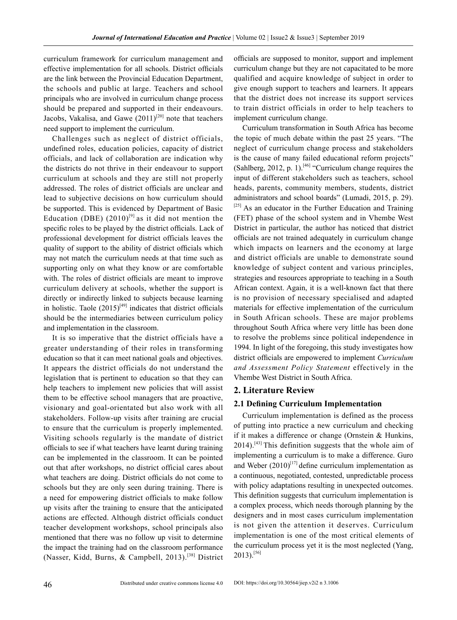curriculum framework for curriculum management and effective implementation for all schools. District officials are the link between the Provincial Education Department, the schools and public at large. Teachers and school principals who are involved in curriculum change process should be prepared and supported in their endeavours. Jacobs, Vakalisa, and Gawe  $(2011)^{[20]}$  note that teachers need support to implement the curriculum.

Challenges such as neglect of district officials, undefined roles, education policies, capacity of district officials, and lack of collaboration are indication why the districts do not thrive in their endeavour to support curriculum at schools and they are still not properly addressed. The roles of district officials are unclear and lead to subjective decisions on how curriculum should be supported. This is evidenced by Department of Basic Education (DBE)  $(2010)^{9}$  as it did not mention the specific roles to be played by the district officials. Lack of professional development for district officials leaves the quality of support to the ability of district officials which may not match the curriculum needs at that time such as supporting only on what they know or are comfortable with. The roles of district officials are meant to improve curriculum delivery at schools, whether the support is directly or indirectly linked to subjects because learning in holistic. Taole  $(2015)^{[49]}$  indicates that district officials should be the intermediaries between curriculum policy and implementation in the classroom.

It is so imperative that the district officials have a greater understanding of their roles in transforming education so that it can meet national goals and objectives. It appears the district officials do not understand the legislation that is pertinent to education so that they can help teachers to implement new policies that will assist them to be effective school managers that are proactive, visionary and goal-orientated but also work with all stakeholders. Follow-up visits after training are crucial to ensure that the curriculum is properly implemented. Visiting schools regularly is the mandate of district officials to see if what teachers have learnt during training can be implemented in the classroom. It can be pointed out that after workshops, no district official cares about what teachers are doing. District officials do not come to schools but they are only seen during training. There is a need for empowering district officials to make follow up visits after the training to ensure that the anticipated actions are effected. Although district officials conduct teacher development workshops, school principals also mentioned that there was no follow up visit to determine the impact the training had on the classroom performance (Nasser, Kidd, Burns, & Campbell, 2013).[38] District officials are supposed to monitor, support and implement curriculum change but they are not capacitated to be more qualified and acquire knowledge of subject in order to give enough support to teachers and learners. It appears that the district does not increase its support services to train district officials in order to help teachers to implement curriculum change.

Curriculum transformation in South Africa has become the topic of much debate within the past 25 years. "The neglect of curriculum change process and stakeholders is the cause of many failed educational reform projects" (Sahlberg, 2012, p. 1).<sup>[46]</sup> "Curriculum change requires the input of different stakeholders such as teachers, school heads, parents, community members, students, district administrators and school boards" (Lumadi, 2015, p. 29).  $[25]$  As an educator in the Further Education and Training (FET) phase of the school system and in Vhembe West District in particular, the author has noticed that district officials are not trained adequately in curriculum change which impacts on learners and the economy at large and district officials are unable to demonstrate sound knowledge of subject content and various principles, strategies and resources appropriate to teaching in a South African context. Again, it is a well-known fact that there is no provision of necessary specialised and adapted materials for effective implementation of the curriculum in South African schools. These are major problems throughout South Africa where very little has been done to resolve the problems since political independence in 1994. In light of the foregoing, this study investigates how district officials are empowered to implement *Curriculum and Assessment Policy Statement* effectively in the Vhembe West District in South Africa.

#### **2. Literature Review**

#### **2.1 Defining Curriculum Implementation**

Curriculum implementation is defined as the process of putting into practice a new curriculum and checking if it makes a difference or change (Ornstein & Hunkins,  $2014$ ).<sup>[43]</sup> This definition suggests that the whole aim of implementing a curriculum is to make a difference. Guro and Weber  $(2010)^{[17]}$  define curriculum implementation as a continuous, negotiated, contested, unpredictable process with policy adaptations resulting in unexpected outcomes. This definition suggests that curriculum implementation is a complex process, which needs thorough planning by the designers and in most cases curriculum implementation is not given the attention it deserves. Curriculum implementation is one of the most critical elements of the curriculum process yet it is the most neglected (Yang,  $2013$ ).<sup>[56]</sup>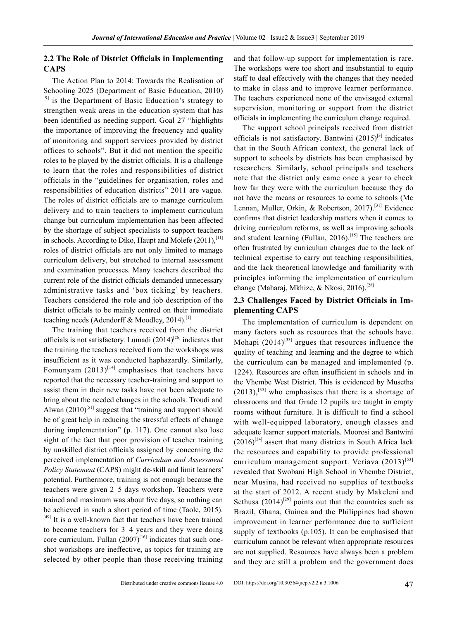#### **2.2 The Role of District Officials in Implementing CAPS**

The Action Plan to 2014: Towards the Realisation of Schooling 2025 (Department of Basic Education, 2010) <sup>[9]</sup> is the Department of Basic Education's strategy to strengthen weak areas in the education system that has been identified as needing support. Goal 27 "highlights the importance of improving the frequency and quality of monitoring and support services provided by district offices to schools". But it did not mention the specific roles to be played by the district officials. It is a challenge to learn that the roles and responsibilities of district officials in the "guidelines for organisation, roles and responsibilities of education districts" 2011 are vague. The roles of district officials are to manage curriculum delivery and to train teachers to implement curriculum change but curriculum implementation has been affected by the shortage of subject specialists to support teachers in schools. According to Diko, Haupt and Molefe (2011),<sup>[11]</sup> roles of district officials are not only limited to manage curriculum delivery, but stretched to internal assessment and examination processes. Many teachers described the current role of the district officials demanded unnecessary administrative tasks and 'box ticking' by teachers. Teachers considered the role and job description of the district officials to be mainly centred on their immediate teaching needs (Adendorff & Moodley, 2014).<sup>[1]</sup>

The training that teachers received from the district officials is not satisfactory. Lumadi  $(2014)^{[26]}$  indicates that the training the teachers received from the workshops was insufficient as it was conducted haphazardly. Similarly, Fomunyam  $(2013)^{[14]}$  emphasises that teachers have reported that the necessary teacher-training and support to assist them in their new tasks have not been adequate to bring about the needed changes in the schools. Troudi and Alwan  $(2010)^{51}$  suggest that "training and support should be of great help in reducing the stressful effects of change during implementation" (p. 117). One cannot also lose sight of the fact that poor provision of teacher training by unskilled district officials assigned by concerning the perceived implementation of *Curriculum and Assessment Policy Statement* (CAPS) might de-skill and limit learners' potential. Furthermore, training is not enough because the teachers were given 2–5 days workshop. Teachers were trained and maximum was about five days, so nothing can be achieved in such a short period of time (Taole, 2015). [49] It is a well-known fact that teachers have been trained to become teachers for 3–4 years and they were doing core curriculum. Fullan  $(2007)^{[16]}$  indicates that such oneshot workshops are ineffective, as topics for training are selected by other people than those receiving training and that follow-up support for implementation is rare. The workshops were too short and insubstantial to equip staff to deal effectively with the changes that they needed to make in class and to improve learner performance. The teachers experienced none of the envisaged external supervision, monitoring or support from the district officials in implementing the curriculum change required.

The support school principals received from district officials is not satisfactory. Bantwini  $(2015)^{[3]}$  indicates that in the South African context, the general lack of support to schools by districts has been emphasised by researchers. Similarly, school principals and teachers note that the district only came once a year to check how far they were with the curriculum because they do not have the means or resources to come to schools (Mc Lennan, Muller, Orkin, & Robertson, 2017).[31] Evidence confirms that district leadership matters when it comes to driving curriculum reforms, as well as improving schools and student learning (Fullan, 2016).<sup>[15]</sup> The teachers are often frustrated by curriculum changes due to the lack of technical expertise to carry out teaching responsibilities, and the lack theoretical knowledge and familiarity with principles informing the implementation of curriculum change (Maharaj, Mkhize, & Nkosi, 2016).<sup>[28]</sup>

# **2.3 Challenges Faced by District Officials in Implementing CAPS**

The implementation of curriculum is dependent on many factors such as resources that the schools have. Mohapi  $(2014)^{[33]}$  argues that resources influence the quality of teaching and learning and the degree to which the curriculum can be managed and implemented (p. 1224). Resources are often insufficient in schools and in the Vhembe West District. This is evidenced by Musetha  $(2013)$ ,<sup>[35]</sup> who emphasises that there is a shortage of classrooms and that Grade 12 pupils are taught in empty rooms without furniture. It is difficult to find a school with well-equipped laboratory, enough classes and adequate learner support materials. Moorosi and Bantwini  $(2016)^{[34]}$  assert that many districts in South Africa lack the resources and capability to provide professional curriculum management support. Veriava  $(2013)^{53}$ revealed that Swobani High School in Vhembe District, near Musina, had received no supplies of textbooks at the start of 2012. A recent study by Makeleni and Sethusa  $(2014)^{[29]}$  points out that the countries such as Brazil, Ghana, Guinea and the Philippines had shown improvement in learner performance due to sufficient supply of textbooks (p.105). It can be emphasised that curriculum cannot be relevant when appropriate resources are not supplied. Resources have always been a problem and they are still a problem and the government does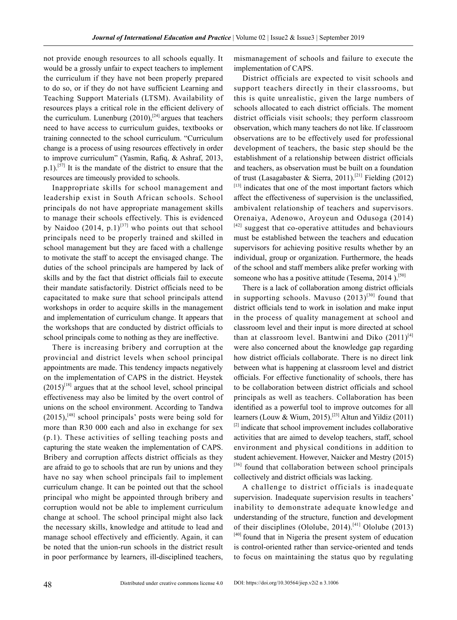not provide enough resources to all schools equally. It would be a grossly unfair to expect teachers to implement the curriculum if they have not been properly prepared to do so, or if they do not have sufficient Learning and Teaching Support Materials (LTSM). Availability of resources plays a critical role in the efficient delivery of the curriculum. Lunenburg  $(2010)$ ,<sup>[24]</sup> argues that teachers need to have access to curriculum guides, textbooks or training connected to the school curriculum. "Curriculum change is a process of using resources effectively in order to improve curriculum" (Yasmin, Rafiq, & Ashraf, 2013,  $p.1$ .<sup>[57]</sup> It is the mandate of the district to ensure that the resources are timeously provided to schools.

Inappropriate skills for school management and leadership exist in South African schools. School principals do not have appropriate management skills to manage their schools effectively. This is evidenced by Naidoo  $(2014, p.1)^{[37]}$  who points out that school principals need to be properly trained and skilled in school management but they are faced with a challenge to motivate the staff to accept the envisaged change. The duties of the school principals are hampered by lack of skills and by the fact that district officials fail to execute their mandate satisfactorily. District officials need to be capacitated to make sure that school principals attend workshops in order to acquire skills in the management and implementation of curriculum change. It appears that the workshops that are conducted by district officials to school principals come to nothing as they are ineffective.

There is increasing bribery and corruption at the provincial and district levels when school principal appointments are made. This tendency impacts negatively on the implementation of CAPS in the district. Heystek  $(2015)^{[18]}$  argues that at the school level, school principal effectiveness may also be limited by the overt control of unions on the school environment. According to Tandwa  $(2015)$ , <sup>[48]</sup> school principals' posts were being sold for more than R30 000 each and also in exchange for sex (p.1). These activities of selling teaching posts and capturing the state weaken the implementation of CAPS. Bribery and corruption affects district officials as they are afraid to go to schools that are run by unions and they have no say when school principals fail to implement curriculum change. It can be pointed out that the school principal who might be appointed through bribery and corruption would not be able to implement curriculum change at school. The school principal might also lack the necessary skills, knowledge and attitude to lead and manage school effectively and efficiently. Again, it can be noted that the union-run schools in the district result in poor performance by learners, ill-disciplined teachers,

mismanagement of schools and failure to execute the implementation of CAPS.

District officials are expected to visit schools and support teachers directly in their classrooms, but this is quite unrealistic, given the large numbers of schools allocated to each district officials. The moment district officials visit schools; they perform classroom observation, which many teachers do not like. If classroom observations are to be effectively used for professional development of teachers, the basic step should be the establishment of a relationship between district officials and teachers, as observation must be built on a foundation of trust (Lasagabaster & Sierra, 2011).<sup>[21]</sup> Fielding (2012)  $[13]$  indicates that one of the most important factors which affect the effectiveness of supervision is the unclassified, ambivalent relationship of teachers and supervisors. Orenaiya, Adenowo, Aroyeun and Odusoga (2014)  $[42]$  suggest that co-operative attitudes and behaviours must be established between the teachers and education supervisors for achieving positive results whether by an individual, group or organization. Furthermore, the heads of the school and staff members alike prefer working with someone who has a positive attitude (Tesema,  $2014$ ).<sup>[50]</sup>

There is a lack of collaboration among district officials in supporting schools. Mavuso  $(2013)^{[30]}$  found that district officials tend to work in isolation and make input in the process of quality management at school and classroom level and their input is more directed at school than at classroom level. Bantwini and Diko  $(2011)^{[4]}$ were also concerned about the knowledge gap regarding how district officials collaborate. There is no direct link between what is happening at classroom level and district officials. For effective functionality of schools, there has to be collaboration between district officials and school principals as well as teachers. Collaboration has been identified as a powerful tool to improve outcomes for all learners (Louw & Wium, 2015).<sup>[23]</sup> Altun and Yildiz (2011)  $[2]$  indicate that school improvement includes collaborative activities that are aimed to develop teachers, staff, school environment and physical conditions in addition to student achievement. However, Naicker and Mestry (2015) [36] found that collaboration between school principals collectively and district officials was lacking.

A challenge to district officials is inadequate supervision. Inadequate supervision results in teachers' inability to demonstrate adequate knowledge and understanding of the structure, function and development of their disciplines (Ololube, 2014).<sup>[41]</sup> Ololube (2013)  $[40]$  found that in Nigeria the present system of education is control-oriented rather than service-oriented and tends to focus on maintaining the status quo by regulating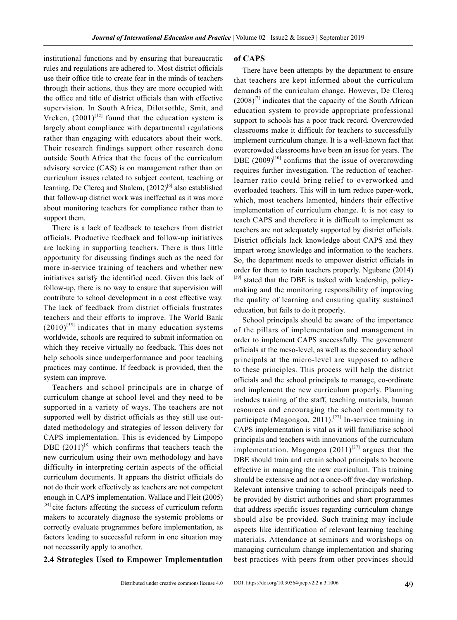institutional functions and by ensuring that bureaucratic rules and regulations are adhered to. Most district officials use their office title to create fear in the minds of teachers through their actions, thus they are more occupied with the office and title of district officials than with effective supervision. In South Africa, Dilotsothle, Smit, and Vreken,  $(2001)^{[12]}$  found that the education system is largely about compliance with departmental regulations rather than engaging with educators about their work. Their research findings support other research done outside South Africa that the focus of the curriculum advisory service (CAS) is on management rather than on curriculum issues related to subject content, teaching or learning. De Clercq and Shalem,  $(2012)^{6}$  also established that follow-up district work was ineffectual as it was more about monitoring teachers for compliance rather than to support them.

There is a lack of feedback to teachers from district officials. Productive feedback and follow-up initiatives are lacking in supporting teachers. There is thus little opportunity for discussing findings such as the need for more in-service training of teachers and whether new initiatives satisfy the identified need. Given this lack of follow-up, there is no way to ensure that supervision will contribute to school development in a cost effective way. The lack of feedback from district officials frustrates teachers and their efforts to improve. The World Bank  $(2010)^{555}$  indicates that in many education systems worldwide, schools are required to submit information on which they receive virtually no feedback. This does not help schools since underperformance and poor teaching practices may continue. If feedback is provided, then the system can improve.

Teachers and school principals are in charge of curriculum change at school level and they need to be supported in a variety of ways. The teachers are not supported well by district officials as they still use outdated methodology and strategies of lesson delivery for CAPS implementation. This is evidenced by Limpopo DBE  $(2011)^{[8]}$  which confirms that teachers teach the new curriculum using their own methodology and have difficulty in interpreting certain aspects of the official curriculum documents. It appears the district officials do not do their work effectively as teachers are not competent enough in CAPS implementation. Wallace and Fleit (2005) [54] cite factors affecting the success of curriculum reform makers to accurately diagnose the systemic problems or correctly evaluate programmes before implementation, as factors leading to successful reform in one situation may not necessarily apply to another.

#### **2.4 Strategies Used to Empower Implementation**

There have been attempts by the department to ensure that teachers are kept informed about the curriculum demands of the curriculum change. However, De Clercq  $(2008)^{[7]}$  indicates that the capacity of the South African education system to provide appropriate professional support to schools has a poor track record. Overcrowded classrooms make it difficult for teachers to successfully implement curriculum change. It is a well-known fact that overcrowded classrooms have been an issue for years. The DBE  $(2009)^{[10]}$  confirms that the issue of overcrowding requires further investigation. The reduction of teacherlearner ratio could bring relief to overworked and overloaded teachers. This will in turn reduce paper-work, which, most teachers lamented, hinders their effective implementation of curriculum change. It is not easy to teach CAPS and therefore it is difficult to implement as teachers are not adequately supported by district officials. District officials lack knowledge about CAPS and they impart wrong knowledge and information to the teachers. So, the department needs to empower district officials in order for them to train teachers properly. Ngubane (2014)  $[39]$  stated that the DBE is tasked with leadership, policymaking and the monitoring responsibility of improving the quality of learning and ensuring quality sustained education, but fails to do it properly.

School principals should be aware of the importance of the pillars of implementation and management in order to implement CAPS successfully. The government officials at the meso-level, as well as the secondary school principals at the micro-level are supposed to adhere to these principles. This process will help the district officials and the school principals to manage, co-ordinate and implement the new curriculum properly. Planning includes training of the staff, teaching materials, human resources and encouraging the school community to participate (Magongoa, 2011).<sup>[27]</sup> In-service training in CAPS implementation is vital as it will familiarise school principals and teachers with innovations of the curriculum implementation. Magongoa  $(2011)^{[27]}$  argues that the DBE should train and retrain school principals to become effective in managing the new curriculum. This training should be extensive and not a once-off five-day workshop. Relevant intensive training to school principals need to be provided by district authorities and short programmes that address specific issues regarding curriculum change should also be provided. Such training may include aspects like identification of relevant learning teaching materials. Attendance at seminars and workshops on managing curriculum change implementation and sharing best practices with peers from other provinces should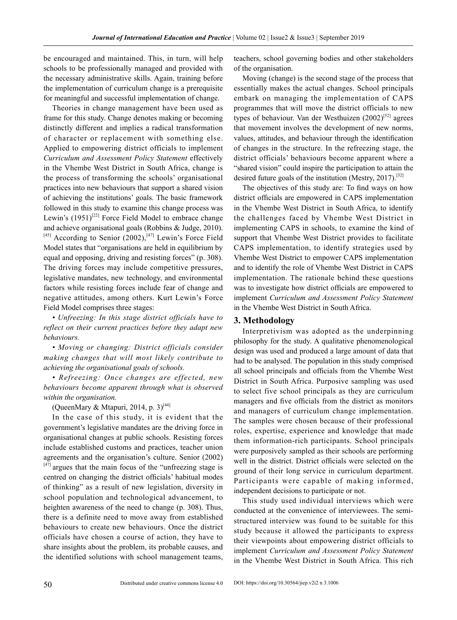be encouraged and maintained. This, in turn, will help schools to be professionally managed and provided with the necessary administrative skills. Again, training before the implementation of curriculum change is a prerequisite for meaningful and successful implementation of change.

Theories in change management have been used as frame for this study. Change denotes making or becoming distinctly different and implies a radical transformation of character or replacement with something else. Applied to empowering district officials to implement *Curriculum and Assessment Policy Statement* effectively in the Vhembe West District in South Africa, change is the process of transforming the schools' organisational practices into new behaviours that support a shared vision of achieving the institutions' goals. The basic framework followed in this study to examine this change process was Lewin's  $(1951)^{[22]}$  Force Field Model to embrace change and achieve organisational goals (Robbins & Judge, 2010).  $[45]$  According to Senior (2002),<sup>[47]</sup> Lewin's Force Field Model states that "organisations are held in equilibrium by equal and opposing, driving and resisting forces" (p. 308). The driving forces may include competitive pressures, legislative mandates, new technology, and environmental factors while resisting forces include fear of change and negative attitudes, among others. Kurt Lewin's Force Field Model comprises three stages:

*• Unfreezing: In this stage district officials have to reflect on their current practices before they adapt new behaviours.* 

*• Moving or changing: District officials consider making changes that will most likely contribute to achieving the organisational goals of schools.*

*• Refreezing: Once changes are effected, new behaviours become apparent through what is observed within the organisation.*

(QueenMary & Mtapuri, 2014, p. 3)<sup>[44]</sup>

In the case of this study, it is evident that the government's legislative mandates are the driving force in organisational changes at public schools. Resisting forces include established customs and practices, teacher union agreements and the organisation's culture. Senior (2002)  $[47]$  argues that the main focus of the "unfreezing stage is centred on changing the district officials' habitual modes of thinking" as a result of new legislation, diversity in school population and technological advancement, to heighten awareness of the need to change (p. 308). Thus, there is a definite need to move away from established behaviours to create new behaviours. Once the district officials have chosen a course of action, they have to share insights about the problem, its probable causes, and the identified solutions with school management teams,

teachers, school governing bodies and other stakeholders of the organisation.

Moving (change) is the second stage of the process that essentially makes the actual changes. School principals embark on managing the implementation of CAPS programmes that will move the district officials to new types of behaviour. Van der Westhuizen  $(2002)^{52}$  agrees that movement involves the development of new norms, values, attitudes, and behaviour through the identification of changes in the structure. In the refreezing stage, the district officials' behaviours become apparent where a "shared vision" could inspire the participation to attain the desired future goals of the institution (Mestry, 2017).<sup>[32]</sup>

The objectives of this study are: To find ways on how district officials are empowered in CAPS implementation in the Vhembe West District in South Africa, to identify the challenges faced by Vhembe West District in implementing CAPS in schools, to examine the kind of support that Vhembe West District provides to facilitate CAPS implementation, to identify strategies used by Vhembe West District to empower CAPS implementation and to identify the role of Vhembe West District in CAPS implementation. The rationale behind these questions was to investigate how district officials are empowered to implement *Curriculum and Assessment Policy Statement*  in the Vhembe West District in South Africa.

#### **3. Methodology**

Interpretivism was adopted as the underpinning philosophy for the study. A qualitative phenomenological design was used and produced a large amount of data that had to be analysed. The population in this study comprised all school principals and officials from the Vhembe West District in South Africa. Purposive sampling was used to select five school principals as they are curriculum managers and five officials from the district as monitors and managers of curriculum change implementation. The samples were chosen because of their professional roles, expertise, experience and knowledge that made them information-rich participants. School principals were purposively sampled as their schools are performing well in the district. District officials were selected on the ground of their long service in curriculum department. Participants were capable of making informed, independent decisions to participate or not.

This study used individual interviews which were conducted at the convenience of interviewees. The semistructured interview was found to be suitable for this study because it allowed the participants to express their viewpoints about empowering district officials to implement *Curriculum and Assessment Policy Statement*  in the Vhembe West District in South Africa. This rich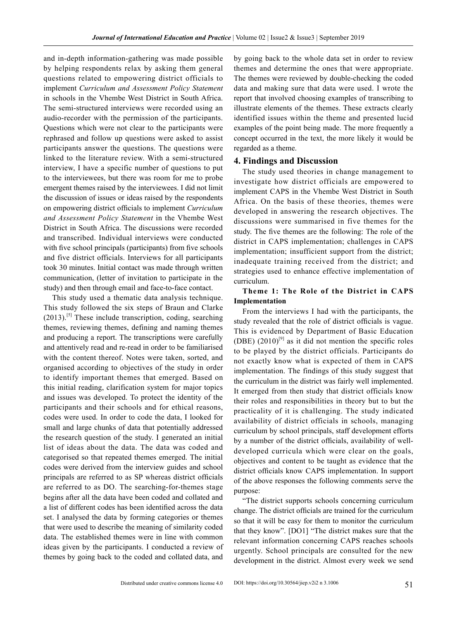and in-depth information-gathering was made possible by helping respondents relax by asking them general questions related to empowering district officials to implement *Curriculum and Assessment Policy Statement*  in schools in the Vhembe West District in South Africa. The semi-structured interviews were recorded using an audio-recorder with the permission of the participants. Questions which were not clear to the participants were rephrased and follow up questions were asked to assist participants answer the questions. The questions were linked to the literature review. With a semi-structured interview, I have a specific number of questions to put to the interviewees, but there was room for me to probe emergent themes raised by the interviewees. I did not limit the discussion of issues or ideas raised by the respondents on empowering district officials to implement *Curriculum and Assessment Policy Statement* in the Vhembe West District in South Africa. The discussions were recorded and transcribed. Individual interviews were conducted with five school principals (participants) from five schools and five district officials. Interviews for all participants took 30 minutes. Initial contact was made through written communication, (letter of invitation to participate in the study) and then through email and face-to-face contact.

This study used a thematic data analysis technique. This study followed the six steps of Braun and Clarke  $(2013).$ <sup>[5]</sup> These include transcription, coding, searching themes, reviewing themes, defining and naming themes and producing a report. The transcriptions were carefully and attentively read and re-read in order to be familiarised with the content thereof. Notes were taken, sorted, and organised according to objectives of the study in order to identify important themes that emerged. Based on this initial reading, clarification system for major topics and issues was developed. To protect the identity of the participants and their schools and for ethical reasons, codes were used. In order to code the data, I looked for small and large chunks of data that potentially addressed the research question of the study. I generated an initial list of ideas about the data. The data was coded and categorised so that repeated themes emerged. The initial codes were derived from the interview guides and school principals are referred to as SP whereas district officials are referred to as DO. The searching-for-themes stage begins after all the data have been coded and collated and a list of different codes has been identified across the data set. I analysed the data by forming categories or themes that were used to describe the meaning of similarity coded data. The established themes were in line with common ideas given by the participants. I conducted a review of themes by going back to the coded and collated data, and

by going back to the whole data set in order to review themes and determine the ones that were appropriate. The themes were reviewed by double-checking the coded data and making sure that data were used. I wrote the report that involved choosing examples of transcribing to illustrate elements of the themes. These extracts clearly identified issues within the theme and presented lucid examples of the point being made. The more frequently a concept occurred in the text, the more likely it would be regarded as a theme.

#### **4. Findings and Discussion**

The study used theories in change management to investigate how district officials are empowered to implement CAPS in the Vhembe West District in South Africa. On the basis of these theories, themes were developed in answering the research objectives. The discussions were summarised in five themes for the study. The five themes are the following: The role of the district in CAPS implementation; challenges in CAPS implementation; insufficient support from the district; inadequate training received from the district; and strategies used to enhance effective implementation of curriculum.

#### **Theme 1: The Role of the District in CAPS Implementation**

From the interviews I had with the participants, the study revealed that the role of district officials is vague. This is evidenced by Department of Basic Education (DBE)  $(2010)^{9}$  as it did not mention the specific roles to be played by the district officials. Participants do not exactly know what is expected of them in CAPS implementation. The findings of this study suggest that the curriculum in the district was fairly well implemented. It emerged from then study that district officials know their roles and responsibilities in theory but to but the practicality of it is challenging. The study indicated availability of district officials in schools, managing curriculum by school principals, staff development efforts by a number of the district officials, availability of welldeveloped curricula which were clear on the goals, objectives and content to be taught as evidence that the district officials know CAPS implementation. In support of the above responses the following comments serve the purpose:

"The district supports schools concerning curriculum change. The district officials are trained for the curriculum so that it will be easy for them to monitor the curriculum that they know". [DO1] "The district makes sure that the relevant information concerning CAPS reaches schools urgently. School principals are consulted for the new development in the district. Almost every week we send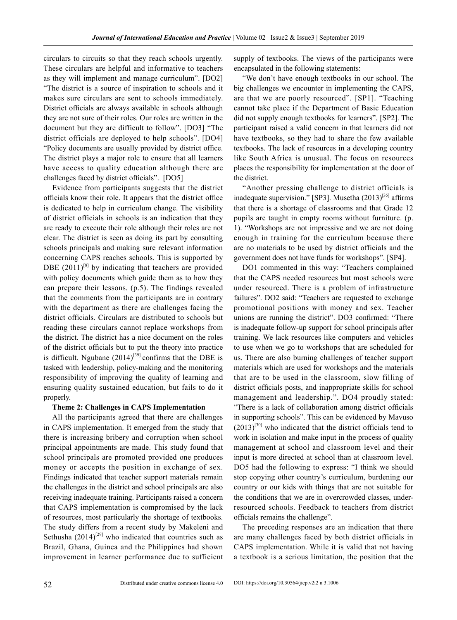circulars to circuits so that they reach schools urgently. These circulars are helpful and informative to teachers as they will implement and manage curriculum". [DO2] "The district is a source of inspiration to schools and it makes sure circulars are sent to schools immediately. District officials are always available in schools although they are not sure of their roles. Our roles are written in the document but they are difficult to follow". [DO3] "The district officials are deployed to help schools". [DO4] "Policy documents are usually provided by district office. The district plays a major role to ensure that all learners have access to quality education although there are challenges faced by district officials". [DO5]

Evidence from participants suggests that the district officials know their role. It appears that the district office is dedicated to help in curriculum change. The visibility of district officials in schools is an indication that they are ready to execute their role although their roles are not clear. The district is seen as doing its part by consulting schools principals and making sure relevant information concerning CAPS reaches schools. This is supported by DBE  $(2011)^{[8]}$  by indicating that teachers are provided with policy documents which guide them as to how they can prepare their lessons. (p.5). The findings revealed that the comments from the participants are in contrary with the department as there are challenges facing the district officials. Circulars are distributed to schools but reading these circulars cannot replace workshops from the district. The district has a nice document on the roles of the district officials but to put the theory into practice is difficult. Ngubane  $(2014)^{[39]}$  confirms that the DBE is tasked with leadership, policy-making and the monitoring responsibility of improving the quality of learning and ensuring quality sustained education, but fails to do it properly.

#### **Theme 2: Challenges in CAPS Implementation**

All the participants agreed that there are challenges in CAPS implementation. It emerged from the study that there is increasing bribery and corruption when school principal appointments are made. This study found that school principals are promoted provided one produces money or accepts the position in exchange of sex. Findings indicated that teacher support materials remain the challenges in the district and school principals are also receiving inadequate training. Participants raised a concern that CAPS implementation is compromised by the lack of resources, most particularly the shortage of textbooks. The study differs from a recent study by Makeleni and Sethusha  $(2014)^{[29]}$  who indicated that countries such as Brazil, Ghana, Guinea and the Philippines had shown improvement in learner performance due to sufficient

supply of textbooks. The views of the participants were encapsulated in the following statements:

"We don't have enough textbooks in our school. The big challenges we encounter in implementing the CAPS, are that we are poorly resourced". [SP1]. "Teaching cannot take place if the Department of Basic Education did not supply enough textbooks for learners". [SP2]. The participant raised a valid concern in that learners did not have textbooks, so they had to share the few available textbooks. The lack of resources in a developing country like South Africa is unusual. The focus on resources places the responsibility for implementation at the door of the district.

"Another pressing challenge to district officials is inadequate supervision." [SP3]. Musetha  $(2013)^{[35]}$  affirms that there is a shortage of classrooms and that Grade 12 pupils are taught in empty rooms without furniture. (p. 1). "Workshops are not impressive and we are not doing enough in training for the curriculum because there are no materials to be used by district officials and the government does not have funds for workshops". [SP4].

DO1 commented in this way: "Teachers complained that the CAPS needed resources but most schools were under resourced. There is a problem of infrastructure failures". DO2 said: "Teachers are requested to exchange promotional positions with money and sex. Teacher unions are running the district". DO3 confirmed: "There is inadequate follow-up support for school principals after training. We lack resources like computers and vehicles to use when we go to workshops that are scheduled for us. There are also burning challenges of teacher support materials which are used for workshops and the materials that are to be used in the classroom, slow filling of district officials posts, and inappropriate skills for school management and leadership.". DO4 proudly stated: "There is a lack of collaboration among district officials in supporting schools". This can be evidenced by Mavuso  $(2013)^{[30]}$  who indicated that the district officials tend to work in isolation and make input in the process of quality management at school and classroom level and their input is more directed at school than at classroom level.

DO5 had the following to express: "I think we should stop copying other country's curriculum, burdening our country or our kids with things that are not suitable for the conditions that we are in overcrowded classes, underresourced schools. Feedback to teachers from district officials remains the challenge".

The preceding responses are an indication that there are many challenges faced by both district officials in CAPS implementation. While it is valid that not having a textbook is a serious limitation, the position that the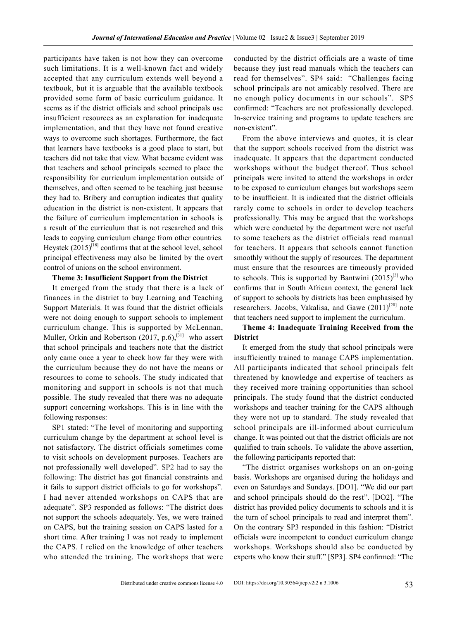participants have taken is not how they can overcome such limitations. It is a well-known fact and widely accepted that any curriculum extends well beyond a textbook, but it is arguable that the available textbook provided some form of basic curriculum guidance. It seems as if the district officials and school principals use insufficient resources as an explanation for inadequate implementation, and that they have not found creative ways to overcome such shortages. Furthermore, the fact that learners have textbooks is a good place to start, but teachers did not take that view. What became evident was that teachers and school principals seemed to place the responsibility for curriculum implementation outside of themselves, and often seemed to be teaching just because they had to. Bribery and corruption indicates that quality education in the district is non-existent. It appears that the failure of curriculum implementation in schools is a result of the curriculum that is not researched and this leads to copying curriculum change from other countries. Heystek  $(2015)^{[18]}$  confirms that at the school level, school principal effectiveness may also be limited by the overt control of unions on the school environment.

#### **Theme 3: Insufficient Support from the District**

It emerged from the study that there is a lack of finances in the district to buy Learning and Teaching Support Materials. It was found that the district officials were not doing enough to support schools to implement curriculum change. This is supported by McLennan, Muller, Orkin and Robertson (2017, p.6),<sup>[31]</sup> who assert that school principals and teachers note that the district only came once a year to check how far they were with the curriculum because they do not have the means or resources to come to schools. The study indicated that monitoring and support in schools is not that much possible. The study revealed that there was no adequate support concerning workshops. This is in line with the following responses:

SP1 stated: "The level of monitoring and supporting curriculum change by the department at school level is not satisfactory. The district officials sometimes come to visit schools on development purposes. Teachers are not professionally well developed". SP2 had to say the following: The district has got financial constraints and it fails to support district officials to go for workshops". I had never attended workshops on CAPS that are adequate". SP3 responded as follows: "The district does not support the schools adequately. Yes, we were trained on CAPS, but the training session on CAPS lasted for a short time. After training I was not ready to implement the CAPS. I relied on the knowledge of other teachers who attended the training. The workshops that were conducted by the district officials are a waste of time because they just read manuals which the teachers can read for themselves". SP4 said: "Challenges facing school principals are not amicably resolved. There are no enough policy documents in our schools". SP5 confirmed: "Teachers are not professionally developed. In-service training and programs to update teachers are non-existent".

From the above interviews and quotes, it is clear that the support schools received from the district was inadequate. It appears that the department conducted workshops without the budget thereof. Thus school principals were invited to attend the workshops in order to be exposed to curriculum changes but workshops seem to be insufficient. It is indicated that the district officials rarely come to schools in order to develop teachers professionally. This may be argued that the workshops which were conducted by the department were not useful to some teachers as the district officials read manual for teachers. It appears that schools cannot function smoothly without the supply of resources. The department must ensure that the resources are timeously provided to schools. This is supported by Bantwini  $(2015)^{[3]}$  who confirms that in South African context, the general lack of support to schools by districts has been emphasised by researchers. Jacobs, Vakalisa, and Gawe  $(2011)^{[20]}$  note that teachers need support to implement the curriculum.

#### **Theme 4: Inadequate Training Received from the District**

It emerged from the study that school principals were insufficiently trained to manage CAPS implementation. All participants indicated that school principals felt threatened by knowledge and expertise of teachers as they received more training opportunities than school principals. The study found that the district conducted workshops and teacher training for the CAPS although they were not up to standard. The study revealed that school principals are ill-informed about curriculum change. It was pointed out that the district officials are not qualified to train schools. To validate the above assertion, the following participants reported that:

"The district organises workshops on an on-going basis. Workshops are organised during the holidays and even on Saturdays and Sundays. [DO1]. "We did our part and school principals should do the rest". [DO2]. "The district has provided policy documents to schools and it is the turn of school principals to read and interpret them". On the contrary SP3 responded in this fashion: "District officials were incompetent to conduct curriculum change workshops. Workshops should also be conducted by experts who know their stuff." [SP3]. SP4 confirmed: "The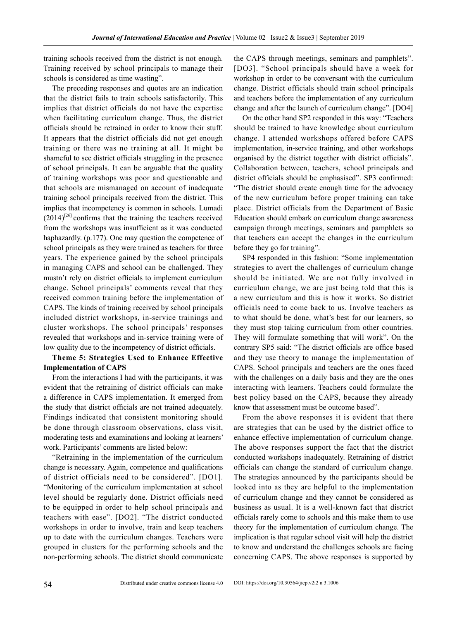training schools received from the district is not enough. Training received by school principals to manage their schools is considered as time wasting".

The preceding responses and quotes are an indication that the district fails to train schools satisfactorily. This implies that district officials do not have the expertise when facilitating curriculum change. Thus, the district officials should be retrained in order to know their stuff. It appears that the district officials did not get enough training or there was no training at all. It might be shameful to see district officials struggling in the presence of school principals. It can be arguable that the quality of training workshops was poor and questionable and that schools are mismanaged on account of inadequate training school principals received from the district. This implies that incompetency is common in schools. Lumadi  $(2014)^{[26]}$  confirms that the training the teachers received from the workshops was insufficient as it was conducted haphazardly. (p.177). One may question the competence of school principals as they were trained as teachers for three years. The experience gained by the school principals in managing CAPS and school can be challenged. They mustn't rely on district officials to implement curriculum change. School principals' comments reveal that they received common training before the implementation of CAPS. The kinds of training received by school principals included district workshops, in-service trainings and cluster workshops. The school principals' responses revealed that workshops and in-service training were of low quality due to the incompetency of district officials.

#### **Theme 5: Strategies Used to Enhance Effective Implementation of CAPS**

From the interactions I had with the participants, it was evident that the retraining of district officials can make a difference in CAPS implementation. It emerged from the study that district officials are not trained adequately. Findings indicated that consistent monitoring should be done through classroom observations, class visit, moderating tests and examinations and looking at learners' work. Participants' comments are listed below:

"Retraining in the implementation of the curriculum change is necessary. Again, competence and qualifications of district officials need to be considered". [DO1]. "Monitoring of the curriculum implementation at school level should be regularly done. District officials need to be equipped in order to help school principals and teachers with ease". [DO2]. "The district conducted workshops in order to involve, train and keep teachers up to date with the curriculum changes. Teachers were grouped in clusters for the performing schools and the non-performing schools. The district should communicate

the CAPS through meetings, seminars and pamphlets". [DO3]. "School principals should have a week for workshop in order to be conversant with the curriculum change. District officials should train school principals and teachers before the implementation of any curriculum change and after the launch of curriculum change". [DO4]

On the other hand SP2 responded in this way: "Teachers should be trained to have knowledge about curriculum change. I attended workshops offered before CAPS implementation, in-service training, and other workshops organised by the district together with district officials". Collaboration between, teachers, school principals and district officials should be emphasised". SP3 confirmed: "The district should create enough time for the advocacy of the new curriculum before proper training can take place. District officials from the Department of Basic Education should embark on curriculum change awareness campaign through meetings, seminars and pamphlets so that teachers can accept the changes in the curriculum before they go for training".

SP4 responded in this fashion: "Some implementation strategies to avert the challenges of curriculum change should be initiated. We are not fully involved in curriculum change, we are just being told that this is a new curriculum and this is how it works. So district officials need to come back to us. Involve teachers as to what should be done, what's best for our learners, so they must stop taking curriculum from other countries. They will formulate something that will work". On the contrary SP5 said: "The district officials are office based and they use theory to manage the implementation of CAPS. School principals and teachers are the ones faced with the challenges on a daily basis and they are the ones interacting with learners. Teachers could formulate the best policy based on the CAPS, because they already know that assessment must be outcome based".

From the above responses it is evident that there are strategies that can be used by the district office to enhance effective implementation of curriculum change. The above responses support the fact that the district conducted workshops inadequately. Retraining of district officials can change the standard of curriculum change. The strategies announced by the participants should be looked into as they are helpful to the implementation of curriculum change and they cannot be considered as business as usual. It is a well-known fact that district officials rarely come to schools and this make them to use theory for the implementation of curriculum change. The implication is that regular school visit will help the district to know and understand the challenges schools are facing concerning CAPS. The above responses is supported by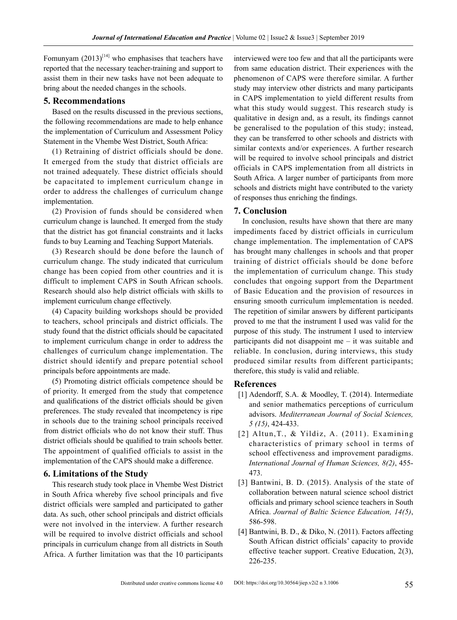Fomunyam  $(2013)^{[14]}$  who emphasises that teachers have reported that the necessary teacher-training and support to assist them in their new tasks have not been adequate to bring about the needed changes in the schools.

#### **5. Recommendations**

Based on the results discussed in the previous sections, the following recommendations are made to help enhance the implementation of Curriculum and Assessment Policy Statement in the Vhembe West District, South Africa:

(1) Retraining of district officials should be done. It emerged from the study that district officials are not trained adequately. These district officials should be capacitated to implement curriculum change in order to address the challenges of curriculum change implementation.

(2) Provision of funds should be considered when curriculum change is launched. It emerged from the study that the district has got financial constraints and it lacks funds to buy Learning and Teaching Support Materials.

(3) Research should be done before the launch of curriculum change. The study indicated that curriculum change has been copied from other countries and it is difficult to implement CAPS in South African schools. Research should also help district officials with skills to implement curriculum change effectively.

(4) Capacity building workshops should be provided to teachers, school principals and district officials. The study found that the district officials should be capacitated to implement curriculum change in order to address the challenges of curriculum change implementation. The district should identify and prepare potential school principals before appointments are made.

(5) Promoting district officials competence should be of priority. It emerged from the study that competence and qualifications of the district officials should be given preferences. The study revealed that incompetency is ripe in schools due to the training school principals received from district officials who do not know their stuff. Thus district officials should be qualified to train schools better. The appointment of qualified officials to assist in the implementation of the CAPS should make a difference.

#### **6. Limitations of the Study**

This research study took place in Vhembe West District in South Africa whereby five school principals and five district officials were sampled and participated to gather data. As such, other school principals and district officials were not involved in the interview. A further research will be required to involve district officials and school principals in curriculum change from all districts in South Africa. A further limitation was that the 10 participants

interviewed were too few and that all the participants were from same education district. Their experiences with the phenomenon of CAPS were therefore similar. A further study may interview other districts and many participants in CAPS implementation to yield different results from what this study would suggest. This research study is qualitative in design and, as a result, its findings cannot be generalised to the population of this study; instead, they can be transferred to other schools and districts with similar contexts and/or experiences. A further research will be required to involve school principals and district officials in CAPS implementation from all districts in South Africa. A larger number of participants from more schools and districts might have contributed to the variety of responses thus enriching the findings.

#### **7. Conclusion**

In conclusion, results have shown that there are many impediments faced by district officials in curriculum change implementation. The implementation of CAPS has brought many challenges in schools and that proper training of district officials should be done before the implementation of curriculum change. This study concludes that ongoing support from the Department of Basic Education and the provision of resources in ensuring smooth curriculum implementation is needed. The repetition of similar answers by different participants proved to me that the instrument I used was valid for the purpose of this study. The instrument I used to interview participants did not disappoint me – it was suitable and reliable. In conclusion, during interviews, this study produced similar results from different participants; therefore, this study is valid and reliable.

#### **References**

- [1] Adendorff, S.A. & Moodley, T. (2014). Intermediate and senior mathematics perceptions of curriculum advisors. *Mediterranean Journal of Social Sciences, 5 (15)*, 424-433.
- [2] Altun,T., & Yildiz, A. (2011). Examining characteristics of primary school in terms of school effectiveness and improvement paradigms. *International Journal of Human Sciences, 8(2)*, 455- 473.
- [3] Bantwini, B. D. (2015). Analysis of the state of collaboration between natural science school district officials and primary school science teachers in South Africa. *Journal of Baltic Science Education, 14(5)*, 586-598.
- [4] Bantwini, B. D., & Diko, N. (2011). Factors affecting South African district officials' capacity to provide effective teacher support. Creative Education, 2(3), 226-235.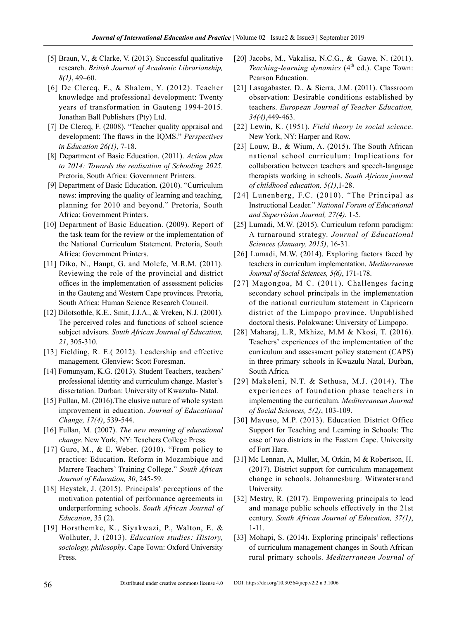- [5] Braun, V., & Clarke, V. (2013). Successful qualitative research. *British Journal of Academic Librarianship, 8(1)*, 49–60.
- [6] De Clercq, F., & Shalem, Y. (2012). Teacher knowledge and professional development: Twenty years of transformation in Gauteng 1994-2015. Jonathan Ball Publishers (Pty) Ltd.
- [7] De Clercq, F. (2008). "Teacher quality appraisal and development: The flaws in the IQMS." *Perspectives in Education 26(1)*, 7-18.
- [8] Department of Basic Education. (2011). *Action plan to 2014: Towards the realisation of Schooling 2025*. Pretoria, South Africa: Government Printers.
- [9] Department of Basic Education. (2010). "Curriculum news: improving the quality of learning and teaching, planning for 2010 and beyond." Pretoria, South Africa: Government Printers.
- [10] Department of Basic Education. (2009). Report of the task team for the review or the implementation of the National Curriculum Statement. Pretoria, South Africa: Government Printers.
- [11] Diko, N., Haupt, G. and Molefe, M.R.M. (2011). Reviewing the role of the provincial and district offices in the implementation of assessment policies in the Gauteng and Western Cape provinces. Pretoria, South Africa: Human Science Research Council.
- [12] Dilotsothle, K.E., Smit, J.J.A., & Vreken, N.J. (2001). The perceived roles and functions of school science subject advisors. *South African Journal of Education, 21*, 305-310.
- [13] Fielding, R. E.( 2012). Leadership and effective management. Glenview: Scott Foresman.
- [14] Fomunyam, K.G. (2013). Student Teachers, teachers' professional identity and curriculum change. Master's dissertation. Durban: University of Kwazulu- Natal.
- [15] Fullan, M. (2016).The elusive nature of whole system improvement in education. *Journal of Educational Change, 17(4)*, 539-544.
- [16] Fullan, M. (2007). *The new meaning of educational change.* New York, NY: Teachers College Press.
- [17] Guro, M., & E. Weber.  $(2010)$ . "From policy to practice: Education. Reform in Mozambique and Marrere Teachers' Training College." *South African Journal of Education, 30*, 245-59.
- [18] Heystek, J. (2015). Principals' perceptions of the motivation potential of performance agreements in underperforming schools. *South African Journal of Education*, 35 (2).
- [19] Horsthemke, K., Siyakwazi, P., Walton, E. & Wolhuter, J. (2013). *Education studies: History, sociology, philosophy*. Cape Town: Oxford University Press.
- [20] Jacobs, M., Vakalisa, N.C.G., & Gawe, N. (2011). *Teaching-learning dynamics* (4<sup>th</sup> ed.). Cape Town: Pearson Education.
- [21] Lasagabaster, D., & Sierra, J.M. (2011). Classroom observation: Desirable conditions established by teachers. *European Journal of Teacher Education, 34(4)*,449-463.
- [22] Lewin, K. (1951). *Field theory in social science*. New York, NY: Harper and Row.
- [23] Louw, B., & Wium, A. (2015). The South African national school curriculum: Implications for collaboration between teachers and speech-language therapists working in schools. *South African journal of childhood education, 5(1)*,1-28.
- [24] Lunenberg, F.C. (2010). "The Principal as Instructional Leader." *National Forum of Educational and Supervision Journal, 27(4)*, 1-5.
- [25] Lumadi, M.W. (2015). Curriculum reform paradigm: A turnaround strategy. *Journal of Educational Sciences (January, 2015)*, 16-31.
- [26] Lumadi, M.W. (2014). Exploring factors faced by teachers in curriculum implementation. *Mediterranean Journal of Social Sciences, 5(6)*, 171-178.
- [27] Magongoa, M C. (2011). Challenges facing secondary school principals in the implementation of the national curriculum statement in Capricorn district of the Limpopo province. Unpublished doctoral thesis. Polokwane: University of Limpopo.
- [28] Maharaj, L.R, Mkhize, M.M & Nkosi, T. (2016). Teachers' experiences of the implementation of the curriculum and assessment policy statement (CAPS) in three primary schools in Kwazulu Natal, Durban, South Africa.
- [29] Makeleni, N.T. & Sethusa, M.J. (2014). The experiences of foundation phase teachers in implementing the curriculum. *Mediterranean Journal of Social Sciences, 5(2)*, 103-109.
- [30] Mavuso, M.P. (2013). Education District Office Support for Teaching and Learning in Schools: The case of two districts in the Eastern Cape. University of Fort Hare.
- [31] Mc Lennan, A, Muller, M, Orkin, M & Robertson, H. (2017). District support for curriculum management change in schools. Johannesburg: Witwatersrand University.
- [32] Mestry, R. (2017). Empowering principals to lead and manage public schools effectively in the 21st century. *[South African Journal of Education](http://www.scielo.org.za/scielo.php?script=sci_serial&pid=0256-0100&lng=en&nrm=iso), 37(1)*, 1-11.
- [33] Mohapi, S. (2014). Exploring principals' reflections of curriculum management changes in South African rural primary schools. *Mediterranean Journal of*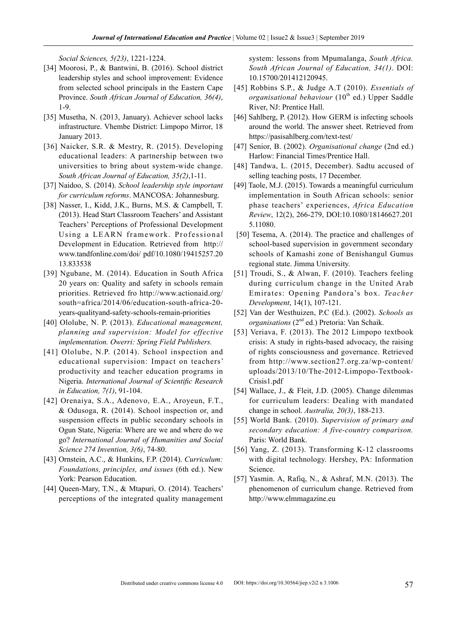*Social Sciences, 5(23)*, 1221-1224.

- [34] Moorosi, P., & Bantwini, B. (2016). School district leadership styles and school improvement: Evidence from selected school principals in the Eastern Cape Province. *South African Journal of Education, 36(4)*, 1-9.
- [35] Musetha, N. (2013, January). Achiever school lacks infrastructure. Vhembe District: Limpopo Mirror, 18 January 2013.
- [36] Naicker, S.R. & Mestry, R. (2015). Developing educational leaders: A partnership between two universities to bring about system-wide change. *South African Journal of Education, 35(2)*,1-11.
- [37] Naidoo, S. (2014). *School leadership style important for curriculum reforms*. MANCOSA: Johannesburg.
- [38] Nasser, I., Kidd, J.K., Burns, M.S. & Campbell, T. (2013). Head Start Classroom Teachers' and Assistant Teachers' Perceptions of Professional Development Using a LEARN framework. Professional Development in Education. Retrieved from http:// www.tandfonline.com/doi/ pdf/10.1080/19415257.20 13.833538
- [39] Ngubane, M. (2014). Education in South Africa 20 years on: Quality and safety in schools remain priorities. Retrieved fro http://www.actionaid.org/ south=africa/2014/06/education-south-africa-20 years-qualityand-safety-schools-remain-priorities
- [40] Ololube, N. P. (2013). *Educational management, planning and supervision: Model for effective implementation. Owerri: Spring Field Publishers.*
- [41] Ololube, N.P. (2014). School inspection and educational supervision: Impact on teachers' productivity and teacher education programs in Nigeria. *International Journal of Scientific Research in Education, 7(1)*, 91-104.
- [42] Orenaiya, S.A., Adenovo, E.A., Aroyeun, F.T., & Odusoga, R. (2014). School inspection or, and suspension effects in public secondary schools in Ogun State, Nigeria: Where are we and where do we go? *International Journal of Humanities and Social Science 274 Invention, 3(6)*, 74-80.
- [43] Ornstein, A.C., & Hunkins, F.P. (2014). *Curriculum: Foundations, principles, and issues* (6th ed.). New York: Pearson Education.
- [44] Queen-Mary, T.N., & Mtapuri, O. (2014). Teachers' perceptions of the integrated quality management

system: lessons from Mpumalanga, *South Africa. South African Journal of Education, 34(1)*. DOI: 10.15700/201412120945.

- [45] Robbins S.P., & Judge A.T (2010). *Essentials of organisational behaviour* (10<sup>th</sup> ed.) Upper Saddle River, NJ: Prentice Hall.
- [46] Sahlberg, P. (2012). How GERM is infecting schools around the world. The answer sheet. Retrieved from https://pasisahlberg.com/text-test/
- [47] Senior, B. (2002). *Organisational change* (2nd ed.) Harlow: Financial Times/Prentice Hall.
- [48] Tandwa, L. (2015, December). Sadtu accused of selling teaching posts, 17 December.
- [49] Taole, M.J. (2015). Towards a meaningful curriculum implementation in South African schools: senior phase teachers' experiences, *Africa Education Review*, 12(2), 266-279, DOI:10.1080/18146627.201 5.11080.
- [50] Tesema, A. (2014). The practice and challenges of school-based supervision in government secondary schools of Kamashi zone of Benishangul Gumus regional state. Jimma University.
- [51] Troudi, S., & Alwan, F. (2010). Teachers feeling during curriculum change in the United Arab Emirates: Opening Pandora's box. *Teacher Development*, 14(1), 107-121.
- [52] Van der Westhuizen, P.C (Ed.). (2002). *Schools as organisations* (2nd ed.) Pretoria: Van Schaik.
- [53] Veriava, F. (2013). The 2012 Limpopo textbook crisis: A study in rights-based advocacy, the raising of rights consciousness and governance. Retrieved from http://www.section27.org.za/wp-content/ uploads/2013/10/The-2012-Limpopo-Textbook-Crisis1.pdf
- [54] Wallace, J., & Fleit, J.D. (2005). Change dilemmas for curriculum leaders: Dealing with mandated change in school. *Australia, 20(3)*, 188-213.
- [55] World Bank. (2010). *Supervision of primary and secondary education: A five-country comparison.*  Paris: World Bank.
- [56] Yang, Z. (2013). Transforming K-12 classrooms with digital technology. Hershey, PA: Information Science.
- [57] Yasmin. A, Rafiq, N., & Ashraf, M.N. (2013). The phenomenon of curriculum change. Retrieved from http://www.elmmagazine.eu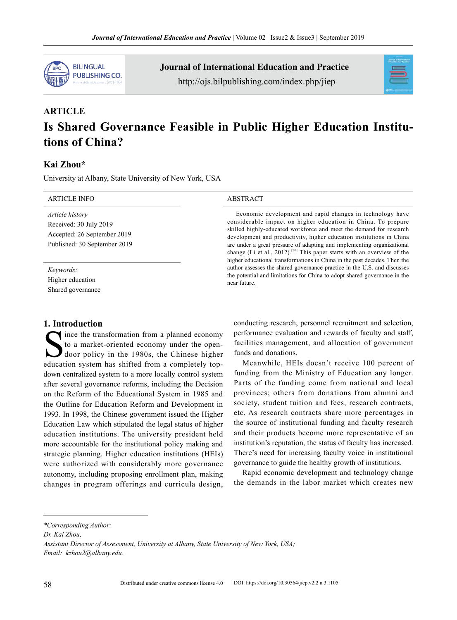

Journal of International Education and Practice http://ojs.bilpublishing.com/index.php/jiep



# **ARTICLE Is Shared Governance Feasible in Public Higher Education Institutions of China?**

# **Kai Zhou\***

University at Albany, State University of New York, USA

| <b>ARTICLE INFO</b>                                                                                      | <b>ABSTRACT</b>                                                                                                                                                                                                                                                                                                                                                                                                                                                                                                                                                                                   |  |  |
|----------------------------------------------------------------------------------------------------------|---------------------------------------------------------------------------------------------------------------------------------------------------------------------------------------------------------------------------------------------------------------------------------------------------------------------------------------------------------------------------------------------------------------------------------------------------------------------------------------------------------------------------------------------------------------------------------------------------|--|--|
| Article history<br>Received: 30 July 2019<br>Accepted: 26 September 2019<br>Published: 30 September 2019 | Economic development and rapid changes in technology have<br>considerable impact on higher education in China. To prepare<br>skilled highly-educated workforce and meet the demand for research<br>development and productivity, higher education institutions in China<br>are under a great pressure of adapting and implementing organizational<br>change (Li et al., 2012). <sup>[20]</sup> This paper starts with an overview of the<br>higher educational transformations in China in the past decades. Then the<br>author assesses the shared governance practice in the U.S. and discusses |  |  |
| Keywords:<br>Higher education<br>Shared governance                                                       | the potential and limitations for China to adopt shared governance in the<br>near future.                                                                                                                                                                                                                                                                                                                                                                                                                                                                                                         |  |  |

# **1. Introduction**

Since the transformation from a planned economy<br>to a market-oriented economy under the open-<br>door policy in the 1980s, the Chinese higher<br>education system has shifted from a completely topto a market-oriented economy under the opendoor policy in the 1980s, the Chinese higher education system has shifted from a completely topdown centralized system to a more locally control system after several governance reforms, including the Decision on the Reform of the Educational System in 1985 and the Outline for Education Reform and Development in 1993. In 1998, the Chinese government issued the Higher Education Law which stipulated the legal status of higher education institutions. The university president held more accountable for the institutional policy making and strategic planning. Higher education institutions (HEIs) were authorized with considerably more governance autonomy, including proposing enrollment plan, making changes in program offerings and curricula design,

conducting research, personnel recruitment and selection, performance evaluation and rewards of faculty and staff, facilities management, and allocation of government funds and donations.

Meanwhile, HEIs doesn't receive 100 percent of funding from the Ministry of Education any longer. Parts of the funding come from national and local provinces; others from donations from alumni and society, student tuition and fees, research contracts, etc. As research contracts share more percentages in the source of institutional funding and faculty research and their products become more representative of an institution's reputation, the status of faculty has increased. There's need for increasing faculty voice in institutional governance to guide the healthy growth of institutions.

Rapid economic development and technology change the demands in the labor market which creates new

*Dr. Kai Zhou,*

*<sup>\*</sup>Corresponding Author:*

*Assistant Director of Assessment, University at Albany, State University of New York, USA; Email: kzhou2@albany.edu.*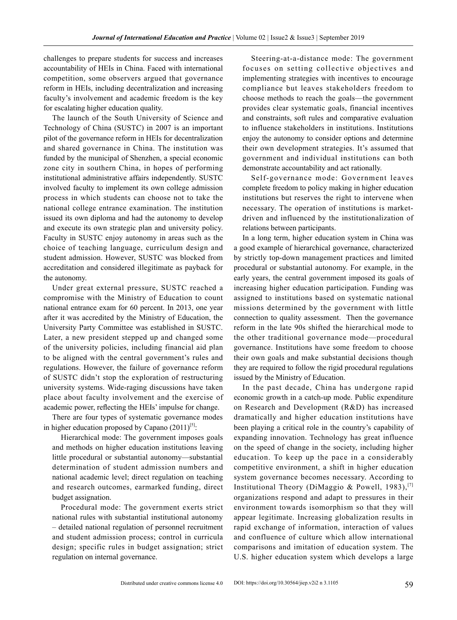challenges to prepare students for success and increases accountability of HEIs in China. Faced with international competition, some observers argued that governance reform in HEIs, including decentralization and increasing faculty's involvement and academic freedom is the key for escalating higher education quality.

The launch of the South University of Science and Technology of China (SUSTC) in 2007 is an important pilot of the governance reform in HEIs for decentralization and shared governance in China. The institution was funded by the municipal of Shenzhen, a special economic zone city in southern China, in hopes of performing institutional administrative affairs independently. SUSTC involved faculty to implement its own college admission process in which students can choose not to take the national college entrance examination. The institution issued its own diploma and had the autonomy to develop and execute its own strategic plan and university policy. Faculty in SUSTC enjoy autonomy in areas such as the choice of teaching language, curriculum design and student admission. However, SUSTC was blocked from accreditation and considered illegitimate as payback for the autonomy.

Under great external pressure, SUSTC reached a compromise with the Ministry of Education to count national entrance exam for 60 percent. In 2013, one year after it was accredited by the Ministry of Education, the University Party Committee was established in SUSTC. Later, a new president stepped up and changed some of the university policies, including financial aid plan to be aligned with the central government's rules and regulations. However, the failure of governance reform of SUSTC didn't stop the exploration of restructuring university systems. Wide-raging discussions have taken place about faculty involvement and the exercise of academic power, reflecting the HEIs' impulse for change.

There are four types of systematic governance modes in higher education proposed by Capano  $(2011)^{[5]}$ :

Hierarchical mode: The government imposes goals and methods on higher education institutions leaving little procedural or substantial autonomy—substantial determination of student admission numbers and national academic level; direct regulation on teaching and research outcomes, earmarked funding, direct budget assignation.

Procedural mode: The government exerts strict national rules with substantial institutional autonomy – detailed national regulation of personnel recruitment and student admission process; control in curricula design; specific rules in budget assignation; strict regulation on internal governance.

Steering-at-a-distance mode: The government focuses on setting collective objectives and implementing strategies with incentives to encourage compliance but leaves stakeholders freedom to choose methods to reach the goals—the government provides clear systematic goals, financial incentives and constraints, soft rules and comparative evaluation to influence stakeholders in institutions. Institutions enjoy the autonomy to consider options and determine their own development strategies. It's assumed that government and individual institutions can both demonstrate accountability and act rationally.

Self-governance mode: Government leaves complete freedom to policy making in higher education institutions but reserves the right to intervene when necessary. The operation of institutions is marketdriven and influenced by the institutionalization of relations between participants.

In a long term, higher education system in China was a good example of hierarchical governance, characterized by strictly top-down management practices and limited procedural or substantial autonomy. For example, in the early years, the central government imposed its goals of increasing higher education participation. Funding was assigned to institutions based on systematic national missions determined by the government with little connection to quality assessment. Then the governance reform in the late 90s shifted the hierarchical mode to the other traditional governance mode—procedural governance. Institutions have some freedom to choose their own goals and make substantial decisions though they are required to follow the rigid procedural regulations issued by the Ministry of Education.

In the past decade, China has undergone rapid economic growth in a catch-up mode. Public expenditure on Research and Development (R&D) has increased dramatically and higher education institutions have been playing a critical role in the country's capability of expanding innovation. Technology has great influence on the speed of change in the society, including higher education. To keep up the pace in a considerably competitive environment, a shift in higher education system governance becomes necessary. According to Institutional Theory (DiMaggio & Powell, 1983),<sup>[7]</sup> organizations respond and adapt to pressures in their environment towards isomorphism so that they will appear legitimate. Increasing globalization results in rapid exchange of information, interaction of values and confluence of culture which allow international comparisons and imitation of education system. The U.S. higher education system which develops a large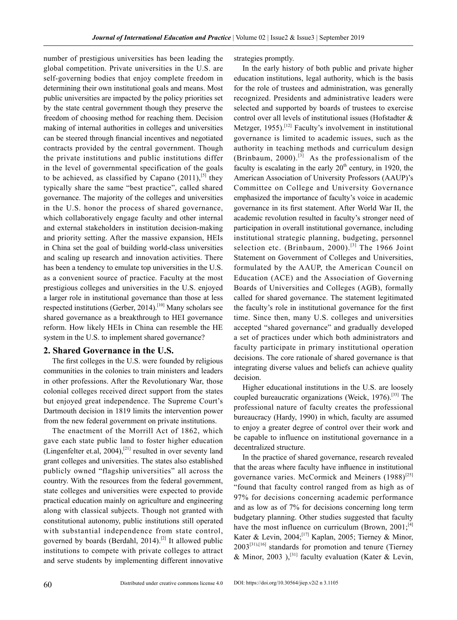number of prestigious universities has been leading the global competition. Private universities in the U.S. are self-governing bodies that enjoy complete freedom in determining their own institutional goals and means. Most public universities are impacted by the policy priorities set by the state central government though they preserve the freedom of choosing method for reaching them. Decision making of internal authorities in colleges and universities can be steered through financial incentives and negotiated contracts provided by the central government. Though the private institutions and public institutions differ in the level of governmental specification of the goals to be achieved, as classified by Capano  $(2011)$ ,<sup>[5]</sup> they typically share the same "best practice", called shared governance. The majority of the colleges and universities in the U.S. honor the process of shared governance, which collaboratively engage faculty and other internal and external stakeholders in institution decision-making and priority setting. After the massive expansion, HEIs in China set the goal of building world-class universities and scaling up research and innovation activities. There has been a tendency to emulate top universities in the U.S. as a convenient source of practice. Faculty at the most prestigious colleges and universities in the U.S. enjoyed a larger role in institutional governance than those at less respected institutions (Gerber, 2014).[10] Many scholars see shared governance as a breakthrough to HEI governance reform. How likely HEIs in China can resemble the HE system in the U.S. to implement shared governance?

#### **2. Shared Governance in the U.S.**

The first colleges in the U.S. were founded by religious communities in the colonies to train ministers and leaders in other professions. After the Revolutionary War, those colonial colleges received direct support from the states but enjoyed great independence. The Supreme Court's Dartmouth decision in 1819 limits the intervention power from the new federal government on private institutions.

The enactment of the Morrill Act of 1862, which gave each state public land to foster higher education (Lingenfelter et.al,  $2004$ ),<sup>[21]</sup> resulted in over seventy land grant colleges and universities. The states also established publicly owned "flagship universities" all across the country. With the resources from the federal government, state colleges and universities were expected to provide practical education mainly on agriculture and engineering along with classical subjects. Though not granted with constitutional autonomy, public institutions still operated with substantial independence from state control, governed by boards (Berdahl, 2014).<sup>[2]</sup> It allowed public institutions to compete with private colleges to attract and serve students by implementing different innovative strategies promptly.

In the early history of both public and private higher education institutions, legal authority, which is the basis for the role of trustees and administration, was generally recognized. Presidents and administrative leaders were selected and supported by boards of trustees to exercise control over all levels of institutional issues (Hofstadter & Metzger, 1955).<sup>[12]</sup> Faculty's involvement in institutional governance is limited to academic issues, such as the authority in teaching methods and curriculum design (Brinbaum, 2000).<sup>[3]</sup> As the professionalism of the faculty is escalating in the early  $20<sup>th</sup>$  century, in 1920, the American Association of University Professors (AAUP)'s Committee on College and University Governance emphasized the importance of faculty's voice in academic governance in its first statement. After World War II, the academic revolution resulted in faculty's stronger need of participation in overall institutional governance, including institutional strategic planning, budgeting, personnel selection etc. (Brinbaum, 2000).<sup>[3]</sup> The 1966 Joint Statement on Government of Colleges and Universities, formulated by the AAUP, the American Council on Education (ACE) and the Association of Governing Boards of Universities and Colleges (AGB), formally called for shared governance. The statement legitimated the faculty's role in institutional governance for the first time. Since then, many U.S. colleges and universities accepted "shared governance" and gradually developed a set of practices under which both administrators and faculty participate in primary institutional operation decisions. The core rationale of shared governance is that integrating diverse values and beliefs can achieve quality decision.

Higher educational institutions in the U.S. are loosely coupled bureaucratic organizations (Weick, 1976).[33] The professional nature of faculty creates the professional bureaucracy (Hardy, 1990) in which, faculty are assumed to enjoy a greater degree of control over their work and be capable to influence on institutional governance in a decentralized structure.

In the practice of shared governance, research revealed that the areas where faculty have influence in institutional governance varies. McCormick and Meiners  $(1988)^{[25]}$ "found that faculty control ranged from as high as of 97% for decisions concerning academic performance and as low as of 7% for decisions concerning long term budgetary planning. Other studies suggested that faculty have the most influence on curriculum (Brown,  $2001$ ;<sup>[4]</sup> Kater & Levin, 2004;<sup>[17]</sup> Kaplan, 2005; Tierney & Minor,  $2003^{[31],[16]}$  standards for promotion and tenure (Tierney & Minor, 2003 ),<sup>[31]</sup> faculty evaluation (Kater & Levin,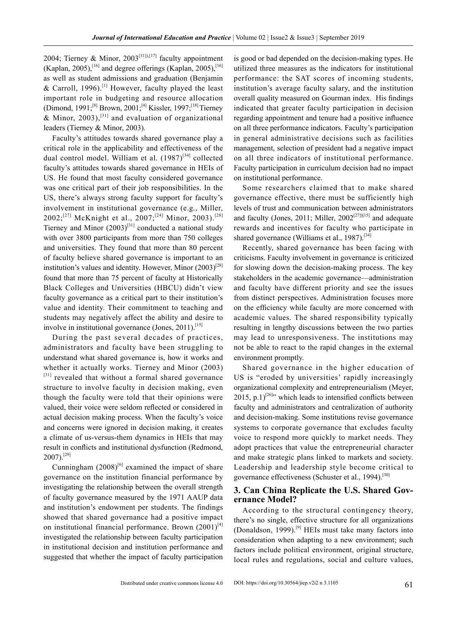2004; Tierney & Minor,  $2003^{[31], [17]}$  faculty appointment (Kaplan, 2005),<sup>[16]</sup> and degree offerings (Kaplan, 2005),<sup>[16]</sup> as well as student admissions and graduation (Benjamin & Carroll, 1996).<sup>[1]</sup> However, faculty played the least important role in budgeting and resource allocation (Dimond, 1991;<sup>[8]</sup> Brown, 2001;<sup>[4]</sup> Kissler, 1997;<sup>[18]</sup> Tierney & Minor, 2003),<sup>[31]</sup> and evaluation of organizational leaders (Tierney & Minor, 2003).

Faculty's attitudes towards shared governance play a critical role in the applicability and effectiveness of the dual control model. William et al.  $(1987)^{[34]}$  collected faculty's attitudes towards shared governance in HEIs of US. He found that most faculty considered governance was one critical part of their job responsibilities. In the US, there's always strong faculty support for faculty's involvement in institutional governance (e.g., Miller, 2002;<sup>[27]</sup> McKnight et al., 2007;<sup>[24]</sup> Minor, 2003).<sup>[28]</sup> Tierney and Minor  $(2003)^{[31]}$  conducted a national study with over 3800 participants from more than 750 colleges and universities. They found that more than 80 percent of faculty believe shared governance is important to an institution's values and identity. However, Minor  $(2003)^{[28]}$ found that more than 75 percent of faculty at Historically Black Colleges and Universities (HBCU) didn't view faculty governance as a critical part to their institution's value and identity. Their commitment to teaching and students may negatively affect the ability and desire to involve in institutional governance (Jones,  $2011$ ).<sup>[15]</sup>

During the past several decades of practices, administrators and faculty have been struggling to understand what shared governance is, how it works and whether it actually works. Tierney and Minor (2003) [31] revealed that without a formal shared governance structure to involve faculty in decision making, even though the faculty were told that their opinions were valued, their voice were seldom reflected or considered in actual decision making process. When the faculty's voice and concerns were ignored in decision making, it creates a climate of us-versus-them dynamics in HEIs that may result in conflicts and institutional dysfunction (Redmond,  $2007$ ).<sup>[29]</sup>

Cunningham  $(2008)^{6}$  examined the impact of share governance on the institution financial performance by investigating the relationship between the overall strength of faculty governance measured by the 1971 AAUP data and institution's endowment per students. The findings showed that shared governance had a positive impact on institutional financial performance. Brown  $(2001)^{4}$ investigated the relationship between faculty participation in institutional decision and institution performance and suggested that whether the impact of faculty participation

is good or bad depended on the decision-making types. He utilized three measures as the indicators for institutional performance: the SAT scores of incoming students, institution's average faculty salary, and the institution overall quality measured on Gourman index. His findings indicated that greater faculty participation in decision regarding appointment and tenure had a positive influence on all three performance indicators. Faculty's participation in general administrative decisions such as facilities management, selection of president had a negative impact on all three indicators of institutional performance. Faculty participation in curriculum decision had no impact on institutional performance.

Some researchers claimed that to make shared governance effective, there must be sufficiently high levels of trust and communication between administrators and faculty (Jones, 2011; Miller,  $2002^{[27][15]}$  and adequate rewards and incentives for faculty who participate in shared governance (Williams et al., 1987).<sup>[34]</sup>

Recently, shared governance has been facing with criticisms. Faculty involvement in governance is criticized for slowing down the decision-making process. The key stakeholders in the academic governance—administration and faculty have different priority and see the issues from distinct perspectives. Administration focuses more on the efficiency while faculty are more concerned with academic values. The shared responsibility typically resulting in lengthy discussions between the two parties may lead to unresponsiveness. The institutions may not be able to react to the rapid changes in the external environment promptly.

Shared governance in the higher education of US is "eroded by universities' rapidly increasingly organizational complexity and entrepreneurialism (Meyer, 2015, p.1)<sup>[26]</sup>" which leads to intensified conflicts between faculty and administrators and centralization of authority and decision-making. Some institutions revise governance systems to corporate governance that excludes faculty voice to respond more quickly to market needs. They adopt practices that value the entrepreneurial character and make strategic plans linked to markets and society. Leadership and leadership style become critical to governance effectiveness (Schuster et al., 1994).<sup>[30]</sup>

#### **3. Can China Replicate the U.S. Shared Governance Model?**

According to the structural contingency theory, there's no single, effective structure for all organizations (Donaldson, 1999).<sup>[9]</sup> HEIs must take many factors into consideration when adapting to a new environment; such factors include political environment, original structure, local rules and regulations, social and culture values,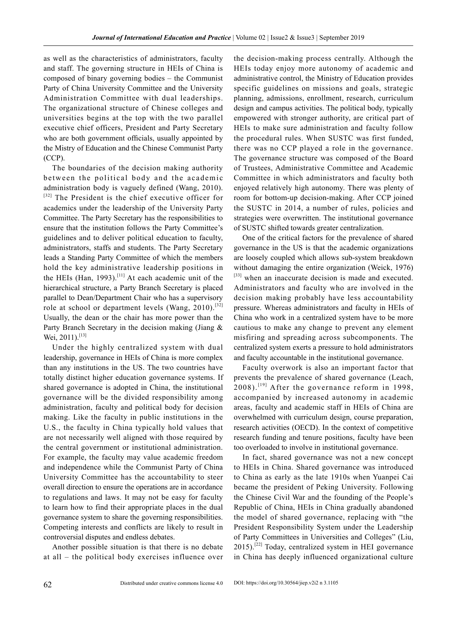as well as the characteristics of administrators, faculty and staff. The governing structure in HEIs of China is composed of binary governing bodies – the Communist Party of China University Committee and the University Administration Committee with dual leaderships. The organizational structure of Chinese colleges and universities begins at the top with the two parallel executive chief officers, President and Party Secretary who are both government officials, usually appointed by the Mistry of Education and the Chinese Communist Party (CCP).

The boundaries of the decision making authority between the political body and the academic administration body is vaguely defined (Wang, 2010). [32] The President is the chief executive officer for academics under the leadership of the University Party Committee. The Party Secretary has the responsibilities to ensure that the institution follows the Party Committee's guidelines and to deliver political education to faculty, administrators, staffs and students. The Party Secretary leads a Standing Party Committee of which the members hold the key administrative leadership positions in the HEIs (Han, 1993).<sup>[11]</sup> At each academic unit of the hierarchical structure, a Party Branch Secretary is placed parallel to Dean/Department Chair who has a supervisory role at school or department levels (Wang,  $2010$ ).<sup>[32]</sup> Usually, the dean or the chair has more power than the Party Branch Secretary in the decision making (Jiang & Wei, 2011).<sup>[13]</sup>

Under the highly centralized system with dual leadership, governance in HEIs of China is more complex than any institutions in the US. The two countries have totally distinct higher education governance systems. If shared governance is adopted in China, the institutional governance will be the divided responsibility among administration, faculty and political body for decision making. Like the faculty in public institutions in the U.S., the faculty in China typically hold values that are not necessarily well aligned with those required by the central government or institutional administration. For example, the faculty may value academic freedom and independence while the Communist Party of China University Committee has the accountability to steer overall direction to ensure the operations are in accordance to regulations and laws. It may not be easy for faculty to learn how to find their appropriate places in the dual governance system to share the governing responsibilities. Competing interests and conflicts are likely to result in controversial disputes and endless debates.

Another possible situation is that there is no debate at all – the political body exercises influence over the decision-making process centrally. Although the HEIs today enjoy more autonomy of academic and administrative control, the Ministry of Education provides specific guidelines on missions and goals, strategic planning, admissions, enrollment, research, curriculum design and campus activities. The political body, typically empowered with stronger authority, are critical part of HEIs to make sure administration and faculty follow the procedural rules. When SUSTC was first funded, there was no CCP played a role in the governance. The governance structure was composed of the Board of Trustees, Administrative Committee and Academic Committee in which administrators and faculty both enjoyed relatively high autonomy. There was plenty of room for bottom-up decision-making. After CCP joined the SUSTC in 2014, a number of rules, policies and strategies were overwritten. The institutional governance of SUSTC shifted towards greater centralization.

One of the critical factors for the prevalence of shared governance in the US is that the academic organizations are loosely coupled which allows sub-system breakdown without damaging the entire organization (Weick, 1976) [33] when an inaccurate decision is made and executed. Administrators and faculty who are involved in the decision making probably have less accountability pressure. Whereas administrators and faculty in HEIs of China who work in a centralized system have to be more cautious to make any change to prevent any element misfiring and spreading across subcomponents. The centralized system exerts a pressure to hold administrators and faculty accountable in the institutional governance.

Faculty overwork is also an important factor that prevents the prevalence of shared governance (Leach,  $2008$ ).<sup>[19]</sup> After the governance reform in 1998, accompanied by increased autonomy in academic areas, faculty and academic staff in HEIs of China are overwhelmed with curriculum design, course preparation, research activities (OECD). In the context of competitive research funding and tenure positions, faculty have been too overloaded to involve in institutional governance.

In fact, shared governance was not a new concept to HEIs in China. Shared governance was introduced to China as early as the late 1910s when Yuanpei Cai became the president of Peking University. Following the Chinese Civil War and the founding of the People's Republic of China, HEIs in China gradually abandoned the model of shared governance, replacing with "the President Responsibility System under the Leadership of Party Committees in Universities and Colleges" (Liu,  $2015$ .<sup>[22]</sup> Today, centralized system in HEI governance in China has deeply influenced organizational culture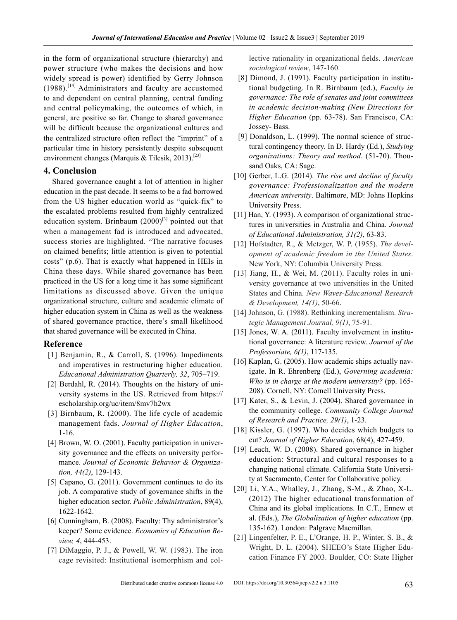in the form of organizational structure (hierarchy) and power structure (who makes the decisions and how widely spread is power) identified by Gerry Johnson  $(1988)$ .<sup>[14]</sup> Administrators and faculty are accustomed to and dependent on central planning, central funding and central policymaking, the outcomes of which, in general, are positive so far. Change to shared governance will be difficult because the organizational cultures and the centralized structure often reflect the "imprint" of a particular time in history persistently despite subsequent environment changes (Marquis & Tilcsik, 2013).<sup>[23]</sup>

#### **4. Conclusion**

Shared governance caught a lot of attention in higher education in the past decade. It seems to be a fad borrowed from the US higher education world as "quick-fix" to the escalated problems resulted from highly centralized education system. Brinbaum  $(2000)^{[3]}$  pointed out that when a management fad is introduced and advocated, success stories are highlighted. "The narrative focuses on claimed benefits; little attention is given to potential costs" (p.6). That is exactly what happened in HEIs in China these days. While shared governance has been practiced in the US for a long time it has some significant limitations as discussed above. Given the unique organizational structure, culture and academic climate of higher education system in China as well as the weakness of shared governance practice, there's small likelihood that shared governance will be executed in China.

#### **Reference**

- [1] Benjamin, R., & Carroll, S. (1996). Impediments and imperatives in restructuring higher education. *Educational Administration Quarterly, 32*, 705–719.
- [2] Berdahl, R. (2014). Thoughts on the history of university systems in the US. Retrieved from [https://](https://escholarship.org/uc/item/8mv7h2wx) [escholarship.org/uc/item/8mv7h2wx](https://escholarship.org/uc/item/8mv7h2wx)
- [3] Birnbaum, R. (2000). The life cycle of academic management fads. *Journal of Higher Education*, 1-16.
- [4] Brown, W. O. (2001). Faculty participation in university governance and the effects on university performance. *Journal of Economic Behavior & Organization, 44(2)*, 129-143.
- [5] Capano, G. (2011). Government continues to do its job. A comparative study of governance shifts in the higher education sector. *Public Administration*, 89(4), 1622-1642.
- [6] Cunningham, B. (2008). Faculty: Thy administrator's keeper? Some evidence. *Economics of Education Review, 4*, 444-453.
- [7] DiMaggio, P. J., & Powell, W. W. (1983). The iron cage revisited: Institutional isomorphism and col-

lective rationality in organizational fields. *American sociological review*, 147-160.

- [8] Dimond, J. (1991). Faculty participation in institutional budgeting. In R. Birnbaum (ed.), *Faculty in governance: The role of senates and joint committees in academic decision-making (New Directions for Higher Education* (pp. 63-78). San Francisco, CA: Jossey- Bass.
- [9] Donaldson, L. (1999). The normal science of structural contingency theory. In D. Hardy (Ed.), *Studying organizations: Theory and method*. (51-70). Thousand Oaks, CA: Sage.
- [10] Gerber, L.G. (2014). *The rise and decline of faculty governance: Professionalization and the modern American university*. Baltimore, MD: Johns Hopkins University Press.
- [11] Han, Y. (1993). A comparison of organizational structures in universities in Australia and China. *Journal of Educational Administration, 31(2)*, 63-83.
- [12] Hofstadter, R., & Metzger, W. P. (1955). *The development of academic freedom in the United States*. New York, NY: Columbia University Press.
- [13] Jiang, H., & Wei, M. (2011). Faculty roles in university governance at two universities in the United States and China. *New Waves-Educational Research & Development, 14(1)*, 50-66.
- [14] Johnson, G. (1988). Rethinking incrementalism. *Strategic Management Journal, 9(1)*, 75-91.
- [15] Jones, W. A. (2011). Faculty involvement in institutional governance: A literature review. *Journal of the Professoriate, 6(1)*, 117-135.
- [16] Kaplan, G. (2005). How academic ships actually navigate. In R. Ehrenberg (Ed.), *Governing academia: Who is in charge at the modern university?* (pp. 165- 208). Cornell, NY: Cornell University Press.
- [17] Kater, S., & Levin, J. (2004). Shared governance in the community college. *Community College Journal of Research and Practice, 29(1)*, 1-23.
- [18] Kissler, G. (1997). Who decides which budgets to cut? *Journal of Higher Education*, 68(4), 427-459.
- [19] Leach, W. D. (2008). Shared governance in higher education: Structural and cultural responses to a changing national climate. California State University at Sacramento, Center for Collaborative policy.
- [20] Li, Y.A., Whalley, J., Zhang, S-M., & Zhao, X-L. (2012) The higher educational transformation of China and its global implications. In C.T., Ennew et al. (Eds.), *The Globalization of higher education* (pp. 135-162). London: Palgrave Macmillan.
- [21] Lingenfelter, P. E., L'Orange, H. P., Winter, S. B., & Wright, D. L. (2004). SHEEO's State Higher Education Finance FY 2003. Boulder, CO: State Higher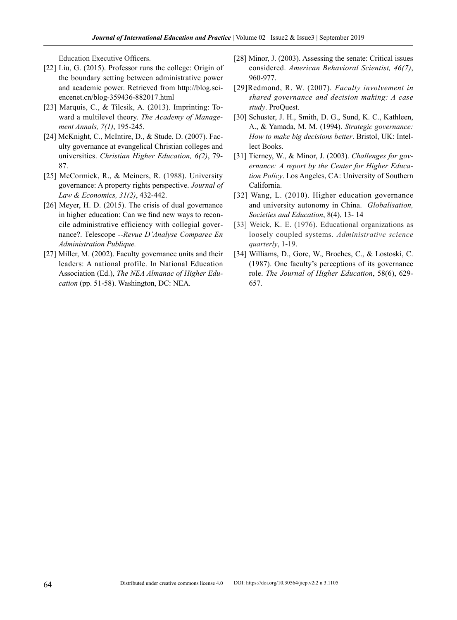Education Executive Officers.

- [22] Liu, G. (2015). Professor runs the college: Origin of the boundary setting between administrative power and academic power. Retrieved from http://blog.sciencenet.cn/blog-359436-882017.html
- [23] Marquis, C., & Tilcsik, A. (2013). Imprinting: Toward a multilevel theory. *The Academy of Management Annals, 7(1)*, 195-245.
- [24] McKnight, C., McIntire, D., & Stude, D. (2007). Faculty governance at evangelical Christian colleges and universities. *Christian Higher Education, 6(2)*, 79- 87.
- [25] McCormick, R., & Meiners, R. (1988). University governance: A property rights perspective. *Journal of Law & Economics, 31(2)*, 432-442.
- [26] Meyer, H. D. (2015). The crisis of dual governance in higher education: Can we find new ways to reconcile administrative efficiency with collegial governance?. Telescope --*Revue D'Analyse Comparee En Administration Publique.*
- [27] Miller, M. (2002). Faculty governance units and their leaders: A national profile. In National Education Association (Ed.), *The NEA Almanac of Higher Education* (pp. 51-58). Washington, DC: NEA.
- [28] Minor, J. (2003). Assessing the senate: Critical issues considered. *American Behavioral Scientist, 46(7)*, 960-977.
- [29]Redmond, R. W. (2007). *Faculty involvement in shared governance and decision making: A case study*. ProQuest.
- [30] Schuster, J. H., Smith, D. G., Sund, K. C., Kathleen, A., & Yamada, M. M. (1994). *Strategic governance: How to make big decisions better*. Bristol, UK: Intellect Books.
- [31] Tierney, W., & Minor, J. (2003). *Challenges for governance: A report by the Center for Higher Education Policy*. Los Angeles, CA: University of Southern California.
- [32] Wang, L. (2010). Higher education governance and university autonomy in China. *Globalisation, Societies and Education*, 8(4), 13- 14
- [33] Weick, K. E. (1976). Educational organizations as loosely coupled systems. *Administrative science quarterly*, 1-19.
- [34] Williams, D., Gore, W., Broches, C., & Lostoski, C. (1987). One faculty's perceptions of its governance role. *The Journal of Higher Education*, 58(6), 629- 657.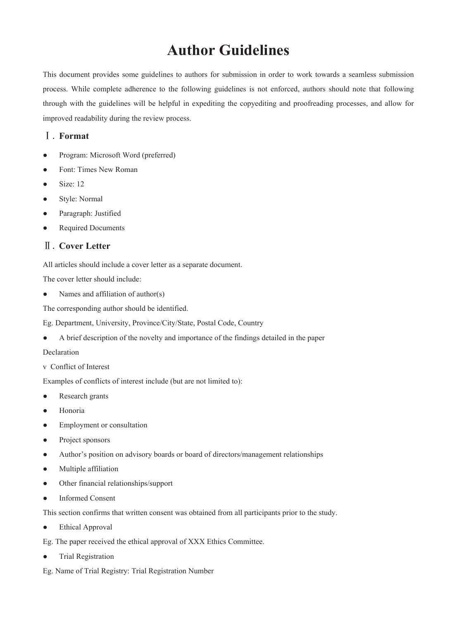# **Author Guidelines**

This document provides some guidelines to authors for submission in order to work towards a seamless submission process. While complete adherence to the following guidelines is not enforced, authors should note that following through with the guidelines will be helpful in expediting the copyediting and proofreading processes, and allow for improved readability during the review process.

# Ⅰ. **Format**

- Program: Microsoft Word (preferred)
- Font: Times New Roman
- Size: 12
- Style: Normal
- Paragraph: Justified
- Required Documents

# Ⅱ. **Cover Letter**

All articles should include a cover letter as a separate document.

The cover letter should include:

• Names and affiliation of author(s)

The corresponding author should be identified.

Eg. Department, University, Province/City/State, Postal Code, Country

● A brief description of the novelty and importance of the findings detailed in the paper

#### Declaration

v Conflict of Interest

Examples of conflicts of interest include (but are not limited to):

- Research grants
- Honoria
- Employment or consultation
- Project sponsors
- Author's position on advisory boards or board of directors/management relationships
- Multiple affiliation
- Other financial relationships/support
- **Informed Consent**

This section confirms that written consent was obtained from all participants prior to the study.

● Ethical Approval

Eg. The paper received the ethical approval of XXX Ethics Committee.

- Trial Registration
- Eg. Name of Trial Registry: Trial Registration Number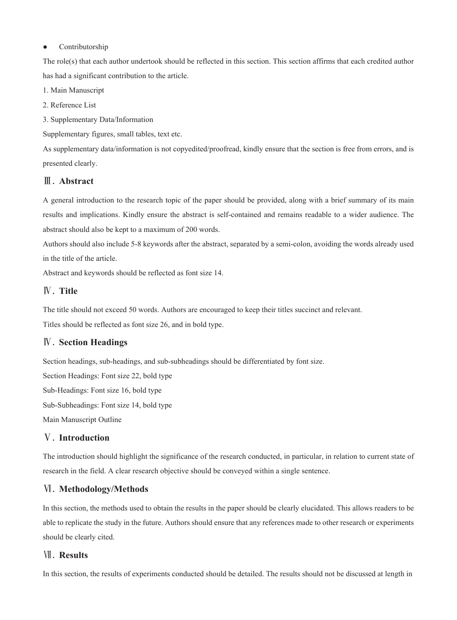#### ● Contributorship

The role(s) that each author undertook should be reflected in this section. This section affirms that each credited author has had a significant contribution to the article.

1. Main Manuscript

2. Reference List

3. Supplementary Data/Information

Supplementary figures, small tables, text etc.

As supplementary data/information is not copyedited/proofread, kindly ensure that the section is free from errors, and is presented clearly.

# Ⅲ. **Abstract**

A general introduction to the research topic of the paper should be provided, along with a brief summary of its main results and implications. Kindly ensure the abstract is self-contained and remains readable to a wider audience. The abstract should also be kept to a maximum of 200 words.

Authors should also include 5-8 keywords after the abstract, separated by a semi-colon, avoiding the words already used in the title of the article.

Abstract and keywords should be reflected as font size 14.

# Ⅳ. **Title**

The title should not exceed 50 words. Authors are encouraged to keep their titles succinct and relevant.

Titles should be reflected as font size 26, and in bold type.

# Ⅳ. **Section Headings**

Section headings, sub-headings, and sub-subheadings should be differentiated by font size.

Section Headings: Font size 22, bold type Sub-Headings: Font size 16, bold type Sub-Subheadings: Font size 14, bold type Main Manuscript Outline

# Ⅴ. **Introduction**

The introduction should highlight the significance of the research conducted, in particular, in relation to current state of research in the field. A clear research objective should be conveyed within a single sentence.

# Ⅵ. **Methodology/Methods**

In this section, the methods used to obtain the results in the paper should be clearly elucidated. This allows readers to be able to replicate the study in the future. Authors should ensure that any references made to other research or experiments should be clearly cited.

# Ⅶ. **Results**

In this section, the results of experiments conducted should be detailed. The results should not be discussed at length in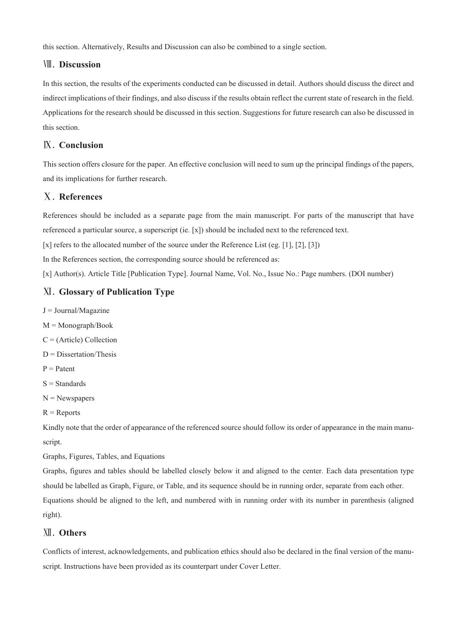this section. Alternatively, Results and Discussion can also be combined to a single section.

# Ⅷ. **Discussion**

In this section, the results of the experiments conducted can be discussed in detail. Authors should discuss the direct and indirect implications of their findings, and also discuss if the results obtain reflect the current state of research in the field. Applications for the research should be discussed in this section. Suggestions for future research can also be discussed in this section.

# Ⅸ. **Conclusion**

This section offers closure for the paper. An effective conclusion will need to sum up the principal findings of the papers, and its implications for further research.

# Ⅹ. **References**

References should be included as a separate page from the main manuscript. For parts of the manuscript that have referenced a particular source, a superscript (ie. [x]) should be included next to the referenced text.

[x] refers to the allocated number of the source under the Reference List (eg. [1], [2], [3])

In the References section, the corresponding source should be referenced as:

[x] Author(s). Article Title [Publication Type]. Journal Name, Vol. No., Issue No.: Page numbers. (DOI number)

# Ⅺ. **Glossary of Publication Type**

- $J = Journal/Magazine$
- $M = Monograph/Book$
- C = (Article) Collection
- $D =$ Dissertation/Thesis
- $P =$  Patent
- $S =$ Standards
- $N =$  Newspapers
- $R =$ Reports

Kindly note that the order of appearance of the referenced source should follow its order of appearance in the main manuscript.

Graphs, Figures, Tables, and Equations

Graphs, figures and tables should be labelled closely below it and aligned to the center. Each data presentation type should be labelled as Graph, Figure, or Table, and its sequence should be in running order, separate from each other. Equations should be aligned to the left, and numbered with in running order with its number in parenthesis (aligned right).

# Ⅻ. **Others**

Conflicts of interest, acknowledgements, and publication ethics should also be declared in the final version of the manuscript. Instructions have been provided as its counterpart under Cover Letter.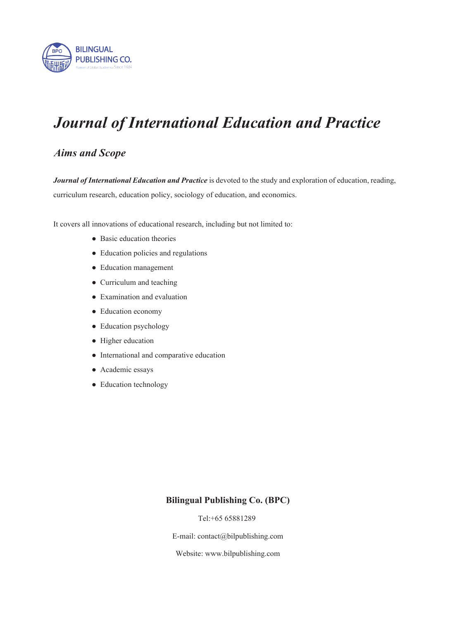

# *Journal of International Education and Practice*

# *Aims and Scope*

*Journal of International Education and Practice* is devoted to the study and exploration of education, reading, curriculum research, education policy, sociology of education, and economics.

It covers all innovations of educational research, including but not limited to:

- Basic education theories
- Education policies and regulations
- Education management
- Curriculum and teaching
- Examination and evaluation
- Education economy
- Education psychology
- Higher education
- International and comparative education
- Academic essays
- Education technology

# **Bilingual Publishing Co. (BPC)**

Tel:+65 65881289

E-mail: contact@bilpublishing.com

Website: www.bilpublishing.com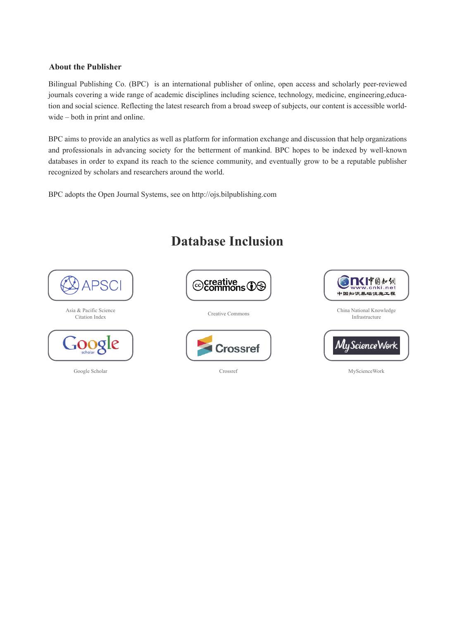## **About the Publisher**

Bilingual Publishing Co. (BPC) is an international publisher of online, open access and scholarly peer-reviewed journals covering a wide range of academic disciplines including science, technology, medicine, engineering,education and social science. Reflecting the latest research from a broad sweep of subjects, our content is accessible worldwide – both in print and online.

BPC aims to provide an analytics as well as platform for information exchange and discussion that help organizations and professionals in advancing society for the betterment of mankind. BPC hopes to be indexed by well-known databases in order to expand its reach to the science community, and eventually grow to be a reputable publisher recognized by scholars and researchers around the world.

BPC adopts the Open Journal Systems, see on http://ojs.bilpublishing.com



**Database Inclusion**